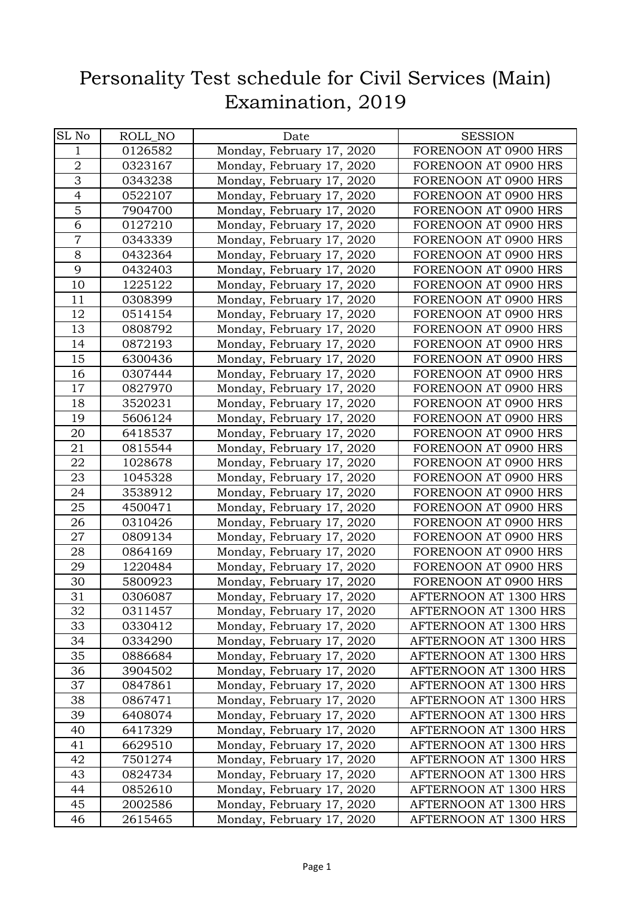## Personality Test schedule for Civil Services (Main) Examination, 2019

| SL No          | ROLL_NO | Date                      | <b>SESSION</b>        |
|----------------|---------|---------------------------|-----------------------|
| $\mathbf 1$    | 0126582 | Monday, February 17, 2020 | FORENOON AT 0900 HRS  |
| $\overline{2}$ | 0323167 | Monday, February 17, 2020 | FORENOON AT 0900 HRS  |
| $\overline{3}$ | 0343238 | Monday, February 17, 2020 | FORENOON AT 0900 HRS  |
| $\overline{4}$ | 0522107 | Monday, February 17, 2020 | FORENOON AT 0900 HRS  |
| $\overline{5}$ | 7904700 | Monday, February 17, 2020 | FORENOON AT 0900 HRS  |
| 6              | 0127210 | Monday, February 17, 2020 | FORENOON AT 0900 HRS  |
| $\overline{7}$ | 0343339 | Monday, February 17, 2020 | FORENOON AT 0900 HRS  |
| 8              | 0432364 | Monday, February 17, 2020 | FORENOON AT 0900 HRS  |
| 9              | 0432403 | Monday, February 17, 2020 | FORENOON AT 0900 HRS  |
| 10             | 1225122 | Monday, February 17, 2020 | FORENOON AT 0900 HRS  |
| 11             | 0308399 | Monday, February 17, 2020 | FORENOON AT 0900 HRS  |
| 12             | 0514154 | Monday, February 17, 2020 | FORENOON AT 0900 HRS  |
| 13             | 0808792 | Monday, February 17, 2020 | FORENOON AT 0900 HRS  |
| 14             | 0872193 | Monday, February 17, 2020 | FORENOON AT 0900 HRS  |
| 15             | 6300436 | Monday, February 17, 2020 | FORENOON AT 0900 HRS  |
| 16             | 0307444 | Monday, February 17, 2020 | FORENOON AT 0900 HRS  |
| 17             | 0827970 | Monday, February 17, 2020 | FORENOON AT 0900 HRS  |
| 18             | 3520231 | Monday, February 17, 2020 | FORENOON AT 0900 HRS  |
| 19             | 5606124 | Monday, February 17, 2020 | FORENOON AT 0900 HRS  |
| 20             | 6418537 | Monday, February 17, 2020 | FORENOON AT 0900 HRS  |
| 21             | 0815544 | Monday, February 17, 2020 | FORENOON AT 0900 HRS  |
| 22             | 1028678 | Monday, February 17, 2020 | FORENOON AT 0900 HRS  |
| 23             | 1045328 | Monday, February 17, 2020 | FORENOON AT 0900 HRS  |
| 24             | 3538912 | Monday, February 17, 2020 | FORENOON AT 0900 HRS  |
| 25             | 4500471 | Monday, February 17, 2020 | FORENOON AT 0900 HRS  |
| 26             | 0310426 | Monday, February 17, 2020 | FORENOON AT 0900 HRS  |
| 27             | 0809134 | Monday, February 17, 2020 | FORENOON AT 0900 HRS  |
| 28             | 0864169 | Monday, February 17, 2020 | FORENOON AT 0900 HRS  |
| 29             | 1220484 | Monday, February 17, 2020 | FORENOON AT 0900 HRS  |
| 30             | 5800923 | Monday, February 17, 2020 | FORENOON AT 0900 HRS  |
| 31             | 0306087 | Monday, February 17, 2020 | AFTERNOON AT 1300 HRS |
| 32             | 0311457 | Monday, February 17, 2020 | AFTERNOON AT 1300 HRS |
| 33             | 0330412 | Monday, February 17, 2020 | AFTERNOON AT 1300 HRS |
| 34             | 0334290 | Monday, February 17, 2020 | AFTERNOON AT 1300 HRS |
| 35             | 0886684 | Monday, February 17, 2020 | AFTERNOON AT 1300 HRS |
| 36             | 3904502 | Monday, February 17, 2020 | AFTERNOON AT 1300 HRS |
| 37             | 0847861 | Monday, February 17, 2020 | AFTERNOON AT 1300 HRS |
| 38             | 0867471 | Monday, February 17, 2020 | AFTERNOON AT 1300 HRS |
| 39             | 6408074 | Monday, February 17, 2020 | AFTERNOON AT 1300 HRS |
| 40             | 6417329 | Monday, February 17, 2020 | AFTERNOON AT 1300 HRS |
| 41             | 6629510 | Monday, February 17, 2020 | AFTERNOON AT 1300 HRS |
| 42             | 7501274 | Monday, February 17, 2020 | AFTERNOON AT 1300 HRS |
| 43             | 0824734 | Monday, February 17, 2020 | AFTERNOON AT 1300 HRS |
| 44             | 0852610 | Monday, February 17, 2020 | AFTERNOON AT 1300 HRS |
| 45             | 2002586 | Monday, February 17, 2020 | AFTERNOON AT 1300 HRS |
| 46             | 2615465 | Monday, February 17, 2020 | AFTERNOON AT 1300 HRS |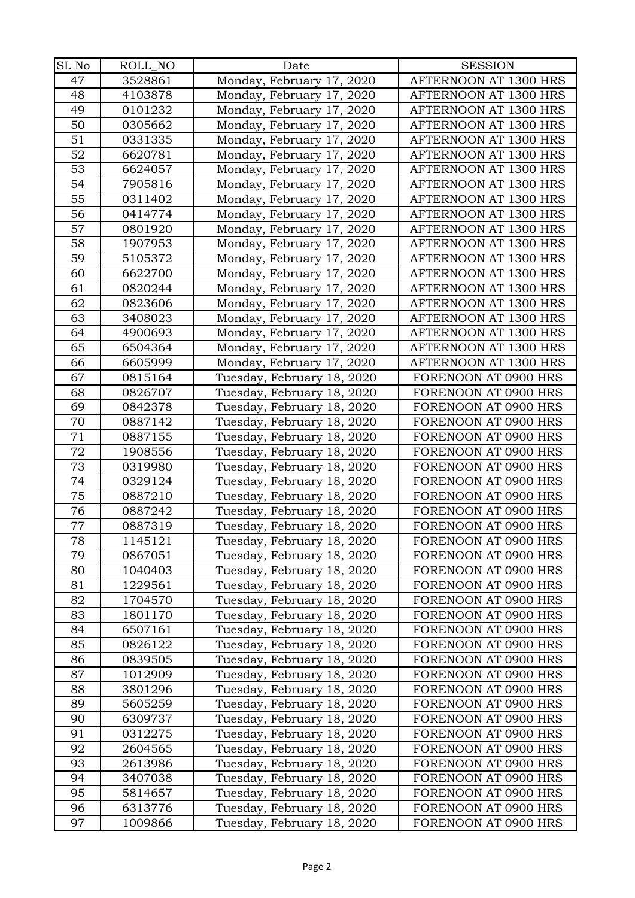| SL No | ROLL_NO | Date                       | <b>SESSION</b>        |
|-------|---------|----------------------------|-----------------------|
| 47    | 3528861 | Monday, February 17, 2020  | AFTERNOON AT 1300 HRS |
| 48    | 4103878 | Monday, February 17, 2020  | AFTERNOON AT 1300 HRS |
| 49    | 0101232 | Monday, February 17, 2020  | AFTERNOON AT 1300 HRS |
| 50    | 0305662 | Monday, February 17, 2020  | AFTERNOON AT 1300 HRS |
| 51    | 0331335 | Monday, February 17, 2020  | AFTERNOON AT 1300 HRS |
| 52    | 6620781 | Monday, February 17, 2020  | AFTERNOON AT 1300 HRS |
| 53    | 6624057 | Monday, February 17, 2020  | AFTERNOON AT 1300 HRS |
| 54    | 7905816 | Monday, February 17, 2020  | AFTERNOON AT 1300 HRS |
| 55    | 0311402 | Monday, February 17, 2020  | AFTERNOON AT 1300 HRS |
| 56    | 0414774 | Monday, February 17, 2020  | AFTERNOON AT 1300 HRS |
| 57    | 0801920 | Monday, February 17, 2020  | AFTERNOON AT 1300 HRS |
| 58    | 1907953 | Monday, February 17, 2020  | AFTERNOON AT 1300 HRS |
| 59    | 5105372 | Monday, February 17, 2020  | AFTERNOON AT 1300 HRS |
| 60    | 6622700 | Monday, February 17, 2020  | AFTERNOON AT 1300 HRS |
| 61    | 0820244 | Monday, February 17, 2020  | AFTERNOON AT 1300 HRS |
| 62    | 0823606 | Monday, February 17, 2020  | AFTERNOON AT 1300 HRS |
| 63    | 3408023 | Monday, February 17, 2020  | AFTERNOON AT 1300 HRS |
| 64    | 4900693 | Monday, February 17, 2020  | AFTERNOON AT 1300 HRS |
| 65    | 6504364 | Monday, February 17, 2020  | AFTERNOON AT 1300 HRS |
| 66    | 6605999 | Monday, February 17, 2020  | AFTERNOON AT 1300 HRS |
| 67    | 0815164 | Tuesday, February 18, 2020 | FORENOON AT 0900 HRS  |
| 68    | 0826707 | Tuesday, February 18, 2020 | FORENOON AT 0900 HRS  |
| 69    | 0842378 | Tuesday, February 18, 2020 | FORENOON AT 0900 HRS  |
| 70    | 0887142 | Tuesday, February 18, 2020 | FORENOON AT 0900 HRS  |
| 71    | 0887155 | Tuesday, February 18, 2020 | FORENOON AT 0900 HRS  |
| 72    | 1908556 | Tuesday, February 18, 2020 | FORENOON AT 0900 HRS  |
| 73    | 0319980 | Tuesday, February 18, 2020 | FORENOON AT 0900 HRS  |
| 74    | 0329124 | Tuesday, February 18, 2020 | FORENOON AT 0900 HRS  |
| 75    | 0887210 | Tuesday, February 18, 2020 | FORENOON AT 0900 HRS  |
| 76    | 0887242 | Tuesday, February 18, 2020 | FORENOON AT 0900 HRS  |
| 77    | 0887319 | Tuesday, February 18, 2020 | FORENOON AT 0900 HRS  |
| 78    | 1145121 | Tuesday, February 18, 2020 | FORENOON AT 0900 HRS  |
| 79    | 0867051 | Tuesday, February 18, 2020 | FORENOON AT 0900 HRS  |
| 80    | 1040403 | Tuesday, February 18, 2020 | FORENOON AT 0900 HRS  |
| 81    | 1229561 | Tuesday, February 18, 2020 | FORENOON AT 0900 HRS  |
| 82    | 1704570 | Tuesday, February 18, 2020 | FORENOON AT 0900 HRS  |
| 83    | 1801170 | Tuesday, February 18, 2020 | FORENOON AT 0900 HRS  |
| 84    | 6507161 | Tuesday, February 18, 2020 | FORENOON AT 0900 HRS  |
| 85    | 0826122 | Tuesday, February 18, 2020 | FORENOON AT 0900 HRS  |
| 86    | 0839505 | Tuesday, February 18, 2020 | FORENOON AT 0900 HRS  |
| 87    | 1012909 | Tuesday, February 18, 2020 | FORENOON AT 0900 HRS  |
| 88    | 3801296 | Tuesday, February 18, 2020 | FORENOON AT 0900 HRS  |
| 89    | 5605259 | Tuesday, February 18, 2020 | FORENOON AT 0900 HRS  |
| 90    | 6309737 | Tuesday, February 18, 2020 | FORENOON AT 0900 HRS  |
| 91    | 0312275 | Tuesday, February 18, 2020 | FORENOON AT 0900 HRS  |
| 92    | 2604565 | Tuesday, February 18, 2020 | FORENOON AT 0900 HRS  |
| 93    | 2613986 | Tuesday, February 18, 2020 | FORENOON AT 0900 HRS  |
| 94    | 3407038 | Tuesday, February 18, 2020 | FORENOON AT 0900 HRS  |
| 95    | 5814657 | Tuesday, February 18, 2020 | FORENOON AT 0900 HRS  |
| 96    | 6313776 | Tuesday, February 18, 2020 | FORENOON AT 0900 HRS  |
| 97    | 1009866 | Tuesday, February 18, 2020 | FORENOON AT 0900 HRS  |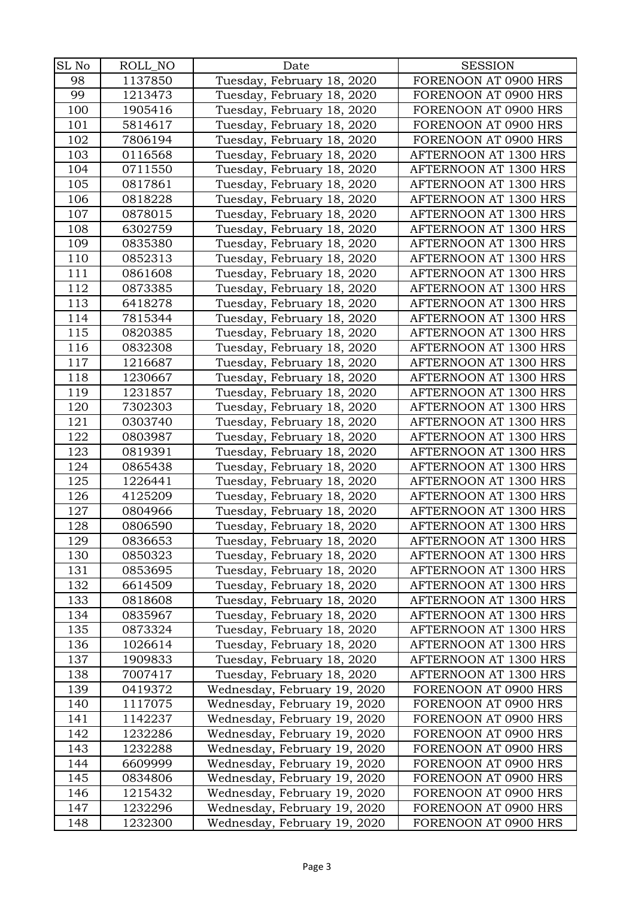| SL No | ROLL_NO | Date                         | <b>SESSION</b>        |
|-------|---------|------------------------------|-----------------------|
| 98    | 1137850 | Tuesday, February 18, 2020   | FORENOON AT 0900 HRS  |
| 99    | 1213473 | Tuesday, February 18, 2020   | FORENOON AT 0900 HRS  |
| 100   | 1905416 | Tuesday, February 18, 2020   | FORENOON AT 0900 HRS  |
| 101   | 5814617 | Tuesday, February 18, 2020   | FORENOON AT 0900 HRS  |
| 102   | 7806194 | Tuesday, February 18, 2020   | FORENOON AT 0900 HRS  |
| 103   | 0116568 | Tuesday, February 18, 2020   | AFTERNOON AT 1300 HRS |
| 104   | 0711550 | Tuesday, February 18, 2020   | AFTERNOON AT 1300 HRS |
| 105   | 0817861 | Tuesday, February 18, 2020   | AFTERNOON AT 1300 HRS |
| 106   | 0818228 | Tuesday, February 18, 2020   | AFTERNOON AT 1300 HRS |
| 107   | 0878015 | Tuesday, February 18, 2020   | AFTERNOON AT 1300 HRS |
| 108   | 6302759 | Tuesday, February 18, 2020   | AFTERNOON AT 1300 HRS |
| 109   | 0835380 | Tuesday, February 18, 2020   | AFTERNOON AT 1300 HRS |
| 110   | 0852313 | Tuesday, February 18, 2020   | AFTERNOON AT 1300 HRS |
| 111   | 0861608 | Tuesday, February 18, 2020   | AFTERNOON AT 1300 HRS |
| 112   | 0873385 | Tuesday, February 18, 2020   | AFTERNOON AT 1300 HRS |
| 113   | 6418278 | Tuesday, February 18, 2020   | AFTERNOON AT 1300 HRS |
| 114   | 7815344 | Tuesday, February 18, 2020   | AFTERNOON AT 1300 HRS |
| 115   | 0820385 | Tuesday, February 18, 2020   | AFTERNOON AT 1300 HRS |
| 116   | 0832308 | Tuesday, February 18, 2020   | AFTERNOON AT 1300 HRS |
| 117   | 1216687 | Tuesday, February 18, 2020   | AFTERNOON AT 1300 HRS |
| 118   | 1230667 | Tuesday, February 18, 2020   | AFTERNOON AT 1300 HRS |
| 119   | 1231857 | Tuesday, February 18, 2020   | AFTERNOON AT 1300 HRS |
| 120   | 7302303 | Tuesday, February 18, 2020   | AFTERNOON AT 1300 HRS |
| 121   | 0303740 | Tuesday, February 18, 2020   | AFTERNOON AT 1300 HRS |
| 122   | 0803987 | Tuesday, February 18, 2020   | AFTERNOON AT 1300 HRS |
| 123   | 0819391 | Tuesday, February 18, 2020   | AFTERNOON AT 1300 HRS |
| 124   | 0865438 | Tuesday, February 18, 2020   | AFTERNOON AT 1300 HRS |
| 125   | 1226441 | Tuesday, February 18, 2020   | AFTERNOON AT 1300 HRS |
| 126   | 4125209 | Tuesday, February 18, 2020   | AFTERNOON AT 1300 HRS |
| 127   | 0804966 | Tuesday, February 18, 2020   | AFTERNOON AT 1300 HRS |
| 128   | 0806590 | Tuesday, February 18, 2020   | AFTERNOON AT 1300 HRS |
| 129   | 0836653 | Tuesday, February 18, 2020   | AFTERNOON AT 1300 HRS |
| 130   | 0850323 | Tuesday, February 18, 2020   | AFTERNOON AT 1300 HRS |
| 131   | 0853695 | Tuesday, February 18, 2020   | AFTERNOON AT 1300 HRS |
| 132   | 6614509 | Tuesday, February 18, 2020   | AFTERNOON AT 1300 HRS |
| 133   | 0818608 | Tuesday, February 18, 2020   | AFTERNOON AT 1300 HRS |
| 134   | 0835967 | Tuesday, February 18, 2020   | AFTERNOON AT 1300 HRS |
| 135   | 0873324 | Tuesday, February 18, 2020   | AFTERNOON AT 1300 HRS |
| 136   | 1026614 | Tuesday, February 18, 2020   | AFTERNOON AT 1300 HRS |
| 137   | 1909833 | Tuesday, February 18, 2020   | AFTERNOON AT 1300 HRS |
| 138   | 7007417 | Tuesday, February 18, 2020   | AFTERNOON AT 1300 HRS |
| 139   | 0419372 | Wednesday, February 19, 2020 | FORENOON AT 0900 HRS  |
| 140   | 1117075 | Wednesday, February 19, 2020 | FORENOON AT 0900 HRS  |
| 141   | 1142237 | Wednesday, February 19, 2020 | FORENOON AT 0900 HRS  |
| 142   | 1232286 | Wednesday, February 19, 2020 | FORENOON AT 0900 HRS  |
| 143   | 1232288 | Wednesday, February 19, 2020 | FORENOON AT 0900 HRS  |
| 144   | 6609999 | Wednesday, February 19, 2020 | FORENOON AT 0900 HRS  |
| 145   | 0834806 | Wednesday, February 19, 2020 | FORENOON AT 0900 HRS  |
| 146   | 1215432 | Wednesday, February 19, 2020 | FORENOON AT 0900 HRS  |
| 147   | 1232296 | Wednesday, February 19, 2020 | FORENOON AT 0900 HRS  |
| 148   | 1232300 | Wednesday, February 19, 2020 | FORENOON AT 0900 HRS  |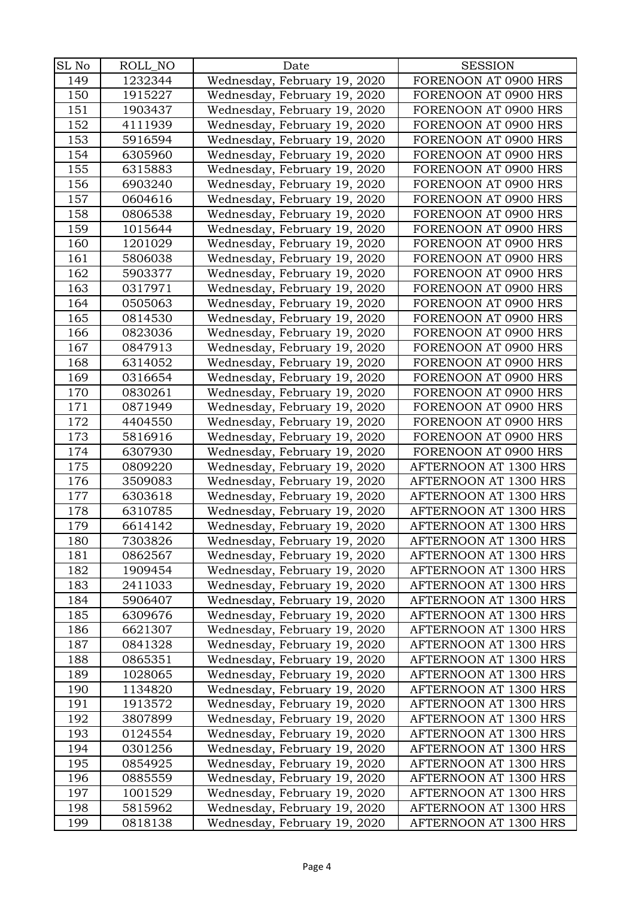| SL No |         |                              | <b>SESSION</b>        |
|-------|---------|------------------------------|-----------------------|
|       | ROLL_NO | Date                         |                       |
| 149   | 1232344 | Wednesday, February 19, 2020 | FORENOON AT 0900 HRS  |
| 150   | 1915227 | Wednesday, February 19, 2020 | FORENOON AT 0900 HRS  |
| 151   | 1903437 | Wednesday, February 19, 2020 | FORENOON AT 0900 HRS  |
| 152   | 4111939 | Wednesday, February 19, 2020 | FORENOON AT 0900 HRS  |
| 153   | 5916594 | Wednesday, February 19, 2020 | FORENOON AT 0900 HRS  |
| 154   | 6305960 | Wednesday, February 19, 2020 | FORENOON AT 0900 HRS  |
| 155   | 6315883 | Wednesday, February 19, 2020 | FORENOON AT 0900 HRS  |
| 156   | 6903240 | Wednesday, February 19, 2020 | FORENOON AT 0900 HRS  |
| 157   | 0604616 | Wednesday, February 19, 2020 | FORENOON AT 0900 HRS  |
| 158   | 0806538 | Wednesday, February 19, 2020 | FORENOON AT 0900 HRS  |
| 159   | 1015644 | Wednesday, February 19, 2020 | FORENOON AT 0900 HRS  |
| 160   | 1201029 | Wednesday, February 19, 2020 | FORENOON AT 0900 HRS  |
| 161   | 5806038 | Wednesday, February 19, 2020 | FORENOON AT 0900 HRS  |
| 162   | 5903377 | Wednesday, February 19, 2020 | FORENOON AT 0900 HRS  |
| 163   | 0317971 | Wednesday, February 19, 2020 | FORENOON AT 0900 HRS  |
| 164   | 0505063 | Wednesday, February 19, 2020 | FORENOON AT 0900 HRS  |
| 165   | 0814530 | Wednesday, February 19, 2020 | FORENOON AT 0900 HRS  |
| 166   | 0823036 | Wednesday, February 19, 2020 | FORENOON AT 0900 HRS  |
| 167   | 0847913 | Wednesday, February 19, 2020 | FORENOON AT 0900 HRS  |
| 168   | 6314052 | Wednesday, February 19, 2020 | FORENOON AT 0900 HRS  |
| 169   | 0316654 | Wednesday, February 19, 2020 | FORENOON AT 0900 HRS  |
| 170   | 0830261 | Wednesday, February 19, 2020 | FORENOON AT 0900 HRS  |
| 171   | 0871949 | Wednesday, February 19, 2020 | FORENOON AT 0900 HRS  |
| 172   | 4404550 | Wednesday, February 19, 2020 | FORENOON AT 0900 HRS  |
| 173   | 5816916 | Wednesday, February 19, 2020 | FORENOON AT 0900 HRS  |
| 174   | 6307930 | Wednesday, February 19, 2020 | FORENOON AT 0900 HRS  |
| 175   | 0809220 | Wednesday, February 19, 2020 | AFTERNOON AT 1300 HRS |
| 176   | 3509083 | Wednesday, February 19, 2020 | AFTERNOON AT 1300 HRS |
| 177   | 6303618 | Wednesday, February 19, 2020 | AFTERNOON AT 1300 HRS |
| 178   | 6310785 | Wednesday, February 19, 2020 | AFTERNOON AT 1300 HRS |
| 179   | 6614142 | Wednesday, February 19, 2020 | AFTERNOON AT 1300 HRS |
| 180   | 7303826 | Wednesday, February 19, 2020 | AFTERNOON AT 1300 HRS |
| 181   | 0862567 | Wednesday, February 19, 2020 | AFTERNOON AT 1300 HRS |
| 182   | 1909454 | Wednesday, February 19, 2020 | AFTERNOON AT 1300 HRS |
| 183   | 2411033 | Wednesday, February 19, 2020 | AFTERNOON AT 1300 HRS |
| 184   | 5906407 | Wednesday, February 19, 2020 | AFTERNOON AT 1300 HRS |
| 185   | 6309676 | Wednesday, February 19, 2020 | AFTERNOON AT 1300 HRS |
| 186   | 6621307 | Wednesday, February 19, 2020 | AFTERNOON AT 1300 HRS |
| 187   | 0841328 | Wednesday, February 19, 2020 | AFTERNOON AT 1300 HRS |
| 188   | 0865351 | Wednesday, February 19, 2020 | AFTERNOON AT 1300 HRS |
| 189   | 1028065 | Wednesday, February 19, 2020 | AFTERNOON AT 1300 HRS |
| 190   | 1134820 | Wednesday, February 19, 2020 | AFTERNOON AT 1300 HRS |
| 191   | 1913572 | Wednesday, February 19, 2020 | AFTERNOON AT 1300 HRS |
| 192   | 3807899 | Wednesday, February 19, 2020 | AFTERNOON AT 1300 HRS |
| 193   | 0124554 | Wednesday, February 19, 2020 | AFTERNOON AT 1300 HRS |
| 194   | 0301256 | Wednesday, February 19, 2020 | AFTERNOON AT 1300 HRS |
| 195   | 0854925 | Wednesday, February 19, 2020 | AFTERNOON AT 1300 HRS |
| 196   | 0885559 | Wednesday, February 19, 2020 | AFTERNOON AT 1300 HRS |
| 197   | 1001529 | Wednesday, February 19, 2020 | AFTERNOON AT 1300 HRS |
| 198   | 5815962 | Wednesday, February 19, 2020 | AFTERNOON AT 1300 HRS |
| 199   | 0818138 | Wednesday, February 19, 2020 | AFTERNOON AT 1300 HRS |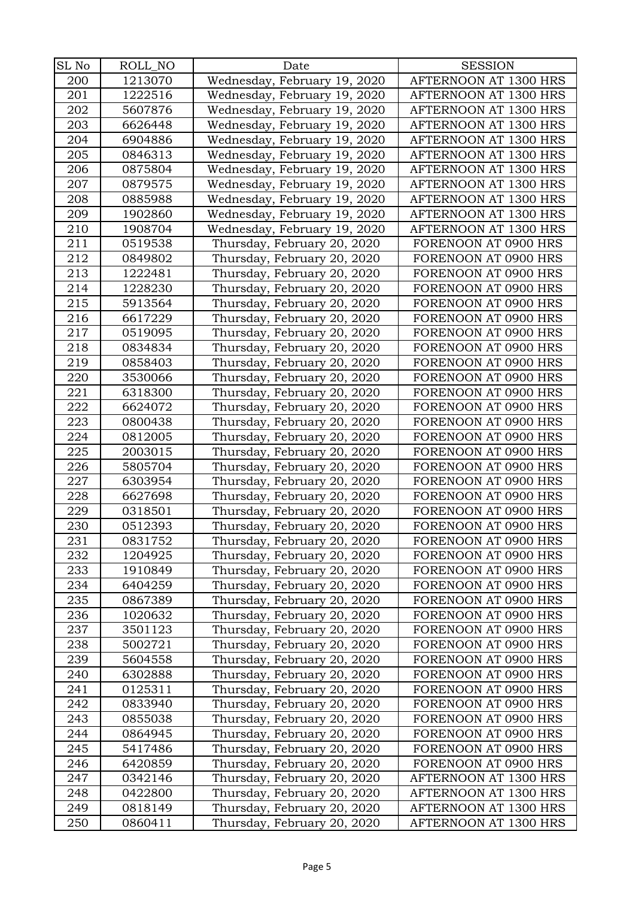| SL No | ROLL_NO | Date                         | <b>SESSION</b>        |
|-------|---------|------------------------------|-----------------------|
| 200   | 1213070 | Wednesday, February 19, 2020 | AFTERNOON AT 1300 HRS |
| 201   | 1222516 | Wednesday, February 19, 2020 | AFTERNOON AT 1300 HRS |
| 202   | 5607876 | Wednesday, February 19, 2020 | AFTERNOON AT 1300 HRS |
| 203   | 6626448 | Wednesday, February 19, 2020 | AFTERNOON AT 1300 HRS |
| 204   | 6904886 | Wednesday, February 19, 2020 | AFTERNOON AT 1300 HRS |
| 205   | 0846313 | Wednesday, February 19, 2020 | AFTERNOON AT 1300 HRS |
| 206   | 0875804 | Wednesday, February 19, 2020 | AFTERNOON AT 1300 HRS |
| 207   | 0879575 | Wednesday, February 19, 2020 | AFTERNOON AT 1300 HRS |
| 208   | 0885988 | Wednesday, February 19, 2020 | AFTERNOON AT 1300 HRS |
| 209   | 1902860 | Wednesday, February 19, 2020 | AFTERNOON AT 1300 HRS |
| 210   | 1908704 | Wednesday, February 19, 2020 | AFTERNOON AT 1300 HRS |
| 211   | 0519538 | Thursday, February 20, 2020  | FORENOON AT 0900 HRS  |
| 212   | 0849802 | Thursday, February 20, 2020  | FORENOON AT 0900 HRS  |
| 213   | 1222481 | Thursday, February 20, 2020  | FORENOON AT 0900 HRS  |
| 214   | 1228230 | Thursday, February 20, 2020  | FORENOON AT 0900 HRS  |
| 215   | 5913564 | Thursday, February 20, 2020  | FORENOON AT 0900 HRS  |
| 216   | 6617229 | Thursday, February 20, 2020  | FORENOON AT 0900 HRS  |
| 217   | 0519095 | Thursday, February 20, 2020  | FORENOON AT 0900 HRS  |
| 218   | 0834834 | Thursday, February 20, 2020  | FORENOON AT 0900 HRS  |
| 219   | 0858403 | Thursday, February 20, 2020  | FORENOON AT 0900 HRS  |
| 220   | 3530066 | Thursday, February 20, 2020  | FORENOON AT 0900 HRS  |
| 221   | 6318300 | Thursday, February 20, 2020  | FORENOON AT 0900 HRS  |
| 222   | 6624072 | Thursday, February 20, 2020  | FORENOON AT 0900 HRS  |
| 223   | 0800438 | Thursday, February 20, 2020  | FORENOON AT 0900 HRS  |
| 224   | 0812005 | Thursday, February 20, 2020  | FORENOON AT 0900 HRS  |
| 225   | 2003015 | Thursday, February 20, 2020  | FORENOON AT 0900 HRS  |
| 226   | 5805704 | Thursday, February 20, 2020  | FORENOON AT 0900 HRS  |
| 227   | 6303954 | Thursday, February 20, 2020  | FORENOON AT 0900 HRS  |
| 228   | 6627698 | Thursday, February 20, 2020  | FORENOON AT 0900 HRS  |
| 229   | 0318501 | Thursday, February 20, 2020  | FORENOON AT 0900 HRS  |
| 230   | 0512393 | Thursday, February 20, 2020  | FORENOON AT 0900 HRS  |
| 231   | 0831752 | Thursday, February 20, 2020  | FORENOON AT 0900 HRS  |
| 232   | 1204925 | Thursday, February 20, 2020  | FORENOON AT 0900 HRS  |
| 233   | 1910849 | Thursday, February 20, 2020  | FORENOON AT 0900 HRS  |
| 234   | 6404259 | Thursday, February 20, 2020  | FORENOON AT 0900 HRS  |
| 235   | 0867389 | Thursday, February 20, 2020  | FORENOON AT 0900 HRS  |
| 236   | 1020632 | Thursday, February 20, 2020  | FORENOON AT 0900 HRS  |
| 237   | 3501123 | Thursday, February 20, 2020  | FORENOON AT 0900 HRS  |
| 238   | 5002721 | Thursday, February 20, 2020  | FORENOON AT 0900 HRS  |
| 239   | 5604558 | Thursday, February 20, 2020  | FORENOON AT 0900 HRS  |
| 240   | 6302888 | Thursday, February 20, 2020  | FORENOON AT 0900 HRS  |
| 241   | 0125311 | Thursday, February 20, 2020  | FORENOON AT 0900 HRS  |
| 242   | 0833940 | Thursday, February 20, 2020  | FORENOON AT 0900 HRS  |
| 243   | 0855038 | Thursday, February 20, 2020  | FORENOON AT 0900 HRS  |
| 244   | 0864945 | Thursday, February 20, 2020  | FORENOON AT 0900 HRS  |
| 245   | 5417486 | Thursday, February 20, 2020  | FORENOON AT 0900 HRS  |
| 246   | 6420859 | Thursday, February 20, 2020  | FORENOON AT 0900 HRS  |
| 247   | 0342146 | Thursday, February 20, 2020  | AFTERNOON AT 1300 HRS |
| 248   | 0422800 | Thursday, February 20, 2020  | AFTERNOON AT 1300 HRS |
| 249   | 0818149 | Thursday, February 20, 2020  | AFTERNOON AT 1300 HRS |
| 250   | 0860411 | Thursday, February 20, 2020  | AFTERNOON AT 1300 HRS |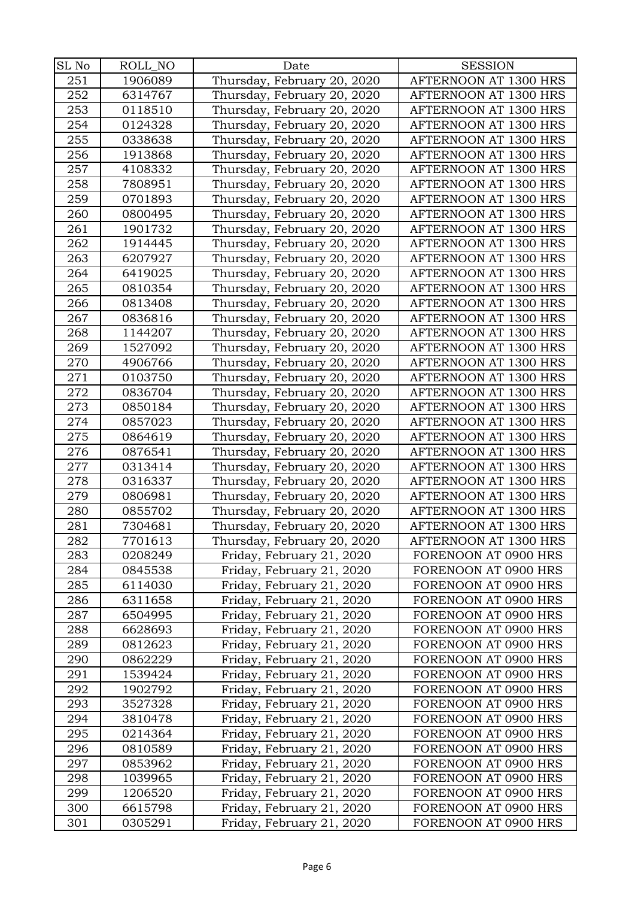| SL No | ROLL_NO | Date                        | <b>SESSION</b>        |
|-------|---------|-----------------------------|-----------------------|
| 251   | 1906089 | Thursday, February 20, 2020 | AFTERNOON AT 1300 HRS |
| 252   | 6314767 | Thursday, February 20, 2020 | AFTERNOON AT 1300 HRS |
| 253   | 0118510 | Thursday, February 20, 2020 | AFTERNOON AT 1300 HRS |
| 254   |         |                             | AFTERNOON AT 1300 HRS |
|       | 0124328 | Thursday, February 20, 2020 |                       |
| 255   | 0338638 | Thursday, February 20, 2020 | AFTERNOON AT 1300 HRS |
| 256   | 1913868 | Thursday, February 20, 2020 | AFTERNOON AT 1300 HRS |
| 257   | 4108332 | Thursday, February 20, 2020 | AFTERNOON AT 1300 HRS |
| 258   | 7808951 | Thursday, February 20, 2020 | AFTERNOON AT 1300 HRS |
| 259   | 0701893 | Thursday, February 20, 2020 | AFTERNOON AT 1300 HRS |
| 260   | 0800495 | Thursday, February 20, 2020 | AFTERNOON AT 1300 HRS |
| 261   | 1901732 | Thursday, February 20, 2020 | AFTERNOON AT 1300 HRS |
| 262   | 1914445 | Thursday, February 20, 2020 | AFTERNOON AT 1300 HRS |
| 263   | 6207927 | Thursday, February 20, 2020 | AFTERNOON AT 1300 HRS |
| 264   | 6419025 | Thursday, February 20, 2020 | AFTERNOON AT 1300 HRS |
| 265   | 0810354 | Thursday, February 20, 2020 | AFTERNOON AT 1300 HRS |
| 266   | 0813408 | Thursday, February 20, 2020 | AFTERNOON AT 1300 HRS |
| 267   | 0836816 | Thursday, February 20, 2020 | AFTERNOON AT 1300 HRS |
| 268   | 1144207 | Thursday, February 20, 2020 | AFTERNOON AT 1300 HRS |
| 269   | 1527092 | Thursday, February 20, 2020 | AFTERNOON AT 1300 HRS |
| 270   | 4906766 | Thursday, February 20, 2020 | AFTERNOON AT 1300 HRS |
| 271   | 0103750 | Thursday, February 20, 2020 | AFTERNOON AT 1300 HRS |
| 272   | 0836704 | Thursday, February 20, 2020 | AFTERNOON AT 1300 HRS |
| 273   | 0850184 | Thursday, February 20, 2020 | AFTERNOON AT 1300 HRS |
| 274   | 0857023 | Thursday, February 20, 2020 | AFTERNOON AT 1300 HRS |
| 275   | 0864619 | Thursday, February 20, 2020 | AFTERNOON AT 1300 HRS |
| 276   | 0876541 | Thursday, February 20, 2020 | AFTERNOON AT 1300 HRS |
| 277   | 0313414 | Thursday, February 20, 2020 | AFTERNOON AT 1300 HRS |
| 278   | 0316337 | Thursday, February 20, 2020 | AFTERNOON AT 1300 HRS |
| 279   | 0806981 | Thursday, February 20, 2020 | AFTERNOON AT 1300 HRS |
| 280   | 0855702 | Thursday, February 20, 2020 | AFTERNOON AT 1300 HRS |
| 281   | 7304681 | Thursday, February 20, 2020 | AFTERNOON AT 1300 HRS |
| 282   | 7701613 | Thursday, February 20, 2020 | AFTERNOON AT 1300 HRS |
| 283   | 0208249 | Friday, February 21, 2020   | FORENOON AT 0900 HRS  |
| 284   | 0845538 | Friday, February 21, 2020   | FORENOON AT 0900 HRS  |
| 285   | 6114030 | Friday, February 21, 2020   | FORENOON AT 0900 HRS  |
| 286   | 6311658 | Friday, February 21, 2020   | FORENOON AT 0900 HRS  |
| 287   | 6504995 | Friday, February 21, 2020   | FORENOON AT 0900 HRS  |
| 288   | 6628693 | Friday, February 21, 2020   | FORENOON AT 0900 HRS  |
| 289   | 0812623 | Friday, February 21, 2020   | FORENOON AT 0900 HRS  |
| 290   | 0862229 | Friday, February 21, 2020   | FORENOON AT 0900 HRS  |
| 291   | 1539424 | Friday, February 21, 2020   | FORENOON AT 0900 HRS  |
| 292   | 1902792 | Friday, February 21, 2020   | FORENOON AT 0900 HRS  |
| 293   | 3527328 | Friday, February 21, 2020   | FORENOON AT 0900 HRS  |
| 294   | 3810478 | Friday, February 21, 2020   | FORENOON AT 0900 HRS  |
| 295   | 0214364 | Friday, February 21, 2020   | FORENOON AT 0900 HRS  |
| 296   | 0810589 | Friday, February 21, 2020   | FORENOON AT 0900 HRS  |
| 297   | 0853962 | Friday, February 21, 2020   | FORENOON AT 0900 HRS  |
| 298   | 1039965 | Friday, February 21, 2020   | FORENOON AT 0900 HRS  |
| 299   | 1206520 | Friday, February 21, 2020   | FORENOON AT 0900 HRS  |
| 300   | 6615798 | Friday, February 21, 2020   | FORENOON AT 0900 HRS  |
| 301   | 0305291 | Friday, February 21, 2020   | FORENOON AT 0900 HRS  |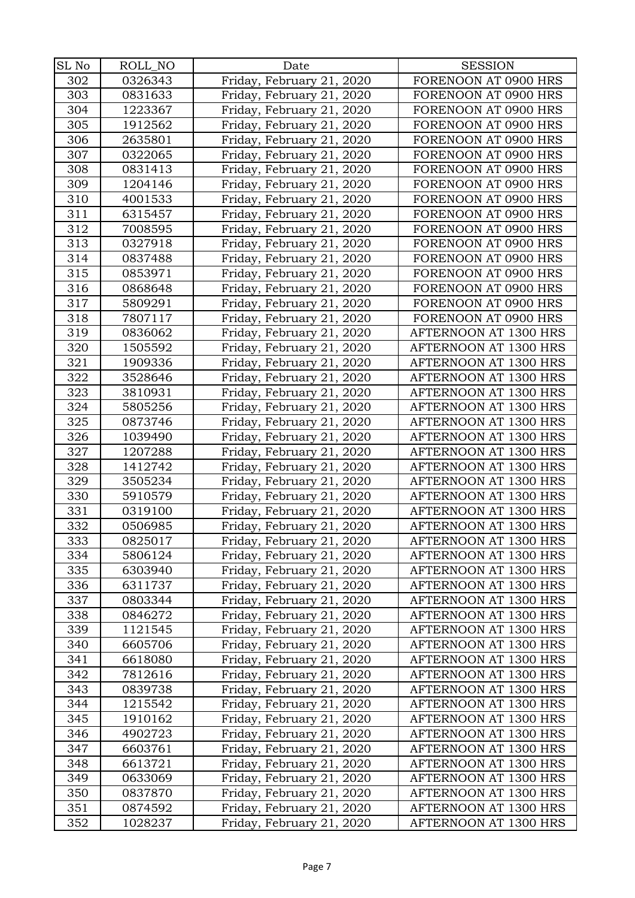| SL No | ROLL_NO | Date                      | <b>SESSION</b>        |
|-------|---------|---------------------------|-----------------------|
| 302   | 0326343 | Friday, February 21, 2020 | FORENOON AT 0900 HRS  |
| 303   | 0831633 | Friday, February 21, 2020 | FORENOON AT 0900 HRS  |
| 304   | 1223367 | Friday, February 21, 2020 | FORENOON AT 0900 HRS  |
| 305   | 1912562 | Friday, February 21, 2020 | FORENOON AT 0900 HRS  |
| 306   | 2635801 | Friday, February 21, 2020 | FORENOON AT 0900 HRS  |
| 307   | 0322065 | Friday, February 21, 2020 | FORENOON AT 0900 HRS  |
| 308   | 0831413 | Friday, February 21, 2020 | FORENOON AT 0900 HRS  |
| 309   | 1204146 | Friday, February 21, 2020 | FORENOON AT 0900 HRS  |
| 310   | 4001533 | Friday, February 21, 2020 | FORENOON AT 0900 HRS  |
| 311   | 6315457 | Friday, February 21, 2020 | FORENOON AT 0900 HRS  |
| 312   | 7008595 | Friday, February 21, 2020 | FORENOON AT 0900 HRS  |
| 313   | 0327918 | Friday, February 21, 2020 | FORENOON AT 0900 HRS  |
| 314   | 0837488 | Friday, February 21, 2020 | FORENOON AT 0900 HRS  |
| 315   | 0853971 | Friday, February 21, 2020 | FORENOON AT 0900 HRS  |
| 316   | 0868648 | Friday, February 21, 2020 | FORENOON AT 0900 HRS  |
| 317   | 5809291 | Friday, February 21, 2020 | FORENOON AT 0900 HRS  |
| 318   | 7807117 | Friday, February 21, 2020 | FORENOON AT 0900 HRS  |
| 319   | 0836062 | Friday, February 21, 2020 | AFTERNOON AT 1300 HRS |
| 320   | 1505592 | Friday, February 21, 2020 | AFTERNOON AT 1300 HRS |
| 321   | 1909336 | Friday, February 21, 2020 | AFTERNOON AT 1300 HRS |
| 322   | 3528646 | Friday, February 21, 2020 | AFTERNOON AT 1300 HRS |
| 323   | 3810931 | Friday, February 21, 2020 | AFTERNOON AT 1300 HRS |
| 324   | 5805256 | Friday, February 21, 2020 | AFTERNOON AT 1300 HRS |
| 325   | 0873746 | Friday, February 21, 2020 | AFTERNOON AT 1300 HRS |
| 326   | 1039490 | Friday, February 21, 2020 | AFTERNOON AT 1300 HRS |
| 327   | 1207288 | Friday, February 21, 2020 | AFTERNOON AT 1300 HRS |
| 328   | 1412742 | Friday, February 21, 2020 | AFTERNOON AT 1300 HRS |
| 329   | 3505234 | Friday, February 21, 2020 | AFTERNOON AT 1300 HRS |
| 330   | 5910579 | Friday, February 21, 2020 | AFTERNOON AT 1300 HRS |
| 331   | 0319100 | Friday, February 21, 2020 | AFTERNOON AT 1300 HRS |
| 332   | 0506985 | Friday, February 21, 2020 | AFTERNOON AT 1300 HRS |
| 333   | 0825017 | Friday, February 21, 2020 | AFTERNOON AT 1300 HRS |
| 334   | 5806124 | Friday, February 21, 2020 | AFTERNOON AT 1300 HRS |
| 335   | 6303940 | Friday, February 21, 2020 | AFTERNOON AT 1300 HRS |
| 336   | 6311737 | Friday, February 21, 2020 | AFTERNOON AT 1300 HRS |
| 337   | 0803344 | Friday, February 21, 2020 | AFTERNOON AT 1300 HRS |
| 338   | 0846272 | Friday, February 21, 2020 | AFTERNOON AT 1300 HRS |
| 339   | 1121545 | Friday, February 21, 2020 | AFTERNOON AT 1300 HRS |
| 340   | 6605706 | Friday, February 21, 2020 | AFTERNOON AT 1300 HRS |
| 341   | 6618080 | Friday, February 21, 2020 | AFTERNOON AT 1300 HRS |
| 342   | 7812616 | Friday, February 21, 2020 | AFTERNOON AT 1300 HRS |
| 343   | 0839738 | Friday, February 21, 2020 | AFTERNOON AT 1300 HRS |
| 344   | 1215542 | Friday, February 21, 2020 | AFTERNOON AT 1300 HRS |
| 345   | 1910162 | Friday, February 21, 2020 | AFTERNOON AT 1300 HRS |
| 346   | 4902723 | Friday, February 21, 2020 | AFTERNOON AT 1300 HRS |
| 347   | 6603761 | Friday, February 21, 2020 | AFTERNOON AT 1300 HRS |
| 348   | 6613721 | Friday, February 21, 2020 | AFTERNOON AT 1300 HRS |
| 349   | 0633069 | Friday, February 21, 2020 | AFTERNOON AT 1300 HRS |
| 350   | 0837870 | Friday, February 21, 2020 | AFTERNOON AT 1300 HRS |
| 351   | 0874592 | Friday, February 21, 2020 | AFTERNOON AT 1300 HRS |
| 352   | 1028237 | Friday, February 21, 2020 | AFTERNOON AT 1300 HRS |
|       |         |                           |                       |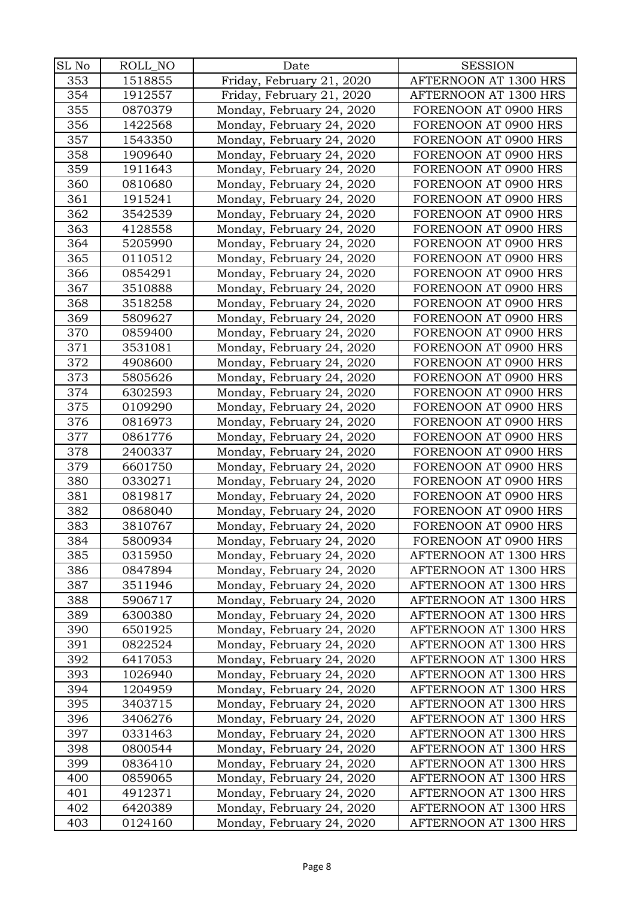| $\rm SL~No$ | ROLL_NO | Date                                                   | <b>SESSION</b>                               |
|-------------|---------|--------------------------------------------------------|----------------------------------------------|
| 353         | 1518855 | Friday, February 21, 2020                              | AFTERNOON AT 1300 HRS                        |
| 354         | 1912557 | Friday, February 21, 2020                              | AFTERNOON AT 1300 HRS                        |
| 355         | 0870379 | Monday, February 24, 2020                              | FORENOON AT 0900 HRS                         |
| 356         | 1422568 | Monday, February 24, 2020                              | FORENOON AT 0900 HRS                         |
| 357         | 1543350 | Monday, February 24, 2020                              | FORENOON AT 0900 HRS                         |
| 358         | 1909640 | Monday, February 24, 2020                              | FORENOON AT 0900 HRS                         |
| 359         | 1911643 |                                                        | FORENOON AT 0900 HRS                         |
| 360         | 0810680 | Monday, February 24, 2020                              | FORENOON AT 0900 HRS                         |
| 361         | 1915241 | Monday, February 24, 2020                              | FORENOON AT 0900 HRS                         |
| 362         | 3542539 | Monday, February 24, 2020<br>Monday, February 24, 2020 | FORENOON AT 0900 HRS                         |
| 363         | 4128558 | Monday, February 24, 2020                              | FORENOON AT 0900 HRS                         |
| 364         | 5205990 | Monday, February 24, 2020                              | FORENOON AT 0900 HRS                         |
| 365         | 0110512 | Monday, February 24, 2020                              | FORENOON AT 0900 HRS                         |
| 366         | 0854291 |                                                        | FORENOON AT 0900 HRS                         |
| 367         | 3510888 | Monday, February 24, 2020                              |                                              |
| 368         | 3518258 | Monday, February 24, 2020                              | FORENOON AT 0900 HRS                         |
|             |         | Monday, February 24, 2020                              | FORENOON AT 0900 HRS                         |
| 369         | 5809627 | Monday, February 24, 2020                              | FORENOON AT 0900 HRS                         |
| 370         | 0859400 | Monday, February 24, 2020                              | FORENOON AT 0900 HRS<br>FORENOON AT 0900 HRS |
| 371         | 3531081 | Monday, February 24, 2020                              |                                              |
| 372<br>373  | 4908600 | Monday, February 24, 2020                              | FORENOON AT 0900 HRS                         |
|             | 5805626 | Monday, February 24, 2020                              | FORENOON AT 0900 HRS                         |
| 374         | 6302593 | Monday, February 24, 2020                              | FORENOON AT 0900 HRS                         |
| 375         | 0109290 | Monday, February 24, 2020                              | FORENOON AT 0900 HRS                         |
| 376         | 0816973 | Monday, February 24, 2020                              | FORENOON AT 0900 HRS                         |
| 377         | 0861776 | Monday, February 24, 2020                              | FORENOON AT 0900 HRS                         |
| 378         | 2400337 | Monday, February 24, 2020                              | FORENOON AT 0900 HRS                         |
| 379         | 6601750 | Monday, February 24, 2020                              | FORENOON AT 0900 HRS                         |
| 380         | 0330271 | Monday, February 24, 2020                              | FORENOON AT 0900 HRS                         |
| 381         | 0819817 | Monday, February 24, 2020                              | FORENOON AT 0900 HRS                         |
| 382         | 0868040 | Monday, February 24, 2020                              | FORENOON AT 0900 HRS                         |
| 383         | 3810767 | Monday, February 24, 2020                              | FORENOON AT 0900 HRS                         |
| 384         | 5800934 | Monday, February 24, 2020                              | FORENOON AT 0900 HRS                         |
| 385         | 0315950 | Monday, February 24, 2020                              | AFTERNOON AT 1300 HRS                        |
| 386         | 0847894 | Monday, February 24, 2020                              | AFTERNOON AT 1300 HRS                        |
| 387         | 3511946 | Monday, February 24, 2020                              | AFTERNOON AT 1300 HRS                        |
| 388         | 5906717 | Monday, February 24, 2020                              | AFTERNOON AT 1300 HRS                        |
| 389         | 6300380 | Monday, February 24, 2020                              | AFTERNOON AT 1300 HRS                        |
| 390         | 6501925 | Monday, February 24, 2020                              | AFTERNOON AT 1300 HRS                        |
| 391         | 0822524 | Monday, February 24, 2020                              | AFTERNOON AT 1300 HRS                        |
| 392         | 6417053 | Monday, February 24, 2020                              | AFTERNOON AT 1300 HRS                        |
| 393         | 1026940 | Monday, February 24, 2020                              | AFTERNOON AT 1300 HRS                        |
| 394         | 1204959 | Monday, February 24, 2020                              | AFTERNOON AT 1300 HRS                        |
| 395         | 3403715 | Monday, February 24, 2020                              | AFTERNOON AT 1300 HRS                        |
| 396         | 3406276 | Monday, February 24, 2020                              | AFTERNOON AT 1300 HRS                        |
| 397         | 0331463 | Monday, February 24, 2020                              | AFTERNOON AT 1300 HRS                        |
| 398         | 0800544 | Monday, February 24, 2020                              | AFTERNOON AT 1300 HRS                        |
| 399         | 0836410 | Monday, February 24, 2020                              | AFTERNOON AT 1300 HRS                        |
| 400         | 0859065 | Monday, February 24, 2020                              | AFTERNOON AT 1300 HRS                        |
| 401         | 4912371 | Monday, February 24, 2020                              | AFTERNOON AT 1300 HRS                        |
| 402         | 6420389 | Monday, February 24, 2020                              | AFTERNOON AT 1300 HRS                        |
| 403         | 0124160 | Monday, February 24, 2020                              | AFTERNOON AT 1300 HRS                        |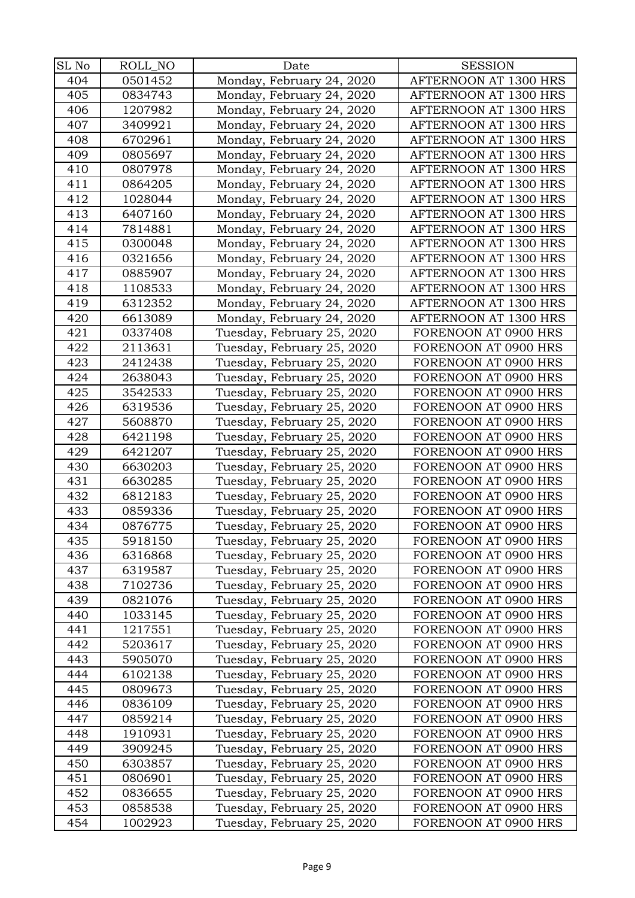| SL No | ROLL_NO | Date                       | <b>SESSION</b>        |
|-------|---------|----------------------------|-----------------------|
| 404   | 0501452 | Monday, February 24, 2020  | AFTERNOON AT 1300 HRS |
| 405   | 0834743 | Monday, February 24, 2020  | AFTERNOON AT 1300 HRS |
| 406   | 1207982 | Monday, February 24, 2020  | AFTERNOON AT 1300 HRS |
| 407   | 3409921 | Monday, February 24, 2020  | AFTERNOON AT 1300 HRS |
| 408   | 6702961 | Monday, February 24, 2020  | AFTERNOON AT 1300 HRS |
| 409   | 0805697 | Monday, February 24, 2020  | AFTERNOON AT 1300 HRS |
| 410   | 0807978 | Monday, February 24, 2020  | AFTERNOON AT 1300 HRS |
| 411   | 0864205 | Monday, February 24, 2020  | AFTERNOON AT 1300 HRS |
| 412   | 1028044 | Monday, February 24, 2020  | AFTERNOON AT 1300 HRS |
| 413   | 6407160 | Monday, February 24, 2020  | AFTERNOON AT 1300 HRS |
| 414   | 7814881 | Monday, February 24, 2020  | AFTERNOON AT 1300 HRS |
| 415   | 0300048 | Monday, February 24, 2020  | AFTERNOON AT 1300 HRS |
| 416   | 0321656 | Monday, February 24, 2020  | AFTERNOON AT 1300 HRS |
| 417   | 0885907 | Monday, February 24, 2020  | AFTERNOON AT 1300 HRS |
| 418   | 1108533 | Monday, February 24, 2020  | AFTERNOON AT 1300 HRS |
| 419   | 6312352 | Monday, February 24, 2020  | AFTERNOON AT 1300 HRS |
| 420   | 6613089 | Monday, February 24, 2020  | AFTERNOON AT 1300 HRS |
| 421   | 0337408 | Tuesday, February 25, 2020 | FORENOON AT 0900 HRS  |
| 422   | 2113631 | Tuesday, February 25, 2020 | FORENOON AT 0900 HRS  |
| 423   | 2412438 | Tuesday, February 25, 2020 | FORENOON AT 0900 HRS  |
| 424   | 2638043 | Tuesday, February 25, 2020 | FORENOON AT 0900 HRS  |
| 425   | 3542533 | Tuesday, February 25, 2020 | FORENOON AT 0900 HRS  |
| 426   | 6319536 | Tuesday, February 25, 2020 | FORENOON AT 0900 HRS  |
| 427   | 5608870 | Tuesday, February 25, 2020 | FORENOON AT 0900 HRS  |
| 428   | 6421198 | Tuesday, February 25, 2020 | FORENOON AT 0900 HRS  |
| 429   | 6421207 | Tuesday, February 25, 2020 | FORENOON AT 0900 HRS  |
| 430   | 6630203 | Tuesday, February 25, 2020 | FORENOON AT 0900 HRS  |
| 431   | 6630285 | Tuesday, February 25, 2020 | FORENOON AT 0900 HRS  |
| 432   | 6812183 | Tuesday, February 25, 2020 | FORENOON AT 0900 HRS  |
| 433   | 0859336 | Tuesday, February 25, 2020 | FORENOON AT 0900 HRS  |
| 434   | 0876775 | Tuesday, February 25, 2020 | FORENOON AT 0900 HRS  |
| 435   | 5918150 | Tuesday, February 25, 2020 | FORENOON AT 0900 HRS  |
| 436   | 6316868 | Tuesday, February 25, 2020 | FORENOON AT 0900 HRS  |
| 437   | 6319587 | Tuesday, February 25, 2020 | FORENOON AT 0900 HRS  |
| 438   | 7102736 | Tuesday, February 25, 2020 | FORENOON AT 0900 HRS  |
| 439   | 0821076 | Tuesday, February 25, 2020 | FORENOON AT 0900 HRS  |
| 440   | 1033145 | Tuesday, February 25, 2020 | FORENOON AT 0900 HRS  |
| 441   | 1217551 | Tuesday, February 25, 2020 | FORENOON AT 0900 HRS  |
| 442   | 5203617 | Tuesday, February 25, 2020 | FORENOON AT 0900 HRS  |
| 443   | 5905070 | Tuesday, February 25, 2020 | FORENOON AT 0900 HRS  |
| 444   | 6102138 | Tuesday, February 25, 2020 | FORENOON AT 0900 HRS  |
| 445   | 0809673 | Tuesday, February 25, 2020 | FORENOON AT 0900 HRS  |
| 446   | 0836109 | Tuesday, February 25, 2020 | FORENOON AT 0900 HRS  |
| 447   | 0859214 | Tuesday, February 25, 2020 | FORENOON AT 0900 HRS  |
| 448   | 1910931 | Tuesday, February 25, 2020 | FORENOON AT 0900 HRS  |
| 449   | 3909245 | Tuesday, February 25, 2020 | FORENOON AT 0900 HRS  |
| 450   | 6303857 | Tuesday, February 25, 2020 | FORENOON AT 0900 HRS  |
| 451   | 0806901 | Tuesday, February 25, 2020 | FORENOON AT 0900 HRS  |
| 452   | 0836655 | Tuesday, February 25, 2020 | FORENOON AT 0900 HRS  |
| 453   | 0858538 | Tuesday, February 25, 2020 | FORENOON AT 0900 HRS  |
| 454   | 1002923 | Tuesday, February 25, 2020 | FORENOON AT 0900 HRS  |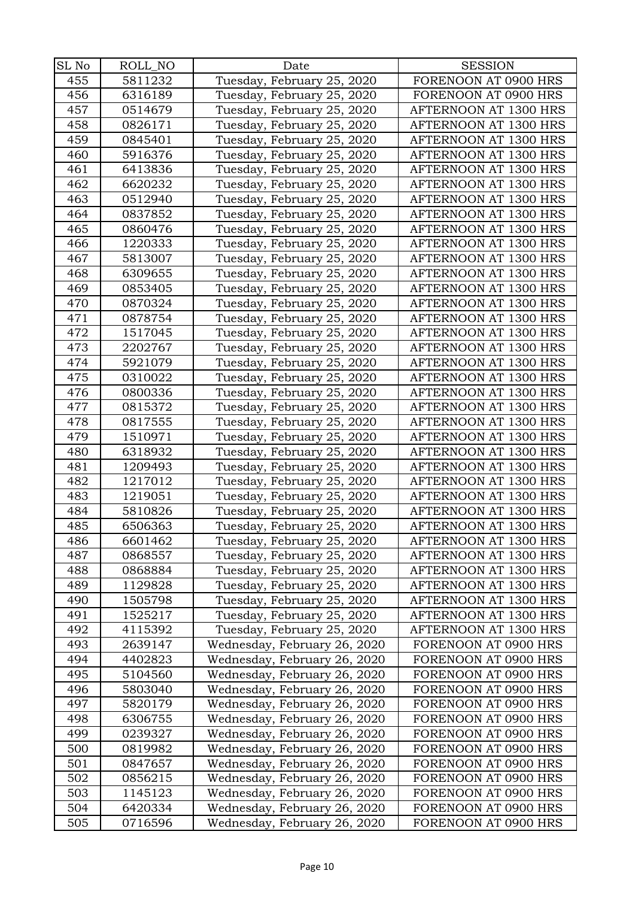| SL No | ROLL_NO | Date                         | <b>SESSION</b>        |
|-------|---------|------------------------------|-----------------------|
| 455   | 5811232 | Tuesday, February 25, 2020   | FORENOON AT 0900 HRS  |
| 456   | 6316189 | Tuesday, February 25, 2020   | FORENOON AT 0900 HRS  |
| 457   | 0514679 | Tuesday, February 25, 2020   | AFTERNOON AT 1300 HRS |
| 458   | 0826171 | Tuesday, February 25, 2020   | AFTERNOON AT 1300 HRS |
| 459   | 0845401 | Tuesday, February 25, 2020   | AFTERNOON AT 1300 HRS |
| 460   | 5916376 | Tuesday, February 25, 2020   | AFTERNOON AT 1300 HRS |
| 461   | 6413836 | Tuesday, February 25, 2020   | AFTERNOON AT 1300 HRS |
| 462   | 6620232 | Tuesday, February 25, 2020   | AFTERNOON AT 1300 HRS |
| 463   | 0512940 | Tuesday, February 25, 2020   | AFTERNOON AT 1300 HRS |
| 464   | 0837852 | Tuesday, February 25, 2020   | AFTERNOON AT 1300 HRS |
| 465   | 0860476 | Tuesday, February 25, 2020   | AFTERNOON AT 1300 HRS |
| 466   | 1220333 | Tuesday, February 25, 2020   | AFTERNOON AT 1300 HRS |
| 467   | 5813007 | Tuesday, February 25, 2020   | AFTERNOON AT 1300 HRS |
| 468   | 6309655 | Tuesday, February 25, 2020   | AFTERNOON AT 1300 HRS |
| 469   | 0853405 | Tuesday, February 25, 2020   | AFTERNOON AT 1300 HRS |
| 470   | 0870324 | Tuesday, February 25, 2020   | AFTERNOON AT 1300 HRS |
| 471   | 0878754 | Tuesday, February 25, 2020   | AFTERNOON AT 1300 HRS |
| 472   | 1517045 | Tuesday, February 25, 2020   | AFTERNOON AT 1300 HRS |
| 473   | 2202767 | Tuesday, February 25, 2020   | AFTERNOON AT 1300 HRS |
| 474   | 5921079 | Tuesday, February 25, 2020   | AFTERNOON AT 1300 HRS |
| 475   | 0310022 | Tuesday, February 25, 2020   | AFTERNOON AT 1300 HRS |
| 476   | 0800336 | Tuesday, February 25, 2020   | AFTERNOON AT 1300 HRS |
| 477   | 0815372 | Tuesday, February 25, 2020   | AFTERNOON AT 1300 HRS |
| 478   | 0817555 | Tuesday, February 25, 2020   | AFTERNOON AT 1300 HRS |
| 479   | 1510971 | Tuesday, February 25, 2020   | AFTERNOON AT 1300 HRS |
| 480   | 6318932 | Tuesday, February 25, 2020   | AFTERNOON AT 1300 HRS |
| 481   | 1209493 | Tuesday, February 25, 2020   | AFTERNOON AT 1300 HRS |
| 482   | 1217012 | Tuesday, February 25, 2020   | AFTERNOON AT 1300 HRS |
| 483   | 1219051 | Tuesday, February 25, 2020   | AFTERNOON AT 1300 HRS |
| 484   | 5810826 | Tuesday, February 25, 2020   | AFTERNOON AT 1300 HRS |
| 485   | 6506363 | Tuesday, February 25, 2020   | AFTERNOON AT 1300 HRS |
| 486   | 6601462 | Tuesday, February 25, 2020   | AFTERNOON AT 1300 HRS |
| 487   | 0868557 | Tuesday, February 25, 2020   | AFTERNOON AT 1300 HRS |
| 488   | 0868884 | Tuesday, February 25, 2020   | AFTERNOON AT 1300 HRS |
| 489   | 1129828 | Tuesday, February 25, 2020   | AFTERNOON AT 1300 HRS |
| 490   | 1505798 | Tuesday, February 25, 2020   | AFTERNOON AT 1300 HRS |
| 491   | 1525217 | Tuesday, February 25, 2020   | AFTERNOON AT 1300 HRS |
| 492   | 4115392 | Tuesday, February 25, 2020   | AFTERNOON AT 1300 HRS |
| 493   | 2639147 | Wednesday, February 26, 2020 | FORENOON AT 0900 HRS  |
| 494   | 4402823 | Wednesday, February 26, 2020 | FORENOON AT 0900 HRS  |
| 495   | 5104560 | Wednesday, February 26, 2020 | FORENOON AT 0900 HRS  |
| 496   | 5803040 | Wednesday, February 26, 2020 | FORENOON AT 0900 HRS  |
| 497   | 5820179 | Wednesday, February 26, 2020 | FORENOON AT 0900 HRS  |
| 498   | 6306755 | Wednesday, February 26, 2020 | FORENOON AT 0900 HRS  |
| 499   | 0239327 | Wednesday, February 26, 2020 | FORENOON AT 0900 HRS  |
| 500   | 0819982 | Wednesday, February 26, 2020 | FORENOON AT 0900 HRS  |
| 501   | 0847657 | Wednesday, February 26, 2020 | FORENOON AT 0900 HRS  |
| 502   | 0856215 | Wednesday, February 26, 2020 | FORENOON AT 0900 HRS  |
| 503   | 1145123 | Wednesday, February 26, 2020 | FORENOON AT 0900 HRS  |
| 504   | 6420334 | Wednesday, February 26, 2020 | FORENOON AT 0900 HRS  |
| 505   | 0716596 | Wednesday, February 26, 2020 | FORENOON AT 0900 HRS  |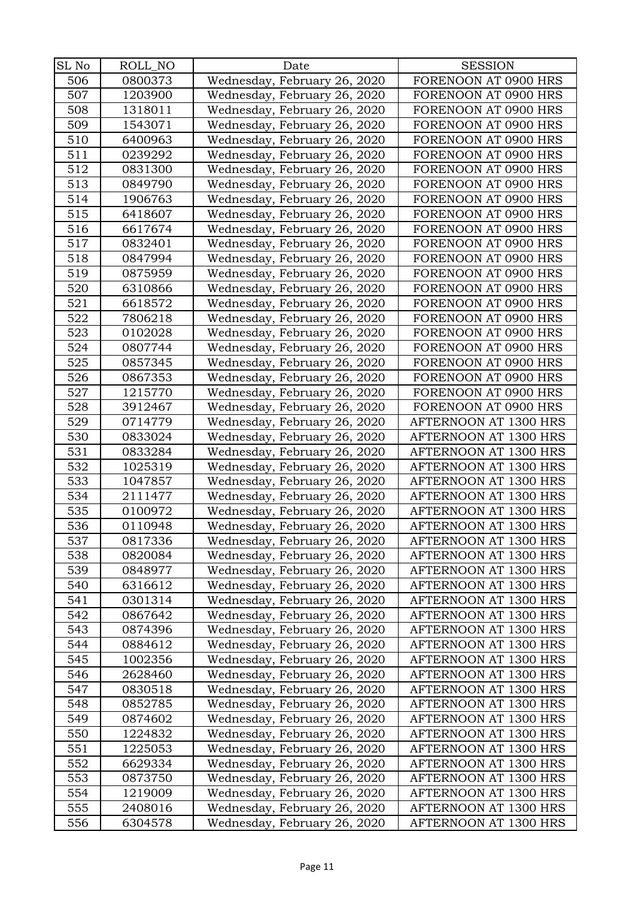| SL No | ROLL_NO | Date                         | <b>SESSION</b>        |
|-------|---------|------------------------------|-----------------------|
| 506   | 0800373 | Wednesday, February 26, 2020 | FORENOON AT 0900 HRS  |
| 507   | 1203900 | Wednesday, February 26, 2020 | FORENOON AT 0900 HRS  |
| 508   | 1318011 | Wednesday, February 26, 2020 | FORENOON AT 0900 HRS  |
| 509   | 1543071 | Wednesday, February 26, 2020 | FORENOON AT 0900 HRS  |
| 510   | 6400963 | Wednesday, February 26, 2020 | FORENOON AT 0900 HRS  |
| 511   | 0239292 | Wednesday, February 26, 2020 | FORENOON AT 0900 HRS  |
| 512   | 0831300 | Wednesday, February 26, 2020 | FORENOON AT 0900 HRS  |
| 513   | 0849790 | Wednesday, February 26, 2020 | FORENOON AT 0900 HRS  |
| 514   | 1906763 | Wednesday, February 26, 2020 | FORENOON AT 0900 HRS  |
| 515   | 6418607 | Wednesday, February 26, 2020 | FORENOON AT 0900 HRS  |
| 516   | 6617674 | Wednesday, February 26, 2020 | FORENOON AT 0900 HRS  |
| 517   | 0832401 | Wednesday, February 26, 2020 | FORENOON AT 0900 HRS  |
| 518   | 0847994 | Wednesday, February 26, 2020 | FORENOON AT 0900 HRS  |
| 519   | 0875959 | Wednesday, February 26, 2020 | FORENOON AT 0900 HRS  |
| 520   | 6310866 | Wednesday, February 26, 2020 | FORENOON AT 0900 HRS  |
| 521   | 6618572 | Wednesday, February 26, 2020 | FORENOON AT 0900 HRS  |
| 522   | 7806218 | Wednesday, February 26, 2020 | FORENOON AT 0900 HRS  |
| 523   | 0102028 | Wednesday, February 26, 2020 | FORENOON AT 0900 HRS  |
| 524   | 0807744 | Wednesday, February 26, 2020 | FORENOON AT 0900 HRS  |
| 525   | 0857345 | Wednesday, February 26, 2020 | FORENOON AT 0900 HRS  |
| 526   | 0867353 | Wednesday, February 26, 2020 | FORENOON AT 0900 HRS  |
| 527   | 1215770 | Wednesday, February 26, 2020 | FORENOON AT 0900 HRS  |
| 528   | 3912467 | Wednesday, February 26, 2020 | FORENOON AT 0900 HRS  |
| 529   | 0714779 | Wednesday, February 26, 2020 | AFTERNOON AT 1300 HRS |
| 530   | 0833024 | Wednesday, February 26, 2020 | AFTERNOON AT 1300 HRS |
| 531   | 0833284 | Wednesday, February 26, 2020 | AFTERNOON AT 1300 HRS |
| 532   | 1025319 | Wednesday, February 26, 2020 | AFTERNOON AT 1300 HRS |
| 533   | 1047857 | Wednesday, February 26, 2020 | AFTERNOON AT 1300 HRS |
| 534   | 2111477 | Wednesday, February 26, 2020 | AFTERNOON AT 1300 HRS |
| 535   | 0100972 | Wednesday, February 26, 2020 | AFTERNOON AT 1300 HRS |
| 536   | 0110948 | Wednesday, February 26, 2020 | AFTERNOON AT 1300 HRS |
| 537   | 0817336 | Wednesday, February 26, 2020 | AFTERNOON AT 1300 HRS |
| 538   | 0820084 | Wednesday, February 26, 2020 | AFTERNOON AT 1300 HRS |
| 539   | 0848977 | Wednesday, February 26, 2020 | AFTERNOON AT 1300 HRS |
| 540   | 6316612 | Wednesday, February 26, 2020 | AFTERNOON AT 1300 HRS |
| 541   | 0301314 | Wednesday, February 26, 2020 | AFTERNOON AT 1300 HRS |
| 542   | 0867642 | Wednesday, February 26, 2020 | AFTERNOON AT 1300 HRS |
| 543   | 0874396 | Wednesday, February 26, 2020 | AFTERNOON AT 1300 HRS |
| 544   | 0884612 | Wednesday, February 26, 2020 | AFTERNOON AT 1300 HRS |
| 545   | 1002356 | Wednesday, February 26, 2020 | AFTERNOON AT 1300 HRS |
| 546   | 2628460 | Wednesday, February 26, 2020 | AFTERNOON AT 1300 HRS |
| 547   | 0830518 | Wednesday, February 26, 2020 | AFTERNOON AT 1300 HRS |
| 548   | 0852785 | Wednesday, February 26, 2020 | AFTERNOON AT 1300 HRS |
| 549   | 0874602 | Wednesday, February 26, 2020 | AFTERNOON AT 1300 HRS |
| 550   | 1224832 | Wednesday, February 26, 2020 | AFTERNOON AT 1300 HRS |
| 551   | 1225053 | Wednesday, February 26, 2020 | AFTERNOON AT 1300 HRS |
| 552   | 6629334 | Wednesday, February 26, 2020 | AFTERNOON AT 1300 HRS |
| 553   | 0873750 | Wednesday, February 26, 2020 | AFTERNOON AT 1300 HRS |
| 554   | 1219009 | Wednesday, February 26, 2020 | AFTERNOON AT 1300 HRS |
| 555   | 2408016 | Wednesday, February 26, 2020 | AFTERNOON AT 1300 HRS |
| 556   | 6304578 | Wednesday, February 26, 2020 | AFTERNOON AT 1300 HRS |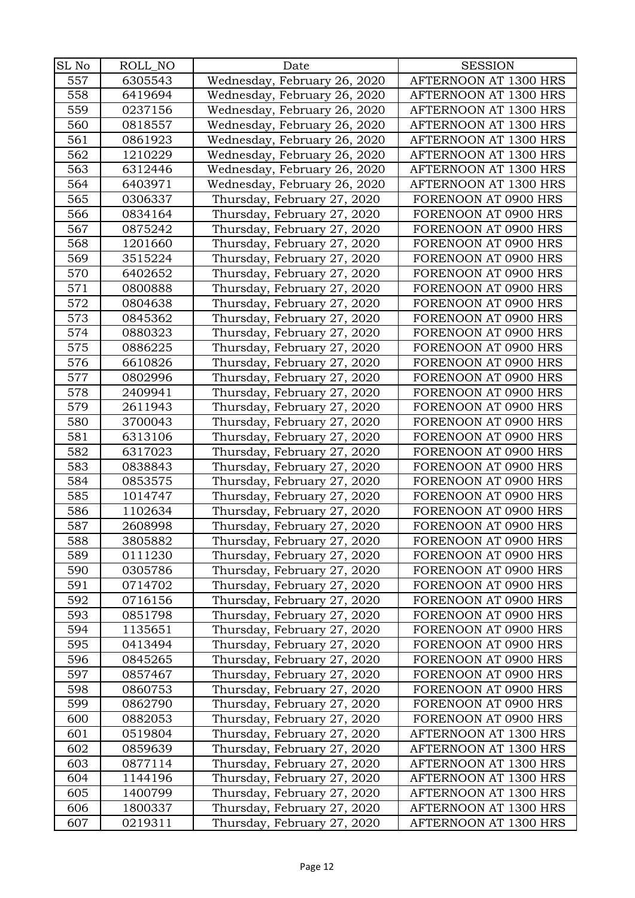| SL No | ROLL_NO | Date                         | <b>SESSION</b>        |
|-------|---------|------------------------------|-----------------------|
| 557   | 6305543 | Wednesday, February 26, 2020 | AFTERNOON AT 1300 HRS |
| 558   | 6419694 | Wednesday, February 26, 2020 | AFTERNOON AT 1300 HRS |
| 559   | 0237156 | Wednesday, February 26, 2020 | AFTERNOON AT 1300 HRS |
| 560   | 0818557 | Wednesday, February 26, 2020 | AFTERNOON AT 1300 HRS |
| 561   | 0861923 | Wednesday, February 26, 2020 | AFTERNOON AT 1300 HRS |
| 562   | 1210229 | Wednesday, February 26, 2020 | AFTERNOON AT 1300 HRS |
| 563   | 6312446 | Wednesday, February 26, 2020 | AFTERNOON AT 1300 HRS |
| 564   | 6403971 | Wednesday, February 26, 2020 | AFTERNOON AT 1300 HRS |
| 565   | 0306337 | Thursday, February 27, 2020  | FORENOON AT 0900 HRS  |
| 566   | 0834164 | Thursday, February 27, 2020  | FORENOON AT 0900 HRS  |
| 567   | 0875242 | Thursday, February 27, 2020  | FORENOON AT 0900 HRS  |
| 568   | 1201660 | Thursday, February 27, 2020  | FORENOON AT 0900 HRS  |
| 569   | 3515224 | Thursday, February 27, 2020  | FORENOON AT 0900 HRS  |
| 570   | 6402652 | Thursday, February 27, 2020  | FORENOON AT 0900 HRS  |
| 571   | 0800888 | Thursday, February 27, 2020  | FORENOON AT 0900 HRS  |
| 572   | 0804638 | Thursday, February 27, 2020  | FORENOON AT 0900 HRS  |
| 573   | 0845362 | Thursday, February 27, 2020  | FORENOON AT 0900 HRS  |
| 574   | 0880323 | Thursday, February 27, 2020  | FORENOON AT 0900 HRS  |
| 575   | 0886225 | Thursday, February 27, 2020  | FORENOON AT 0900 HRS  |
| 576   | 6610826 | Thursday, February 27, 2020  | FORENOON AT 0900 HRS  |
| 577   | 0802996 | Thursday, February 27, 2020  | FORENOON AT 0900 HRS  |
| 578   | 2409941 | Thursday, February 27, 2020  | FORENOON AT 0900 HRS  |
| 579   | 2611943 | Thursday, February 27, 2020  | FORENOON AT 0900 HRS  |
| 580   | 3700043 | Thursday, February 27, 2020  | FORENOON AT 0900 HRS  |
| 581   | 6313106 | Thursday, February 27, 2020  | FORENOON AT 0900 HRS  |
| 582   | 6317023 | Thursday, February 27, 2020  | FORENOON AT 0900 HRS  |
| 583   | 0838843 | Thursday, February 27, 2020  | FORENOON AT 0900 HRS  |
| 584   | 0853575 | Thursday, February 27, 2020  | FORENOON AT 0900 HRS  |
| 585   | 1014747 | Thursday, February 27, 2020  | FORENOON AT 0900 HRS  |
| 586   | 1102634 | Thursday, February 27, 2020  | FORENOON AT 0900 HRS  |
| 587   | 2608998 | Thursday, February 27, 2020  | FORENOON AT 0900 HRS  |
| 588   | 3805882 | Thursday, February 27, 2020  | FORENOON AT 0900 HRS  |
| 589   | 0111230 | Thursday, February 27, 2020  | FORENOON AT 0900 HRS  |
| 590   | 0305786 | Thursday, February 27, 2020  | FORENOON AT 0900 HRS  |
| 591   | 0714702 | Thursday, February 27, 2020  | FORENOON AT 0900 HRS  |
| 592   | 0716156 | Thursday, February 27, 2020  | FORENOON AT 0900 HRS  |
| 593   | 0851798 | Thursday, February 27, 2020  | FORENOON AT 0900 HRS  |
| 594   | 1135651 | Thursday, February 27, 2020  | FORENOON AT 0900 HRS  |
| 595   | 0413494 | Thursday, February 27, 2020  | FORENOON AT 0900 HRS  |
| 596   | 0845265 | Thursday, February 27, 2020  | FORENOON AT 0900 HRS  |
| 597   | 0857467 | Thursday, February 27, 2020  | FORENOON AT 0900 HRS  |
| 598   | 0860753 | Thursday, February 27, 2020  | FORENOON AT 0900 HRS  |
| 599   | 0862790 | Thursday, February 27, 2020  | FORENOON AT 0900 HRS  |
| 600   | 0882053 | Thursday, February 27, 2020  | FORENOON AT 0900 HRS  |
| 601   | 0519804 | Thursday, February 27, 2020  | AFTERNOON AT 1300 HRS |
| 602   | 0859639 | Thursday, February 27, 2020  | AFTERNOON AT 1300 HRS |
| 603   | 0877114 | Thursday, February 27, 2020  | AFTERNOON AT 1300 HRS |
| 604   | 1144196 | Thursday, February 27, 2020  | AFTERNOON AT 1300 HRS |
| 605   | 1400799 | Thursday, February 27, 2020  | AFTERNOON AT 1300 HRS |
| 606   | 1800337 | Thursday, February 27, 2020  | AFTERNOON AT 1300 HRS |
| 607   | 0219311 | Thursday, February 27, 2020  | AFTERNOON AT 1300 HRS |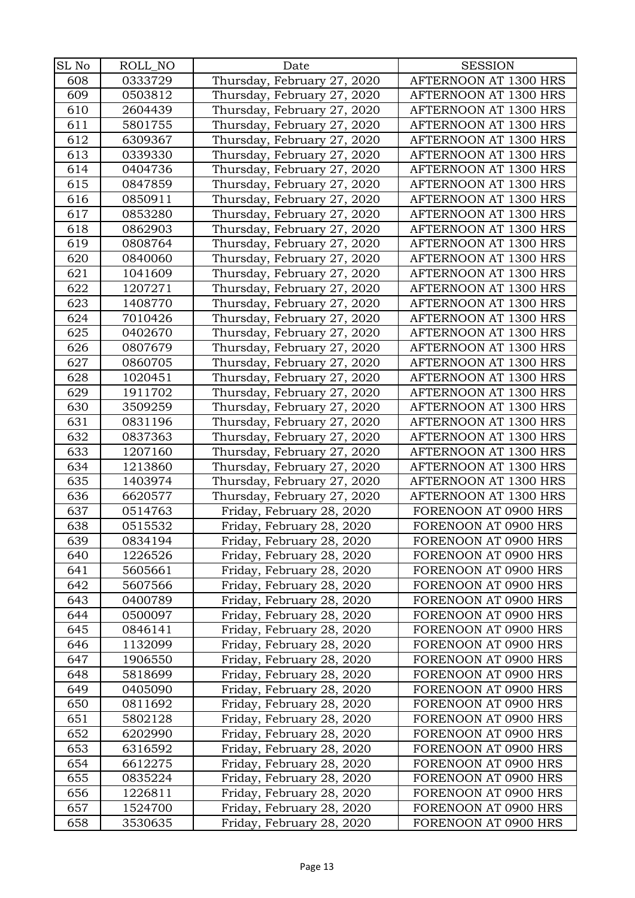| SL No | ROLL_NO | Date                        | <b>SESSION</b>        |
|-------|---------|-----------------------------|-----------------------|
| 608   | 0333729 | Thursday, February 27, 2020 | AFTERNOON AT 1300 HRS |
| 609   | 0503812 | Thursday, February 27, 2020 | AFTERNOON AT 1300 HRS |
| 610   | 2604439 | Thursday, February 27, 2020 | AFTERNOON AT 1300 HRS |
| 611   | 5801755 | Thursday, February 27, 2020 | AFTERNOON AT 1300 HRS |
| 612   | 6309367 | Thursday, February 27, 2020 | AFTERNOON AT 1300 HRS |
| 613   | 0339330 | Thursday, February 27, 2020 | AFTERNOON AT 1300 HRS |
| 614   | 0404736 | Thursday, February 27, 2020 | AFTERNOON AT 1300 HRS |
| 615   | 0847859 | Thursday, February 27, 2020 | AFTERNOON AT 1300 HRS |
| 616   | 0850911 | Thursday, February 27, 2020 | AFTERNOON AT 1300 HRS |
| 617   | 0853280 | Thursday, February 27, 2020 | AFTERNOON AT 1300 HRS |
| 618   | 0862903 | Thursday, February 27, 2020 | AFTERNOON AT 1300 HRS |
| 619   | 0808764 | Thursday, February 27, 2020 | AFTERNOON AT 1300 HRS |
| 620   | 0840060 | Thursday, February 27, 2020 | AFTERNOON AT 1300 HRS |
| 621   | 1041609 | Thursday, February 27, 2020 | AFTERNOON AT 1300 HRS |
| 622   | 1207271 | Thursday, February 27, 2020 | AFTERNOON AT 1300 HRS |
| 623   | 1408770 | Thursday, February 27, 2020 | AFTERNOON AT 1300 HRS |
| 624   | 7010426 | Thursday, February 27, 2020 | AFTERNOON AT 1300 HRS |
| 625   | 0402670 | Thursday, February 27, 2020 | AFTERNOON AT 1300 HRS |
| 626   | 0807679 | Thursday, February 27, 2020 | AFTERNOON AT 1300 HRS |
| 627   | 0860705 | Thursday, February 27, 2020 | AFTERNOON AT 1300 HRS |
| 628   | 1020451 | Thursday, February 27, 2020 | AFTERNOON AT 1300 HRS |
| 629   | 1911702 | Thursday, February 27, 2020 | AFTERNOON AT 1300 HRS |
| 630   | 3509259 | Thursday, February 27, 2020 | AFTERNOON AT 1300 HRS |
| 631   | 0831196 | Thursday, February 27, 2020 | AFTERNOON AT 1300 HRS |
| 632   | 0837363 | Thursday, February 27, 2020 | AFTERNOON AT 1300 HRS |
| 633   | 1207160 | Thursday, February 27, 2020 | AFTERNOON AT 1300 HRS |
| 634   | 1213860 | Thursday, February 27, 2020 | AFTERNOON AT 1300 HRS |
| 635   | 1403974 | Thursday, February 27, 2020 | AFTERNOON AT 1300 HRS |
| 636   | 6620577 | Thursday, February 27, 2020 | AFTERNOON AT 1300 HRS |
| 637   | 0514763 | Friday, February 28, 2020   | FORENOON AT 0900 HRS  |
| 638   | 0515532 | Friday, February 28, 2020   | FORENOON AT 0900 HRS  |
| 639   | 0834194 | Friday, February 28, 2020   | FORENOON AT 0900 HRS  |
| 640   | 1226526 | Friday, February 28, 2020   | FORENOON AT 0900 HRS  |
| 641   | 5605661 | Friday, February 28, 2020   | FORENOON AT 0900 HRS  |
| 642   | 5607566 | Friday, February 28, 2020   | FORENOON AT 0900 HRS  |
| 643   | 0400789 | Friday, February 28, 2020   | FORENOON AT 0900 HRS  |
| 644   | 0500097 | Friday, February 28, 2020   | FORENOON AT 0900 HRS  |
| 645   | 0846141 | Friday, February 28, 2020   | FORENOON AT 0900 HRS  |
| 646   | 1132099 | Friday, February 28, 2020   | FORENOON AT 0900 HRS  |
| 647   | 1906550 | Friday, February 28, 2020   | FORENOON AT 0900 HRS  |
| 648   | 5818699 | Friday, February 28, 2020   | FORENOON AT 0900 HRS  |
| 649   | 0405090 | Friday, February 28, 2020   | FORENOON AT 0900 HRS  |
| 650   | 0811692 | Friday, February 28, 2020   | FORENOON AT 0900 HRS  |
| 651   | 5802128 | Friday, February 28, 2020   | FORENOON AT 0900 HRS  |
| 652   | 6202990 | Friday, February 28, 2020   | FORENOON AT 0900 HRS  |
| 653   | 6316592 | Friday, February 28, 2020   | FORENOON AT 0900 HRS  |
| 654   | 6612275 | Friday, February 28, 2020   | FORENOON AT 0900 HRS  |
| 655   | 0835224 | Friday, February 28, 2020   | FORENOON AT 0900 HRS  |
| 656   | 1226811 | Friday, February 28, 2020   | FORENOON AT 0900 HRS  |
| 657   | 1524700 | Friday, February 28, 2020   | FORENOON AT 0900 HRS  |
| 658   | 3530635 | Friday, February 28, 2020   | FORENOON AT 0900 HRS  |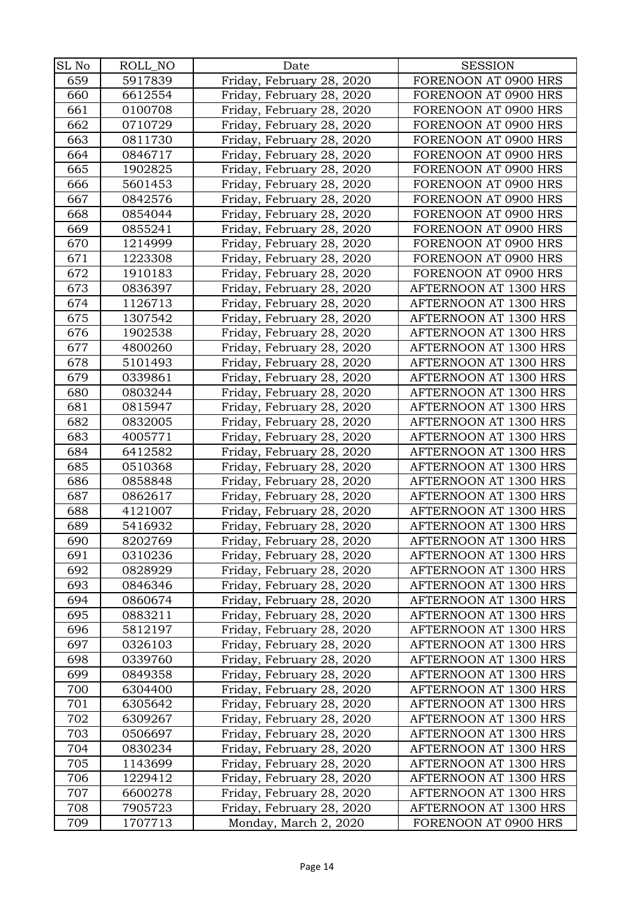| SL No | ROLL_NO | Date                      | <b>SESSION</b>        |
|-------|---------|---------------------------|-----------------------|
| 659   | 5917839 | Friday, February 28, 2020 | FORENOON AT 0900 HRS  |
| 660   | 6612554 | Friday, February 28, 2020 | FORENOON AT 0900 HRS  |
| 661   | 0100708 | Friday, February 28, 2020 | FORENOON AT 0900 HRS  |
| 662   | 0710729 | Friday, February 28, 2020 | FORENOON AT 0900 HRS  |
| 663   | 0811730 | Friday, February 28, 2020 | FORENOON AT 0900 HRS  |
| 664   | 0846717 | Friday, February 28, 2020 | FORENOON AT 0900 HRS  |
| 665   | 1902825 | Friday, February 28, 2020 | FORENOON AT 0900 HRS  |
| 666   | 5601453 | Friday, February 28, 2020 | FORENOON AT 0900 HRS  |
| 667   | 0842576 | Friday, February 28, 2020 | FORENOON AT 0900 HRS  |
| 668   | 0854044 | Friday, February 28, 2020 | FORENOON AT 0900 HRS  |
| 669   | 0855241 | Friday, February 28, 2020 | FORENOON AT 0900 HRS  |
| 670   | 1214999 | Friday, February 28, 2020 | FORENOON AT 0900 HRS  |
| 671   | 1223308 | Friday, February 28, 2020 | FORENOON AT 0900 HRS  |
| 672   | 1910183 | Friday, February 28, 2020 | FORENOON AT 0900 HRS  |
| 673   | 0836397 | Friday, February 28, 2020 | AFTERNOON AT 1300 HRS |
| 674   | 1126713 | Friday, February 28, 2020 | AFTERNOON AT 1300 HRS |
| 675   | 1307542 | Friday, February 28, 2020 | AFTERNOON AT 1300 HRS |
| 676   | 1902538 | Friday, February 28, 2020 | AFTERNOON AT 1300 HRS |
| 677   | 4800260 | Friday, February 28, 2020 | AFTERNOON AT 1300 HRS |
| 678   | 5101493 | Friday, February 28, 2020 | AFTERNOON AT 1300 HRS |
| 679   | 0339861 | Friday, February 28, 2020 | AFTERNOON AT 1300 HRS |
| 680   | 0803244 | Friday, February 28, 2020 | AFTERNOON AT 1300 HRS |
| 681   | 0815947 | Friday, February 28, 2020 | AFTERNOON AT 1300 HRS |
| 682   | 0832005 | Friday, February 28, 2020 | AFTERNOON AT 1300 HRS |
| 683   | 4005771 | Friday, February 28, 2020 | AFTERNOON AT 1300 HRS |
| 684   | 6412582 | Friday, February 28, 2020 | AFTERNOON AT 1300 HRS |
| 685   | 0510368 | Friday, February 28, 2020 | AFTERNOON AT 1300 HRS |
| 686   | 0858848 | Friday, February 28, 2020 | AFTERNOON AT 1300 HRS |
| 687   | 0862617 | Friday, February 28, 2020 | AFTERNOON AT 1300 HRS |
| 688   | 4121007 | Friday, February 28, 2020 | AFTERNOON AT 1300 HRS |
| 689   | 5416932 | Friday, February 28, 2020 | AFTERNOON AT 1300 HRS |
| 690   | 8202769 | Friday, February 28, 2020 | AFTERNOON AT 1300 HRS |
| 691   | 0310236 | Friday, February 28, 2020 | AFTERNOON AT 1300 HRS |
| 692   | 0828929 | Friday, February 28, 2020 | AFTERNOON AT 1300 HRS |
| 693   | 0846346 | Friday, February 28, 2020 | AFTERNOON AT 1300 HRS |
| 694   | 0860674 | Friday, February 28, 2020 | AFTERNOON AT 1300 HRS |
| 695   | 0883211 | Friday, February 28, 2020 | AFTERNOON AT 1300 HRS |
| 696   | 5812197 | Friday, February 28, 2020 | AFTERNOON AT 1300 HRS |
| 697   | 0326103 | Friday, February 28, 2020 | AFTERNOON AT 1300 HRS |
| 698   | 0339760 | Friday, February 28, 2020 | AFTERNOON AT 1300 HRS |
| 699   | 0849358 | Friday, February 28, 2020 | AFTERNOON AT 1300 HRS |
| 700   | 6304400 | Friday, February 28, 2020 | AFTERNOON AT 1300 HRS |
| 701   | 6305642 | Friday, February 28, 2020 | AFTERNOON AT 1300 HRS |
| 702   | 6309267 | Friday, February 28, 2020 | AFTERNOON AT 1300 HRS |
| 703   | 0506697 | Friday, February 28, 2020 | AFTERNOON AT 1300 HRS |
| 704   | 0830234 | Friday, February 28, 2020 | AFTERNOON AT 1300 HRS |
| 705   | 1143699 | Friday, February 28, 2020 | AFTERNOON AT 1300 HRS |
| 706   | 1229412 | Friday, February 28, 2020 | AFTERNOON AT 1300 HRS |
| 707   | 6600278 | Friday, February 28, 2020 | AFTERNOON AT 1300 HRS |
| 708   | 7905723 | Friday, February 28, 2020 | AFTERNOON AT 1300 HRS |
| 709   | 1707713 | Monday, March 2, 2020     | FORENOON AT 0900 HRS  |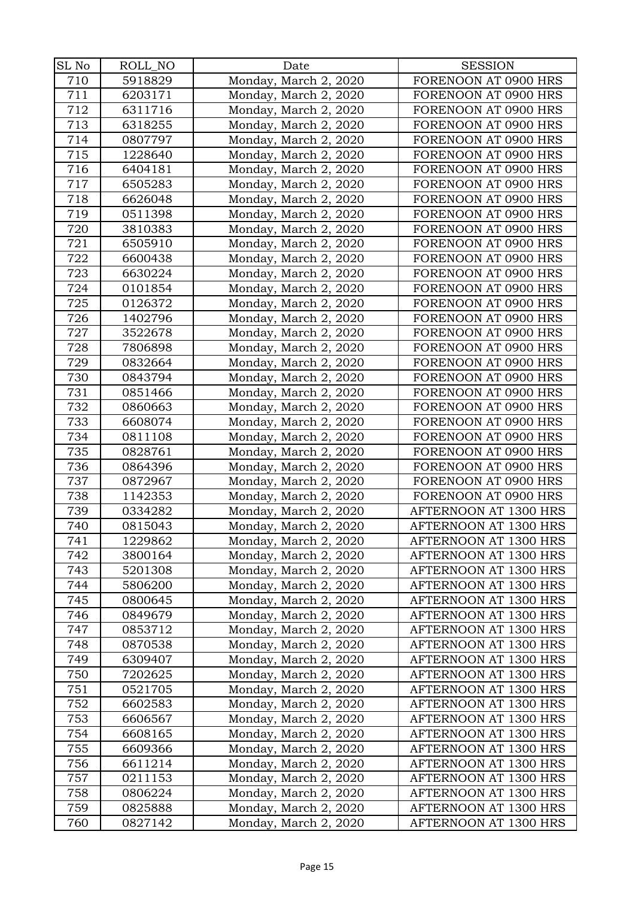| SL No | ROLL_NO | Date                  | <b>SESSION</b>        |
|-------|---------|-----------------------|-----------------------|
| 710   | 5918829 | Monday, March 2, 2020 | FORENOON AT 0900 HRS  |
| 711   | 6203171 | Monday, March 2, 2020 | FORENOON AT 0900 HRS  |
| 712   | 6311716 | Monday, March 2, 2020 | FORENOON AT 0900 HRS  |
| 713   | 6318255 | Monday, March 2, 2020 | FORENOON AT 0900 HRS  |
| 714   | 0807797 | Monday, March 2, 2020 | FORENOON AT 0900 HRS  |
| 715   | 1228640 | Monday, March 2, 2020 | FORENOON AT 0900 HRS  |
| 716   | 6404181 | Monday, March 2, 2020 | FORENOON AT 0900 HRS  |
| 717   | 6505283 | Monday, March 2, 2020 | FORENOON AT 0900 HRS  |
| 718   | 6626048 | Monday, March 2, 2020 | FORENOON AT 0900 HRS  |
| 719   | 0511398 | Monday, March 2, 2020 | FORENOON AT 0900 HRS  |
| 720   | 3810383 | Monday, March 2, 2020 | FORENOON AT 0900 HRS  |
| 721   | 6505910 | Monday, March 2, 2020 | FORENOON AT 0900 HRS  |
| 722   | 6600438 | Monday, March 2, 2020 | FORENOON AT 0900 HRS  |
| 723   | 6630224 | Monday, March 2, 2020 | FORENOON AT 0900 HRS  |
| 724   | 0101854 | Monday, March 2, 2020 | FORENOON AT 0900 HRS  |
| 725   | 0126372 | Monday, March 2, 2020 | FORENOON AT 0900 HRS  |
| 726   | 1402796 | Monday, March 2, 2020 | FORENOON AT 0900 HRS  |
| 727   | 3522678 | Monday, March 2, 2020 | FORENOON AT 0900 HRS  |
| 728   | 7806898 | Monday, March 2, 2020 | FORENOON AT 0900 HRS  |
| 729   | 0832664 | Monday, March 2, 2020 | FORENOON AT 0900 HRS  |
| 730   | 0843794 | Monday, March 2, 2020 | FORENOON AT 0900 HRS  |
| 731   | 0851466 | Monday, March 2, 2020 | FORENOON AT 0900 HRS  |
| 732   | 0860663 | Monday, March 2, 2020 | FORENOON AT 0900 HRS  |
| 733   | 6608074 | Monday, March 2, 2020 | FORENOON AT 0900 HRS  |
| 734   | 0811108 | Monday, March 2, 2020 | FORENOON AT 0900 HRS  |
| 735   | 0828761 | Monday, March 2, 2020 | FORENOON AT 0900 HRS  |
| 736   | 0864396 | Monday, March 2, 2020 | FORENOON AT 0900 HRS  |
| 737   | 0872967 | Monday, March 2, 2020 | FORENOON AT 0900 HRS  |
| 738   | 1142353 | Monday, March 2, 2020 | FORENOON AT 0900 HRS  |
| 739   | 0334282 | Monday, March 2, 2020 | AFTERNOON AT 1300 HRS |
| 740   | 0815043 | Monday, March 2, 2020 | AFTERNOON AT 1300 HRS |
| 741   | 1229862 | Monday, March 2, 2020 | AFTERNOON AT 1300 HRS |
| 742   | 3800164 | Monday, March 2, 2020 | AFTERNOON AT 1300 HRS |
| 743   | 5201308 | Monday, March 2, 2020 | AFTERNOON AT 1300 HRS |
| 744   | 5806200 | Monday, March 2, 2020 | AFTERNOON AT 1300 HRS |
| 745   | 0800645 | Monday, March 2, 2020 | AFTERNOON AT 1300 HRS |
| 746   | 0849679 | Monday, March 2, 2020 | AFTERNOON AT 1300 HRS |
| 747   | 0853712 | Monday, March 2, 2020 | AFTERNOON AT 1300 HRS |
| 748   | 0870538 | Monday, March 2, 2020 | AFTERNOON AT 1300 HRS |
| 749   | 6309407 | Monday, March 2, 2020 | AFTERNOON AT 1300 HRS |
| 750   | 7202625 | Monday, March 2, 2020 | AFTERNOON AT 1300 HRS |
| 751   | 0521705 | Monday, March 2, 2020 | AFTERNOON AT 1300 HRS |
| 752   | 6602583 | Monday, March 2, 2020 | AFTERNOON AT 1300 HRS |
| 753   | 6606567 | Monday, March 2, 2020 | AFTERNOON AT 1300 HRS |
| 754   | 6608165 | Monday, March 2, 2020 | AFTERNOON AT 1300 HRS |
| 755   | 6609366 | Monday, March 2, 2020 | AFTERNOON AT 1300 HRS |
| 756   | 6611214 | Monday, March 2, 2020 | AFTERNOON AT 1300 HRS |
| 757   | 0211153 | Monday, March 2, 2020 | AFTERNOON AT 1300 HRS |
| 758   | 0806224 | Monday, March 2, 2020 | AFTERNOON AT 1300 HRS |
| 759   | 0825888 | Monday, March 2, 2020 | AFTERNOON AT 1300 HRS |
| 760   | 0827142 | Monday, March 2, 2020 | AFTERNOON AT 1300 HRS |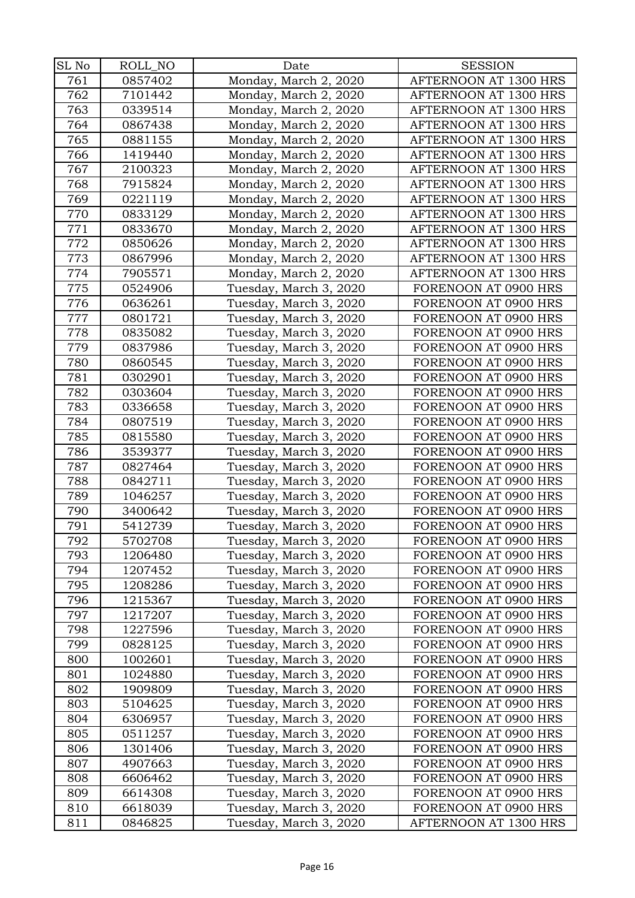| SL No | ROLL_NO | Date                   | <b>SESSION</b>        |
|-------|---------|------------------------|-----------------------|
| 761   | 0857402 | Monday, March 2, 2020  | AFTERNOON AT 1300 HRS |
| 762   | 7101442 | Monday, March 2, 2020  | AFTERNOON AT 1300 HRS |
| 763   | 0339514 | Monday, March 2, 2020  | AFTERNOON AT 1300 HRS |
| 764   | 0867438 | Monday, March 2, 2020  | AFTERNOON AT 1300 HRS |
| 765   | 0881155 | Monday, March 2, 2020  | AFTERNOON AT 1300 HRS |
| 766   | 1419440 | Monday, March 2, 2020  | AFTERNOON AT 1300 HRS |
| 767   | 2100323 | Monday, March 2, 2020  | AFTERNOON AT 1300 HRS |
| 768   | 7915824 | Monday, March 2, 2020  | AFTERNOON AT 1300 HRS |
| 769   | 0221119 | Monday, March 2, 2020  | AFTERNOON AT 1300 HRS |
| 770   | 0833129 | Monday, March 2, 2020  | AFTERNOON AT 1300 HRS |
| 771   | 0833670 | Monday, March 2, 2020  | AFTERNOON AT 1300 HRS |
| 772   | 0850626 | Monday, March 2, 2020  | AFTERNOON AT 1300 HRS |
| 773   | 0867996 | Monday, March 2, 2020  | AFTERNOON AT 1300 HRS |
| 774   | 7905571 | Monday, March 2, 2020  | AFTERNOON AT 1300 HRS |
| 775   | 0524906 | Tuesday, March 3, 2020 | FORENOON AT 0900 HRS  |
| 776   | 0636261 | Tuesday, March 3, 2020 | FORENOON AT 0900 HRS  |
| 777   | 0801721 | Tuesday, March 3, 2020 | FORENOON AT 0900 HRS  |
| 778   | 0835082 | Tuesday, March 3, 2020 | FORENOON AT 0900 HRS  |
| 779   | 0837986 | Tuesday, March 3, 2020 | FORENOON AT 0900 HRS  |
| 780   | 0860545 | Tuesday, March 3, 2020 | FORENOON AT 0900 HRS  |
| 781   | 0302901 | Tuesday, March 3, 2020 | FORENOON AT 0900 HRS  |
| 782   | 0303604 | Tuesday, March 3, 2020 | FORENOON AT 0900 HRS  |
| 783   | 0336658 | Tuesday, March 3, 2020 | FORENOON AT 0900 HRS  |
| 784   | 0807519 | Tuesday, March 3, 2020 | FORENOON AT 0900 HRS  |
| 785   | 0815580 | Tuesday, March 3, 2020 | FORENOON AT 0900 HRS  |
| 786   | 3539377 | Tuesday, March 3, 2020 | FORENOON AT 0900 HRS  |
| 787   | 0827464 | Tuesday, March 3, 2020 | FORENOON AT 0900 HRS  |
| 788   | 0842711 | Tuesday, March 3, 2020 | FORENOON AT 0900 HRS  |
| 789   | 1046257 | Tuesday, March 3, 2020 | FORENOON AT 0900 HRS  |
| 790   | 3400642 | Tuesday, March 3, 2020 | FORENOON AT 0900 HRS  |
| 791   | 5412739 | Tuesday, March 3, 2020 | FORENOON AT 0900 HRS  |
| 792   | 5702708 | Tuesday, March 3, 2020 | FORENOON AT 0900 HRS  |
| 793   | 1206480 | Tuesday, March 3, 2020 | FORENOON AT 0900 HRS  |
| 794   | 1207452 | Tuesday, March 3, 2020 | FORENOON AT 0900 HRS  |
| 795   | 1208286 | Tuesday, March 3, 2020 | FORENOON AT 0900 HRS  |
| 796   | 1215367 | Tuesday, March 3, 2020 | FORENOON AT 0900 HRS  |
| 797   | 1217207 | Tuesday, March 3, 2020 | FORENOON AT 0900 HRS  |
| 798   | 1227596 | Tuesday, March 3, 2020 | FORENOON AT 0900 HRS  |
| 799   | 0828125 | Tuesday, March 3, 2020 | FORENOON AT 0900 HRS  |
| 800   | 1002601 | Tuesday, March 3, 2020 | FORENOON AT 0900 HRS  |
| 801   | 1024880 | Tuesday, March 3, 2020 | FORENOON AT 0900 HRS  |
| 802   | 1909809 | Tuesday, March 3, 2020 | FORENOON AT 0900 HRS  |
| 803   | 5104625 | Tuesday, March 3, 2020 | FORENOON AT 0900 HRS  |
| 804   | 6306957 | Tuesday, March 3, 2020 | FORENOON AT 0900 HRS  |
| 805   | 0511257 | Tuesday, March 3, 2020 | FORENOON AT 0900 HRS  |
| 806   | 1301406 | Tuesday, March 3, 2020 | FORENOON AT 0900 HRS  |
| 807   | 4907663 | Tuesday, March 3, 2020 | FORENOON AT 0900 HRS  |
| 808   | 6606462 | Tuesday, March 3, 2020 | FORENOON AT 0900 HRS  |
| 809   | 6614308 | Tuesday, March 3, 2020 | FORENOON AT 0900 HRS  |
| 810   | 6618039 | Tuesday, March 3, 2020 | FORENOON AT 0900 HRS  |
| 811   | 0846825 | Tuesday, March 3, 2020 | AFTERNOON AT 1300 HRS |
|       |         |                        |                       |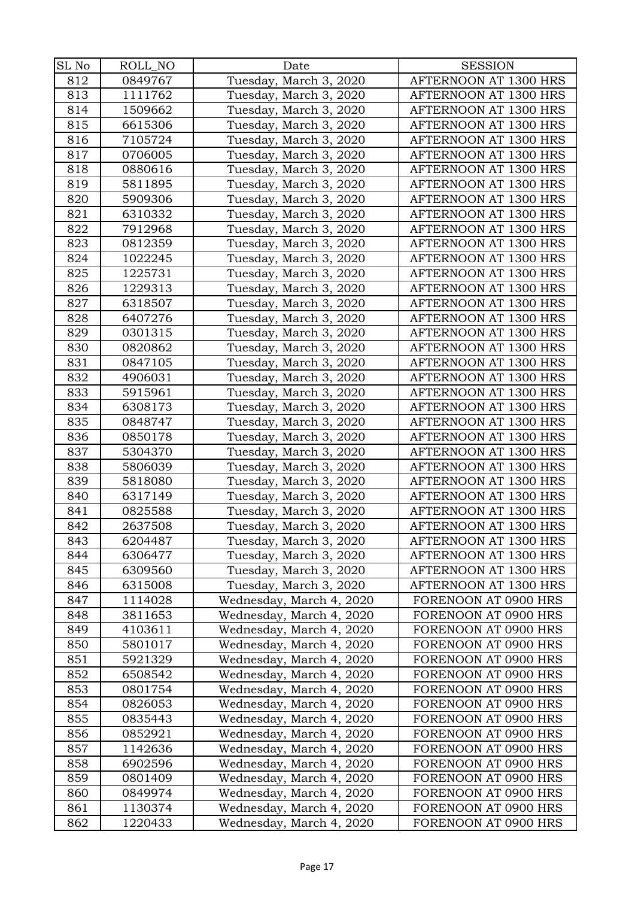| SL No | ROLL_NO | Date                     | <b>SESSION</b>                               |
|-------|---------|--------------------------|----------------------------------------------|
| 812   | 0849767 | Tuesday, March 3, 2020   | AFTERNOON AT 1300 HRS                        |
| 813   | 1111762 | Tuesday, March 3, 2020   | AFTERNOON AT 1300 HRS                        |
| 814   | 1509662 | Tuesday, March 3, 2020   | AFTERNOON AT 1300 HRS                        |
| 815   | 6615306 | Tuesday, March 3, 2020   | AFTERNOON AT 1300 HRS                        |
| 816   | 7105724 | Tuesday, March 3, 2020   | AFTERNOON AT 1300 HRS                        |
| 817   | 0706005 | Tuesday, March 3, 2020   | AFTERNOON AT 1300 HRS                        |
| 818   | 0880616 | Tuesday, March 3, 2020   | AFTERNOON AT 1300 HRS                        |
| 819   | 5811895 | Tuesday, March 3, 2020   | AFTERNOON AT 1300 HRS                        |
| 820   | 5909306 | Tuesday, March 3, 2020   | AFTERNOON AT 1300 HRS                        |
| 821   | 6310332 | Tuesday, March 3, 2020   | AFTERNOON AT 1300 HRS                        |
| 822   | 7912968 | Tuesday, March 3, 2020   | AFTERNOON AT 1300 HRS                        |
| 823   | 0812359 | Tuesday, March 3, 2020   | AFTERNOON AT 1300 HRS                        |
| 824   | 1022245 | Tuesday, March 3, 2020   | AFTERNOON AT 1300 HRS                        |
| 825   | 1225731 | Tuesday, March 3, 2020   | AFTERNOON AT 1300 HRS                        |
| 826   | 1229313 | Tuesday, March 3, 2020   | AFTERNOON AT 1300 HRS                        |
| 827   | 6318507 | Tuesday, March 3, 2020   | AFTERNOON AT 1300 HRS                        |
| 828   | 6407276 | Tuesday, March 3, 2020   | AFTERNOON AT 1300 HRS                        |
| 829   | 0301315 | Tuesday, March 3, 2020   | AFTERNOON AT 1300 HRS                        |
| 830   | 0820862 | Tuesday, March 3, 2020   | AFTERNOON AT 1300 HRS                        |
| 831   | 0847105 | Tuesday, March 3, 2020   | AFTERNOON AT 1300 HRS                        |
| 832   | 4906031 | Tuesday, March 3, 2020   | AFTERNOON AT 1300 HRS                        |
| 833   | 5915961 | Tuesday, March 3, 2020   | AFTERNOON AT 1300 HRS                        |
| 834   | 6308173 | Tuesday, March 3, 2020   | AFTERNOON AT 1300 HRS                        |
| 835   | 0848747 | Tuesday, March 3, 2020   | AFTERNOON AT 1300 HRS                        |
| 836   | 0850178 | Tuesday, March 3, 2020   | AFTERNOON AT 1300 HRS                        |
| 837   | 5304370 | Tuesday, March 3, 2020   | AFTERNOON AT 1300 HRS                        |
| 838   | 5806039 | Tuesday, March 3, 2020   | AFTERNOON AT 1300 HRS                        |
| 839   | 5818080 | Tuesday, March 3, 2020   | AFTERNOON AT 1300 HRS                        |
| 840   | 6317149 | Tuesday, March 3, 2020   | AFTERNOON AT 1300 HRS                        |
| 841   | 0825588 | Tuesday, March 3, 2020   | AFTERNOON AT 1300 HRS                        |
| 842   | 2637508 | Tuesday, March 3, 2020   | AFTERNOON AT 1300 HRS                        |
| 843   | 6204487 | Tuesday, March 3, 2020   | AFTERNOON AT 1300 HRS                        |
| 844   | 6306477 | Tuesday, March 3, 2020   | AFTERNOON AT 1300 HRS                        |
| 845   | 6309560 | Tuesday, March 3, 2020   | AFTERNOON AT 1300 HRS                        |
| 846   | 6315008 | Tuesday, March 3, 2020   | AFTERNOON AT 1300 HRS                        |
| 847   | 1114028 | Wednesday, March 4, 2020 | FORENOON AT 0900 HRS                         |
| 848   | 3811653 | Wednesday, March 4, 2020 | FORENOON AT 0900 HRS                         |
| 849   | 4103611 | Wednesday, March 4, 2020 | FORENOON AT 0900 HRS                         |
| 850   | 5801017 | Wednesday, March 4, 2020 | FORENOON AT 0900 HRS                         |
| 851   | 5921329 | Wednesday, March 4, 2020 | FORENOON AT 0900 HRS                         |
| 852   | 6508542 | Wednesday, March 4, 2020 | FORENOON AT 0900 HRS                         |
| 853   | 0801754 | Wednesday, March 4, 2020 | FORENOON AT 0900 HRS                         |
| 854   | 0826053 | Wednesday, March 4, 2020 | FORENOON AT 0900 HRS                         |
| 855   | 0835443 | Wednesday, March 4, 2020 | FORENOON AT 0900 HRS                         |
| 856   | 0852921 | Wednesday, March 4, 2020 | FORENOON AT 0900 HRS                         |
| 857   | 1142636 | Wednesday, March 4, 2020 | FORENOON AT 0900 HRS                         |
| 858   | 6902596 | Wednesday, March 4, 2020 | FORENOON AT 0900 HRS                         |
| 859   | 0801409 | Wednesday, March 4, 2020 | FORENOON AT 0900 HRS                         |
| 860   | 0849974 | Wednesday, March 4, 2020 | FORENOON AT 0900 HRS<br>FORENOON AT 0900 HRS |
| 861   | 1130374 | Wednesday, March 4, 2020 |                                              |
| 862   | 1220433 | Wednesday, March 4, 2020 | FORENOON AT 0900 HRS                         |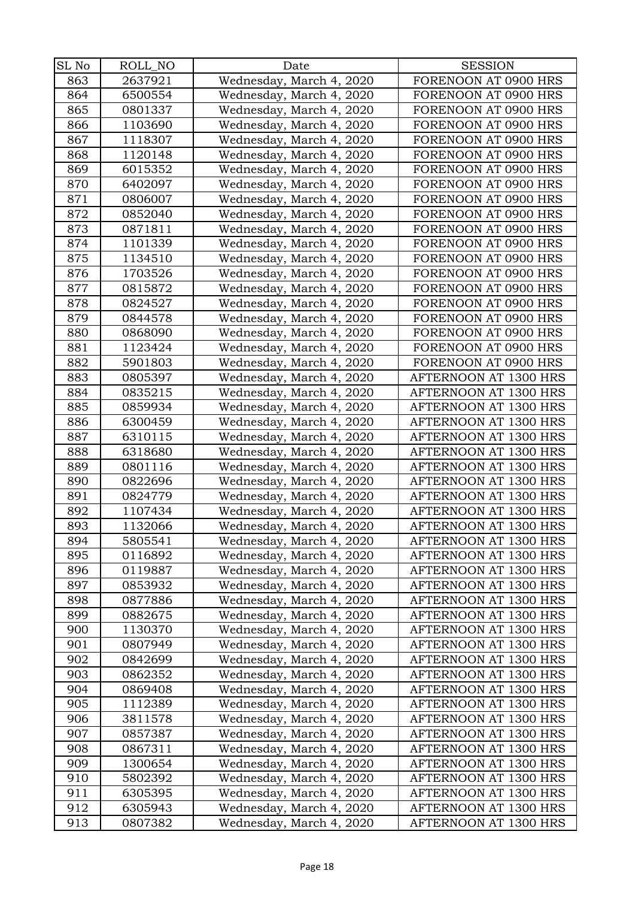| SL No | ROLL_NO | Date                     | <b>SESSION</b>        |
|-------|---------|--------------------------|-----------------------|
| 863   | 2637921 | Wednesday, March 4, 2020 | FORENOON AT 0900 HRS  |
| 864   | 6500554 | Wednesday, March 4, 2020 | FORENOON AT 0900 HRS  |
| 865   | 0801337 |                          | FORENOON AT 0900 HRS  |
|       | 1103690 | Wednesday, March 4, 2020 |                       |
| 866   |         | Wednesday, March 4, 2020 | FORENOON AT 0900 HRS  |
| 867   | 1118307 | Wednesday, March 4, 2020 | FORENOON AT 0900 HRS  |
| 868   | 1120148 | Wednesday, March 4, 2020 | FORENOON AT 0900 HRS  |
| 869   | 6015352 | Wednesday, March 4, 2020 | FORENOON AT 0900 HRS  |
| 870   | 6402097 | Wednesday, March 4, 2020 | FORENOON AT 0900 HRS  |
| 871   | 0806007 | Wednesday, March 4, 2020 | FORENOON AT 0900 HRS  |
| 872   | 0852040 | Wednesday, March 4, 2020 | FORENOON AT 0900 HRS  |
| 873   | 0871811 | Wednesday, March 4, 2020 | FORENOON AT 0900 HRS  |
| 874   | 1101339 | Wednesday, March 4, 2020 | FORENOON AT 0900 HRS  |
| 875   | 1134510 | Wednesday, March 4, 2020 | FORENOON AT 0900 HRS  |
| 876   | 1703526 | Wednesday, March 4, 2020 | FORENOON AT 0900 HRS  |
| 877   | 0815872 | Wednesday, March 4, 2020 | FORENOON AT 0900 HRS  |
| 878   | 0824527 | Wednesday, March 4, 2020 | FORENOON AT 0900 HRS  |
| 879   | 0844578 | Wednesday, March 4, 2020 | FORENOON AT 0900 HRS  |
| 880   | 0868090 | Wednesday, March 4, 2020 | FORENOON AT 0900 HRS  |
| 881   | 1123424 | Wednesday, March 4, 2020 | FORENOON AT 0900 HRS  |
| 882   | 5901803 | Wednesday, March 4, 2020 | FORENOON AT 0900 HRS  |
| 883   | 0805397 | Wednesday, March 4, 2020 | AFTERNOON AT 1300 HRS |
| 884   | 0835215 | Wednesday, March 4, 2020 | AFTERNOON AT 1300 HRS |
| 885   | 0859934 | Wednesday, March 4, 2020 | AFTERNOON AT 1300 HRS |
| 886   | 6300459 | Wednesday, March 4, 2020 | AFTERNOON AT 1300 HRS |
| 887   | 6310115 | Wednesday, March 4, 2020 | AFTERNOON AT 1300 HRS |
| 888   | 6318680 | Wednesday, March 4, 2020 | AFTERNOON AT 1300 HRS |
| 889   | 0801116 | Wednesday, March 4, 2020 | AFTERNOON AT 1300 HRS |
| 890   | 0822696 | Wednesday, March 4, 2020 | AFTERNOON AT 1300 HRS |
| 891   | 0824779 | Wednesday, March 4, 2020 | AFTERNOON AT 1300 HRS |
| 892   | 1107434 | Wednesday, March 4, 2020 | AFTERNOON AT 1300 HRS |
| 893   | 1132066 | Wednesday, March 4, 2020 | AFTERNOON AT 1300 HRS |
| 894   | 5805541 | Wednesday, March 4, 2020 | AFTERNOON AT 1300 HRS |
| 895   | 0116892 | Wednesday, March 4, 2020 | AFTERNOON AT 1300 HRS |
| 896   | 0119887 | Wednesday, March 4, 2020 | AFTERNOON AT 1300 HRS |
| 897   | 0853932 | Wednesday, March 4, 2020 | AFTERNOON AT 1300 HRS |
| 898   | 0877886 | Wednesday, March 4, 2020 | AFTERNOON AT 1300 HRS |
| 899   | 0882675 | Wednesday, March 4, 2020 | AFTERNOON AT 1300 HRS |
| 900   | 1130370 | Wednesday, March 4, 2020 | AFTERNOON AT 1300 HRS |
| 901   | 0807949 | Wednesday, March 4, 2020 | AFTERNOON AT 1300 HRS |
| 902   | 0842699 | Wednesday, March 4, 2020 | AFTERNOON AT 1300 HRS |
| 903   | 0862352 | Wednesday, March 4, 2020 | AFTERNOON AT 1300 HRS |
| 904   | 0869408 | Wednesday, March 4, 2020 | AFTERNOON AT 1300 HRS |
| 905   | 1112389 | Wednesday, March 4, 2020 | AFTERNOON AT 1300 HRS |
| 906   | 3811578 | Wednesday, March 4, 2020 | AFTERNOON AT 1300 HRS |
| 907   | 0857387 | Wednesday, March 4, 2020 | AFTERNOON AT 1300 HRS |
| 908   | 0867311 | Wednesday, March 4, 2020 | AFTERNOON AT 1300 HRS |
| 909   | 1300654 | Wednesday, March 4, 2020 | AFTERNOON AT 1300 HRS |
| 910   | 5802392 | Wednesday, March 4, 2020 | AFTERNOON AT 1300 HRS |
| 911   | 6305395 | Wednesday, March 4, 2020 | AFTERNOON AT 1300 HRS |
| 912   | 6305943 | Wednesday, March 4, 2020 | AFTERNOON AT 1300 HRS |
| 913   | 0807382 | Wednesday, March 4, 2020 | AFTERNOON AT 1300 HRS |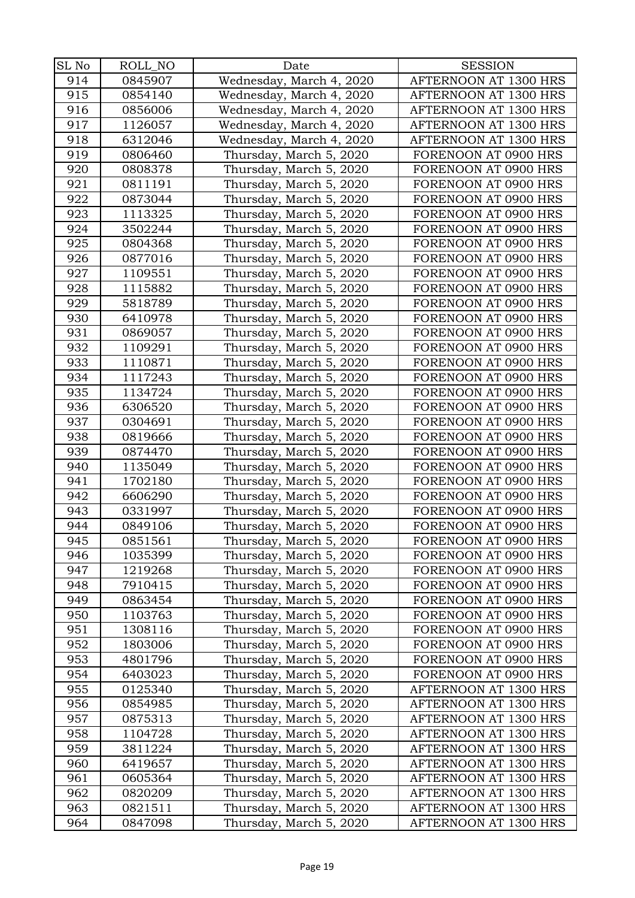| SL No | ROLL_NO | Date                     | <b>SESSION</b>        |
|-------|---------|--------------------------|-----------------------|
| 914   | 0845907 | Wednesday, March 4, 2020 | AFTERNOON AT 1300 HRS |
| 915   | 0854140 | Wednesday, March 4, 2020 | AFTERNOON AT 1300 HRS |
| 916   | 0856006 | Wednesday, March 4, 2020 | AFTERNOON AT 1300 HRS |
| 917   | 1126057 | Wednesday, March 4, 2020 | AFTERNOON AT 1300 HRS |
| 918   | 6312046 | Wednesday, March 4, 2020 | AFTERNOON AT 1300 HRS |
| 919   | 0806460 | Thursday, March 5, 2020  | FORENOON AT 0900 HRS  |
| 920   | 0808378 | Thursday, March 5, 2020  | FORENOON AT 0900 HRS  |
| 921   | 0811191 | Thursday, March 5, 2020  | FORENOON AT 0900 HRS  |
| 922   | 0873044 | Thursday, March 5, 2020  | FORENOON AT 0900 HRS  |
| 923   | 1113325 | Thursday, March 5, 2020  | FORENOON AT 0900 HRS  |
| 924   | 3502244 | Thursday, March 5, 2020  | FORENOON AT 0900 HRS  |
| 925   | 0804368 | Thursday, March 5, 2020  | FORENOON AT 0900 HRS  |
| 926   | 0877016 | Thursday, March 5, 2020  | FORENOON AT 0900 HRS  |
| 927   | 1109551 | Thursday, March 5, 2020  | FORENOON AT 0900 HRS  |
| 928   | 1115882 | Thursday, March 5, 2020  | FORENOON AT 0900 HRS  |
| 929   | 5818789 | Thursday, March 5, 2020  | FORENOON AT 0900 HRS  |
| 930   | 6410978 | Thursday, March 5, 2020  | FORENOON AT 0900 HRS  |
| 931   | 0869057 | Thursday, March 5, 2020  | FORENOON AT 0900 HRS  |
| 932   | 1109291 | Thursday, March 5, 2020  | FORENOON AT 0900 HRS  |
| 933   | 1110871 | Thursday, March 5, 2020  | FORENOON AT 0900 HRS  |
| 934   | 1117243 | Thursday, March 5, 2020  | FORENOON AT 0900 HRS  |
| 935   | 1134724 | Thursday, March 5, 2020  | FORENOON AT 0900 HRS  |
| 936   | 6306520 | Thursday, March 5, 2020  | FORENOON AT 0900 HRS  |
| 937   | 0304691 | Thursday, March 5, 2020  | FORENOON AT 0900 HRS  |
| 938   | 0819666 | Thursday, March 5, 2020  | FORENOON AT 0900 HRS  |
| 939   | 0874470 | Thursday, March 5, 2020  | FORENOON AT 0900 HRS  |
| 940   | 1135049 | Thursday, March 5, 2020  | FORENOON AT 0900 HRS  |
| 941   | 1702180 | Thursday, March 5, 2020  | FORENOON AT 0900 HRS  |
| 942   | 6606290 | Thursday, March 5, 2020  | FORENOON AT 0900 HRS  |
| 943   | 0331997 | Thursday, March 5, 2020  | FORENOON AT 0900 HRS  |
| 944   | 0849106 | Thursday, March 5, 2020  | FORENOON AT 0900 HRS  |
| 945   | 0851561 | Thursday, March 5, 2020  | FORENOON AT 0900 HRS  |
| 946   | 1035399 | Thursday, March 5, 2020  | FORENOON AT 0900 HRS  |
| 947   | 1219268 | Thursday, March 5, 2020  | FORENOON AT 0900 HRS  |
| 948   | 7910415 | Thursday, March 5, 2020  | FORENOON AT 0900 HRS  |
| 949   | 0863454 | Thursday, March 5, 2020  | FORENOON AT 0900 HRS  |
| 950   | 1103763 | Thursday, March 5, 2020  | FORENOON AT 0900 HRS  |
| 951   | 1308116 | Thursday, March 5, 2020  | FORENOON AT 0900 HRS  |
| 952   | 1803006 | Thursday, March 5, 2020  | FORENOON AT 0900 HRS  |
| 953   | 4801796 | Thursday, March 5, 2020  | FORENOON AT 0900 HRS  |
| 954   | 6403023 | Thursday, March 5, 2020  | FORENOON AT 0900 HRS  |
| 955   | 0125340 | Thursday, March 5, 2020  | AFTERNOON AT 1300 HRS |
| 956   | 0854985 | Thursday, March 5, 2020  | AFTERNOON AT 1300 HRS |
| 957   | 0875313 | Thursday, March 5, 2020  | AFTERNOON AT 1300 HRS |
| 958   | 1104728 | Thursday, March 5, 2020  | AFTERNOON AT 1300 HRS |
| 959   | 3811224 | Thursday, March 5, 2020  | AFTERNOON AT 1300 HRS |
| 960   | 6419657 | Thursday, March 5, 2020  | AFTERNOON AT 1300 HRS |
| 961   | 0605364 | Thursday, March 5, 2020  | AFTERNOON AT 1300 HRS |
| 962   | 0820209 | Thursday, March 5, 2020  | AFTERNOON AT 1300 HRS |
| 963   | 0821511 | Thursday, March 5, 2020  | AFTERNOON AT 1300 HRS |
| 964   | 0847098 | Thursday, March 5, 2020  | AFTERNOON AT 1300 HRS |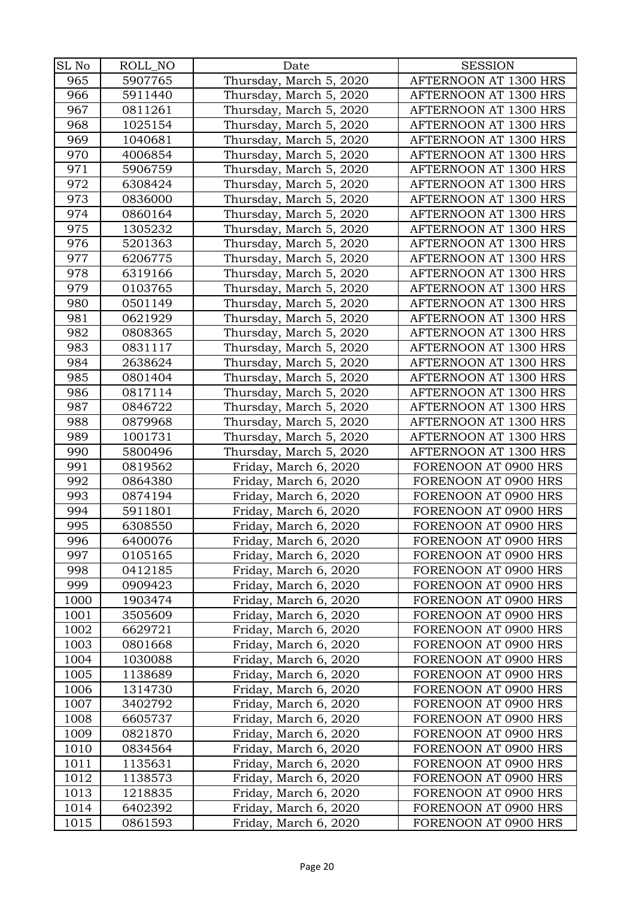| SL No | ROLL_NO | Date                    | <b>SESSION</b>        |
|-------|---------|-------------------------|-----------------------|
| 965   | 5907765 | Thursday, March 5, 2020 | AFTERNOON AT 1300 HRS |
| 966   | 5911440 | Thursday, March 5, 2020 | AFTERNOON AT 1300 HRS |
| 967   | 0811261 | Thursday, March 5, 2020 | AFTERNOON AT 1300 HRS |
| 968   | 1025154 | Thursday, March 5, 2020 | AFTERNOON AT 1300 HRS |
| 969   | 1040681 | Thursday, March 5, 2020 | AFTERNOON AT 1300 HRS |
| 970   | 4006854 | Thursday, March 5, 2020 | AFTERNOON AT 1300 HRS |
| 971   | 5906759 | Thursday, March 5, 2020 | AFTERNOON AT 1300 HRS |
| 972   | 6308424 | Thursday, March 5, 2020 | AFTERNOON AT 1300 HRS |
| 973   | 0836000 | Thursday, March 5, 2020 | AFTERNOON AT 1300 HRS |
| 974   | 0860164 | Thursday, March 5, 2020 | AFTERNOON AT 1300 HRS |
| 975   | 1305232 | Thursday, March 5, 2020 | AFTERNOON AT 1300 HRS |
| 976   | 5201363 | Thursday, March 5, 2020 | AFTERNOON AT 1300 HRS |
| 977   | 6206775 | Thursday, March 5, 2020 | AFTERNOON AT 1300 HRS |
| 978   | 6319166 | Thursday, March 5, 2020 | AFTERNOON AT 1300 HRS |
| 979   | 0103765 | Thursday, March 5, 2020 | AFTERNOON AT 1300 HRS |
| 980   | 0501149 | Thursday, March 5, 2020 | AFTERNOON AT 1300 HRS |
| 981   | 0621929 | Thursday, March 5, 2020 | AFTERNOON AT 1300 HRS |
| 982   | 0808365 | Thursday, March 5, 2020 | AFTERNOON AT 1300 HRS |
| 983   | 0831117 | Thursday, March 5, 2020 | AFTERNOON AT 1300 HRS |
| 984   | 2638624 | Thursday, March 5, 2020 | AFTERNOON AT 1300 HRS |
| 985   | 0801404 | Thursday, March 5, 2020 | AFTERNOON AT 1300 HRS |
| 986   | 0817114 | Thursday, March 5, 2020 | AFTERNOON AT 1300 HRS |
| 987   | 0846722 | Thursday, March 5, 2020 | AFTERNOON AT 1300 HRS |
| 988   | 0879968 | Thursday, March 5, 2020 | AFTERNOON AT 1300 HRS |
| 989   | 1001731 | Thursday, March 5, 2020 | AFTERNOON AT 1300 HRS |
| 990   | 5800496 | Thursday, March 5, 2020 | AFTERNOON AT 1300 HRS |
| 991   | 0819562 | Friday, March 6, 2020   | FORENOON AT 0900 HRS  |
| 992   | 0864380 | Friday, March 6, 2020   | FORENOON AT 0900 HRS  |
| 993   | 0874194 | Friday, March 6, 2020   | FORENOON AT 0900 HRS  |
| 994   | 5911801 | Friday, March 6, 2020   | FORENOON AT 0900 HRS  |
| 995   | 6308550 | Friday, March 6, 2020   | FORENOON AT 0900 HRS  |
| 996   | 6400076 | Friday, March 6, 2020   | FORENOON AT 0900 HRS  |
| 997   | 0105165 | Friday, March 6, 2020   | FORENOON AT 0900 HRS  |
| 998   | 0412185 | Friday, March 6, 2020   | FORENOON AT 0900 HRS  |
| 999   | 0909423 | Friday, March 6, 2020   | FORENOON AT 0900 HRS  |
| 1000  | 1903474 | Friday, March 6, 2020   | FORENOON AT 0900 HRS  |
| 1001  | 3505609 | Friday, March 6, 2020   | FORENOON AT 0900 HRS  |
| 1002  | 6629721 | Friday, March 6, 2020   | FORENOON AT 0900 HRS  |
| 1003  | 0801668 | Friday, March 6, 2020   | FORENOON AT 0900 HRS  |
| 1004  | 1030088 | Friday, March 6, 2020   | FORENOON AT 0900 HRS  |
| 1005  | 1138689 | Friday, March 6, 2020   | FORENOON AT 0900 HRS  |
| 1006  | 1314730 | Friday, March 6, 2020   | FORENOON AT 0900 HRS  |
| 1007  | 3402792 | Friday, March 6, 2020   | FORENOON AT 0900 HRS  |
| 1008  | 6605737 | Friday, March 6, 2020   | FORENOON AT 0900 HRS  |
| 1009  | 0821870 | Friday, March 6, 2020   | FORENOON AT 0900 HRS  |
| 1010  | 0834564 | Friday, March 6, 2020   | FORENOON AT 0900 HRS  |
| 1011  | 1135631 | Friday, March 6, 2020   | FORENOON AT 0900 HRS  |
| 1012  | 1138573 | Friday, March 6, 2020   | FORENOON AT 0900 HRS  |
| 1013  | 1218835 | Friday, March 6, 2020   | FORENOON AT 0900 HRS  |
| 1014  | 6402392 | Friday, March 6, 2020   | FORENOON AT 0900 HRS  |
| 1015  | 0861593 | Friday, March 6, 2020   | FORENOON AT 0900 HRS  |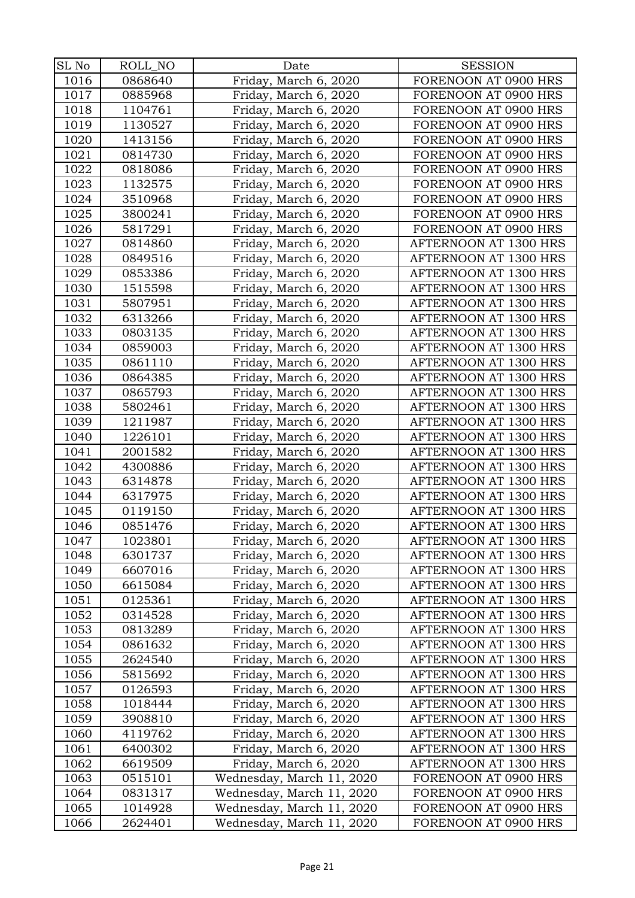| SL No        | ROLL_NO            | Date                                                   | <b>SESSION</b>                               |
|--------------|--------------------|--------------------------------------------------------|----------------------------------------------|
| 1016         | 0868640            | Friday, March 6, 2020                                  | FORENOON AT 0900 HRS                         |
| 1017         | 0885968            | Friday, March 6, 2020                                  | FORENOON AT 0900 HRS                         |
| 1018         | 1104761            | Friday, March 6, 2020                                  | FORENOON AT 0900 HRS                         |
| 1019         | 1130527            | Friday, March 6, 2020                                  | FORENOON AT 0900 HRS                         |
| 1020         | 1413156            | Friday, March 6, 2020                                  | FORENOON AT 0900 HRS                         |
| 1021         | 0814730            | Friday, March 6, 2020                                  | FORENOON AT 0900 HRS                         |
| 1022         | 0818086            | Friday, March 6, 2020                                  | FORENOON AT 0900 HRS                         |
| 1023         | 1132575            | Friday, March 6, 2020                                  | FORENOON AT 0900 HRS                         |
| 1024         | 3510968            | Friday, March 6, 2020                                  | FORENOON AT 0900 HRS                         |
| 1025         | 3800241            | Friday, March 6, 2020                                  | FORENOON AT 0900 HRS                         |
| 1026         | 5817291            | Friday, March 6, 2020                                  | FORENOON AT 0900 HRS                         |
| 1027         | 0814860            | Friday, March 6, 2020                                  | AFTERNOON AT 1300 HRS                        |
| 1028         | 0849516            | Friday, March 6, 2020                                  | AFTERNOON AT 1300 HRS                        |
| 1029         | 0853386            | Friday, March 6, 2020                                  | AFTERNOON AT 1300 HRS                        |
| 1030         | 1515598            | Friday, March 6, 2020                                  | AFTERNOON AT 1300 HRS                        |
| 1031         | 5807951            | Friday, March 6, 2020                                  | AFTERNOON AT 1300 HRS                        |
| 1032         | 6313266            | Friday, March 6, 2020                                  | AFTERNOON AT 1300 HRS                        |
| 1033         | 0803135            | Friday, March 6, 2020                                  | AFTERNOON AT 1300 HRS                        |
| 1034         | 0859003            | Friday, March 6, 2020                                  | AFTERNOON AT 1300 HRS                        |
| 1035         | 0861110            | Friday, March 6, 2020                                  | AFTERNOON AT 1300 HRS                        |
| 1036         | 0864385            | Friday, March 6, 2020                                  | AFTERNOON AT 1300 HRS                        |
| 1037         | 0865793            | Friday, March 6, 2020                                  | AFTERNOON AT 1300 HRS                        |
| 1038         | 5802461            | Friday, March 6, 2020                                  | AFTERNOON AT 1300 HRS                        |
| 1039         | 1211987            | Friday, March 6, 2020                                  | AFTERNOON AT 1300 HRS                        |
| 1040         | 1226101            | Friday, March 6, 2020                                  | AFTERNOON AT 1300 HRS                        |
| 1041         | 2001582            | Friday, March 6, 2020                                  | AFTERNOON AT 1300 HRS                        |
| 1042         | 4300886            | Friday, March 6, 2020                                  | AFTERNOON AT 1300 HRS                        |
| 1043         | 6314878            | Friday, March 6, 2020                                  | AFTERNOON AT 1300 HRS                        |
| 1044         | 6317975            | Friday, March 6, 2020                                  | AFTERNOON AT 1300 HRS                        |
| 1045         | 0119150            | Friday, March 6, 2020                                  | AFTERNOON AT 1300 HRS                        |
| 1046         | 0851476            | Friday, March 6, 2020                                  | AFTERNOON AT 1300 HRS                        |
| 1047         | 1023801            | Friday, March 6, 2020                                  | AFTERNOON AT 1300 HRS                        |
| 1048         | 6301737            | Friday, March 6, 2020                                  | AFTERNOON AT 1300 HRS                        |
| 1049         | 6607016            | Friday, March 6, 2020                                  | AFTERNOON AT 1300 HRS                        |
| 1050         | 6615084            | Friday, March 6, 2020                                  | AFTERNOON AT 1300 HRS                        |
| 1051         | 0125361            | Friday, March 6, 2020                                  | AFTERNOON AT 1300 HRS                        |
| 1052         | 0314528            | Friday, March 6, 2020                                  | AFTERNOON AT 1300 HRS                        |
| 1053         | 0813289            | Friday, March 6, 2020                                  | AFTERNOON AT 1300 HRS                        |
| 1054         | 0861632            | Friday, March 6, 2020                                  | AFTERNOON AT 1300 HRS                        |
| 1055         | 2624540            | Friday, March 6, 2020                                  | AFTERNOON AT 1300 HRS                        |
| 1056         | 5815692            | Friday, March 6, 2020                                  | AFTERNOON AT 1300 HRS                        |
| 1057         | 0126593            | Friday, March 6, 2020                                  | AFTERNOON AT 1300 HRS                        |
| 1058         | 1018444            | Friday, March 6, 2020                                  | AFTERNOON AT 1300 HRS                        |
| 1059         | 3908810            | Friday, March 6, 2020                                  | AFTERNOON AT 1300 HRS                        |
| 1060         | 4119762            | Friday, March 6, 2020                                  | AFTERNOON AT 1300 HRS                        |
| 1061         | 6400302            | Friday, March 6, 2020                                  | AFTERNOON AT 1300 HRS                        |
| 1062         | 6619509            | Friday, March 6, 2020                                  | AFTERNOON AT 1300 HRS                        |
| 1063<br>1064 | 0515101<br>0831317 | Wednesday, March 11, 2020<br>Wednesday, March 11, 2020 | FORENOON AT 0900 HRS<br>FORENOON AT 0900 HRS |
| 1065         | 1014928            | Wednesday, March 11, 2020                              | FORENOON AT 0900 HRS                         |
| 1066         | 2624401            | Wednesday, March 11, 2020                              | FORENOON AT 0900 HRS                         |
|              |                    |                                                        |                                              |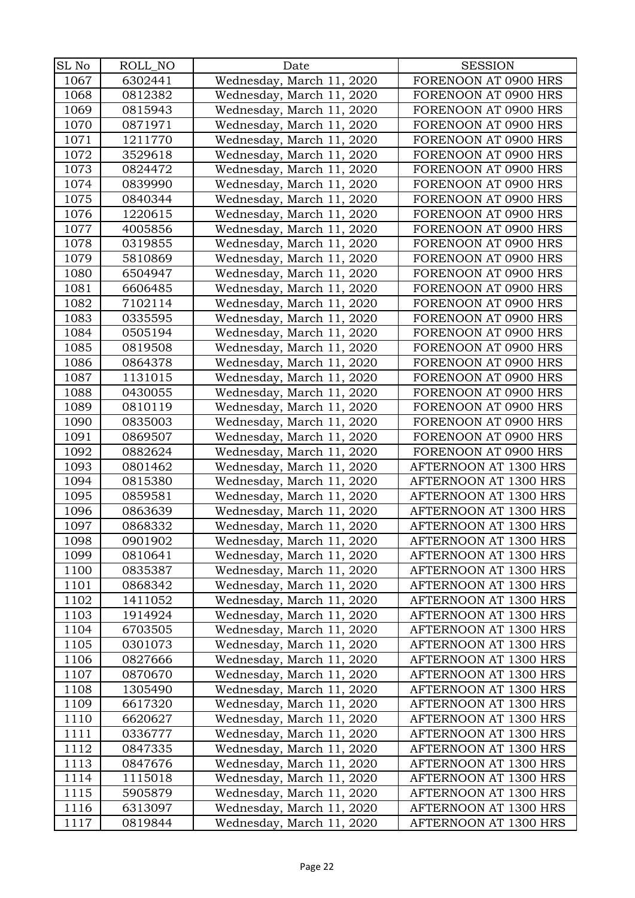| SL No | ROLL_NO | Date                      | <b>SESSION</b>        |
|-------|---------|---------------------------|-----------------------|
| 1067  | 6302441 | Wednesday, March 11, 2020 | FORENOON AT 0900 HRS  |
| 1068  | 0812382 | Wednesday, March 11, 2020 | FORENOON AT 0900 HRS  |
| 1069  | 0815943 | Wednesday, March 11, 2020 | FORENOON AT 0900 HRS  |
| 1070  | 0871971 | Wednesday, March 11, 2020 | FORENOON AT 0900 HRS  |
| 1071  | 1211770 | Wednesday, March 11, 2020 | FORENOON AT 0900 HRS  |
| 1072  | 3529618 | Wednesday, March 11, 2020 | FORENOON AT 0900 HRS  |
| 1073  | 0824472 | Wednesday, March 11, 2020 | FORENOON AT 0900 HRS  |
| 1074  | 0839990 | Wednesday, March 11, 2020 | FORENOON AT 0900 HRS  |
| 1075  | 0840344 | Wednesday, March 11, 2020 | FORENOON AT 0900 HRS  |
| 1076  | 1220615 | Wednesday, March 11, 2020 | FORENOON AT 0900 HRS  |
| 1077  | 4005856 | Wednesday, March 11, 2020 | FORENOON AT 0900 HRS  |
| 1078  | 0319855 | Wednesday, March 11, 2020 | FORENOON AT 0900 HRS  |
| 1079  | 5810869 | Wednesday, March 11, 2020 | FORENOON AT 0900 HRS  |
| 1080  | 6504947 | Wednesday, March 11, 2020 | FORENOON AT 0900 HRS  |
| 1081  | 6606485 | Wednesday, March 11, 2020 | FORENOON AT 0900 HRS  |
| 1082  | 7102114 | Wednesday, March 11, 2020 | FORENOON AT 0900 HRS  |
| 1083  | 0335595 | Wednesday, March 11, 2020 | FORENOON AT 0900 HRS  |
| 1084  | 0505194 | Wednesday, March 11, 2020 | FORENOON AT 0900 HRS  |
| 1085  | 0819508 | Wednesday, March 11, 2020 | FORENOON AT 0900 HRS  |
| 1086  | 0864378 | Wednesday, March 11, 2020 | FORENOON AT 0900 HRS  |
| 1087  | 1131015 | Wednesday, March 11, 2020 | FORENOON AT 0900 HRS  |
| 1088  | 0430055 | Wednesday, March 11, 2020 | FORENOON AT 0900 HRS  |
| 1089  | 0810119 | Wednesday, March 11, 2020 | FORENOON AT 0900 HRS  |
| 1090  | 0835003 | Wednesday, March 11, 2020 | FORENOON AT 0900 HRS  |
| 1091  | 0869507 | Wednesday, March 11, 2020 | FORENOON AT 0900 HRS  |
| 1092  | 0882624 | Wednesday, March 11, 2020 | FORENOON AT 0900 HRS  |
| 1093  | 0801462 | Wednesday, March 11, 2020 | AFTERNOON AT 1300 HRS |
| 1094  | 0815380 | Wednesday, March 11, 2020 | AFTERNOON AT 1300 HRS |
| 1095  | 0859581 | Wednesday, March 11, 2020 | AFTERNOON AT 1300 HRS |
| 1096  | 0863639 | Wednesday, March 11, 2020 | AFTERNOON AT 1300 HRS |
| 1097  | 0868332 | Wednesday, March 11, 2020 | AFTERNOON AT 1300 HRS |
| 1098  | 0901902 | Wednesday, March 11, 2020 | AFTERNOON AT 1300 HRS |
| 1099  | 0810641 | Wednesday, March 11, 2020 | AFTERNOON AT 1300 HRS |
| 1100  | 0835387 | Wednesday, March 11, 2020 | AFTERNOON AT 1300 HRS |
| 1101  | 0868342 | Wednesday, March 11, 2020 | AFTERNOON AT 1300 HRS |
| 1102  | 1411052 | Wednesday, March 11, 2020 | AFTERNOON AT 1300 HRS |
| 1103  | 1914924 | Wednesday, March 11, 2020 | AFTERNOON AT 1300 HRS |
| 1104  | 6703505 | Wednesday, March 11, 2020 | AFTERNOON AT 1300 HRS |
| 1105  | 0301073 | Wednesday, March 11, 2020 | AFTERNOON AT 1300 HRS |
| 1106  | 0827666 | Wednesday, March 11, 2020 | AFTERNOON AT 1300 HRS |
| 1107  | 0870670 | Wednesday, March 11, 2020 | AFTERNOON AT 1300 HRS |
| 1108  | 1305490 | Wednesday, March 11, 2020 | AFTERNOON AT 1300 HRS |
| 1109  | 6617320 | Wednesday, March 11, 2020 | AFTERNOON AT 1300 HRS |
| 1110  | 6620627 | Wednesday, March 11, 2020 | AFTERNOON AT 1300 HRS |
| 1111  | 0336777 | Wednesday, March 11, 2020 | AFTERNOON AT 1300 HRS |
| 1112  | 0847335 | Wednesday, March 11, 2020 | AFTERNOON AT 1300 HRS |
| 1113  | 0847676 | Wednesday, March 11, 2020 | AFTERNOON AT 1300 HRS |
| 1114  | 1115018 | Wednesday, March 11, 2020 | AFTERNOON AT 1300 HRS |
| 1115  | 5905879 | Wednesday, March 11, 2020 | AFTERNOON AT 1300 HRS |
| 1116  | 6313097 | Wednesday, March 11, 2020 | AFTERNOON AT 1300 HRS |
| 1117  | 0819844 | Wednesday, March 11, 2020 | AFTERNOON AT 1300 HRS |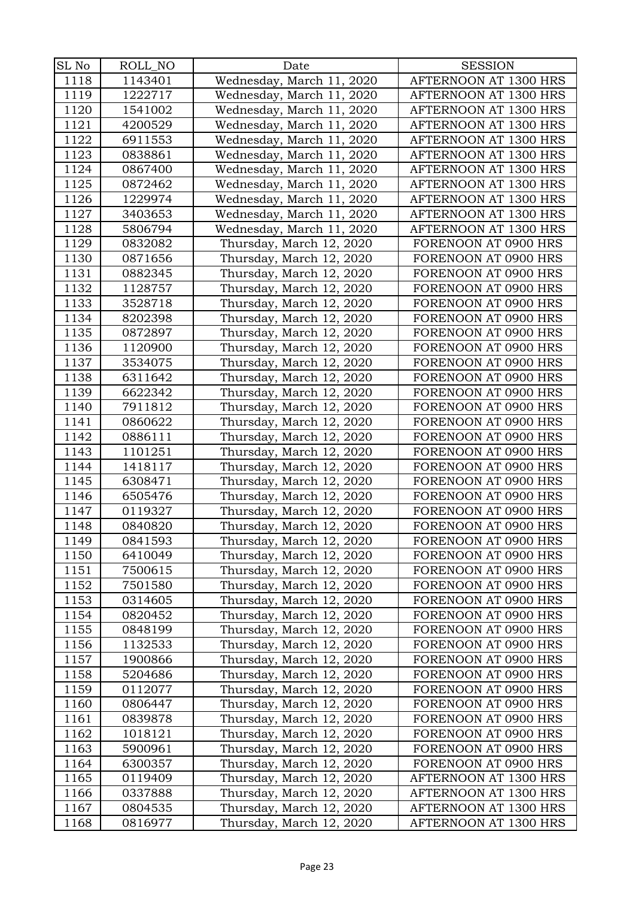| SL No | ROLL_NO | Date                      | <b>SESSION</b>        |
|-------|---------|---------------------------|-----------------------|
| 1118  | 1143401 | Wednesday, March 11, 2020 | AFTERNOON AT 1300 HRS |
| 1119  | 1222717 | Wednesday, March 11, 2020 | AFTERNOON AT 1300 HRS |
| 1120  | 1541002 | Wednesday, March 11, 2020 | AFTERNOON AT 1300 HRS |
| 1121  | 4200529 | Wednesday, March 11, 2020 | AFTERNOON AT 1300 HRS |
| 1122  | 6911553 | Wednesday, March 11, 2020 | AFTERNOON AT 1300 HRS |
| 1123  | 0838861 | Wednesday, March 11, 2020 | AFTERNOON AT 1300 HRS |
| 1124  | 0867400 | Wednesday, March 11, 2020 | AFTERNOON AT 1300 HRS |
| 1125  | 0872462 | Wednesday, March 11, 2020 | AFTERNOON AT 1300 HRS |
| 1126  | 1229974 | Wednesday, March 11, 2020 | AFTERNOON AT 1300 HRS |
| 1127  | 3403653 | Wednesday, March 11, 2020 | AFTERNOON AT 1300 HRS |
| 1128  | 5806794 | Wednesday, March 11, 2020 | AFTERNOON AT 1300 HRS |
| 1129  | 0832082 | Thursday, March 12, 2020  | FORENOON AT 0900 HRS  |
| 1130  | 0871656 | Thursday, March 12, 2020  | FORENOON AT 0900 HRS  |
| 1131  | 0882345 | Thursday, March 12, 2020  | FORENOON AT 0900 HRS  |
| 1132  | 1128757 | Thursday, March 12, 2020  | FORENOON AT 0900 HRS  |
| 1133  | 3528718 | Thursday, March 12, 2020  | FORENOON AT 0900 HRS  |
| 1134  | 8202398 | Thursday, March 12, 2020  | FORENOON AT 0900 HRS  |
| 1135  | 0872897 | Thursday, March 12, 2020  | FORENOON AT 0900 HRS  |
| 1136  | 1120900 | Thursday, March 12, 2020  | FORENOON AT 0900 HRS  |
| 1137  | 3534075 | Thursday, March 12, 2020  | FORENOON AT 0900 HRS  |
| 1138  | 6311642 | Thursday, March 12, 2020  | FORENOON AT 0900 HRS  |
| 1139  | 6622342 | Thursday, March 12, 2020  | FORENOON AT 0900 HRS  |
| 1140  | 7911812 | Thursday, March 12, 2020  | FORENOON AT 0900 HRS  |
| 1141  | 0860622 | Thursday, March 12, 2020  | FORENOON AT 0900 HRS  |
| 1142  | 0886111 | Thursday, March 12, 2020  | FORENOON AT 0900 HRS  |
| 1143  | 1101251 | Thursday, March 12, 2020  | FORENOON AT 0900 HRS  |
| 1144  | 1418117 | Thursday, March 12, 2020  | FORENOON AT 0900 HRS  |
| 1145  | 6308471 | Thursday, March 12, 2020  | FORENOON AT 0900 HRS  |
| 1146  | 6505476 | Thursday, March 12, 2020  | FORENOON AT 0900 HRS  |
| 1147  | 0119327 | Thursday, March 12, 2020  | FORENOON AT 0900 HRS  |
| 1148  | 0840820 | Thursday, March 12, 2020  | FORENOON AT 0900 HRS  |
| 1149  | 0841593 | Thursday, March 12, 2020  | FORENOON AT 0900 HRS  |
| 1150  | 6410049 | Thursday, March 12, 2020  | FORENOON AT 0900 HRS  |
| 1151  | 7500615 | Thursday, March 12, 2020  | FORENOON AT 0900 HRS  |
| 1152  | 7501580 | Thursday, March 12, 2020  | FORENOON AT 0900 HRS  |
| 1153  | 0314605 | Thursday, March 12, 2020  | FORENOON AT 0900 HRS  |
| 1154  | 0820452 | Thursday, March 12, 2020  | FORENOON AT 0900 HRS  |
| 1155  | 0848199 | Thursday, March 12, 2020  | FORENOON AT 0900 HRS  |
| 1156  | 1132533 | Thursday, March 12, 2020  | FORENOON AT 0900 HRS  |
| 1157  | 1900866 | Thursday, March 12, 2020  | FORENOON AT 0900 HRS  |
| 1158  | 5204686 | Thursday, March 12, 2020  | FORENOON AT 0900 HRS  |
| 1159  | 0112077 | Thursday, March 12, 2020  | FORENOON AT 0900 HRS  |
| 1160  | 0806447 | Thursday, March 12, 2020  | FORENOON AT 0900 HRS  |
| 1161  | 0839878 | Thursday, March 12, 2020  | FORENOON AT 0900 HRS  |
| 1162  | 1018121 | Thursday, March 12, 2020  | FORENOON AT 0900 HRS  |
| 1163  | 5900961 | Thursday, March 12, 2020  | FORENOON AT 0900 HRS  |
| 1164  | 6300357 | Thursday, March 12, 2020  | FORENOON AT 0900 HRS  |
| 1165  | 0119409 | Thursday, March 12, 2020  | AFTERNOON AT 1300 HRS |
| 1166  | 0337888 | Thursday, March 12, 2020  | AFTERNOON AT 1300 HRS |
| 1167  | 0804535 | Thursday, March 12, 2020  | AFTERNOON AT 1300 HRS |
| 1168  | 0816977 | Thursday, March 12, 2020  | AFTERNOON AT 1300 HRS |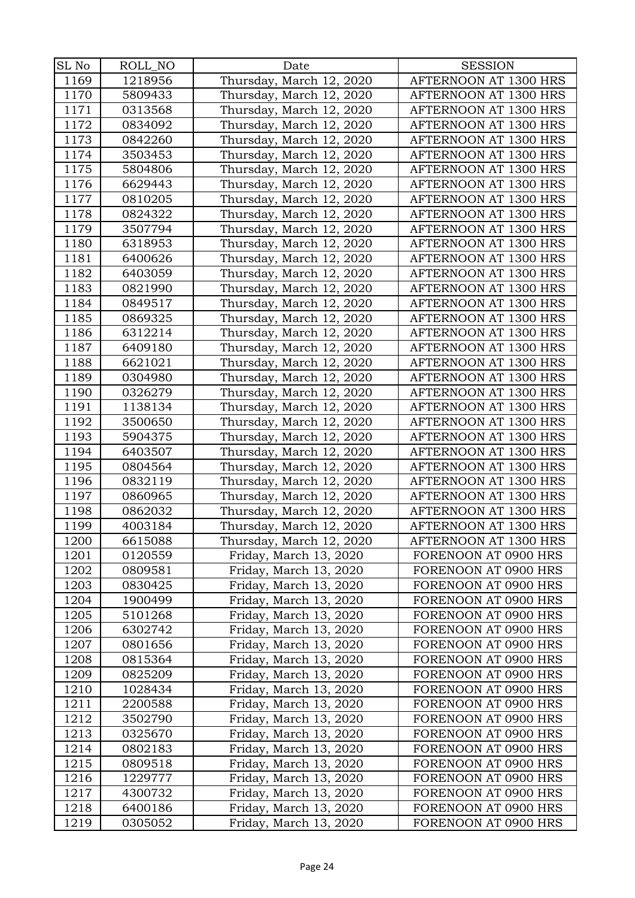| SL No        | ROLL_NO            | Date                                             | <b>SESSION</b>                               |
|--------------|--------------------|--------------------------------------------------|----------------------------------------------|
| 1169         | 1218956            | Thursday, March 12, 2020                         | AFTERNOON AT 1300 HRS                        |
| 1170         | 5809433            | Thursday, March 12, 2020                         | AFTERNOON AT 1300 HRS                        |
| 1171         | 0313568            | Thursday, March 12, 2020                         | AFTERNOON AT 1300 HRS                        |
| 1172         | 0834092            | Thursday, March 12, 2020                         | AFTERNOON AT 1300 HRS                        |
| 1173         | 0842260            | Thursday, March 12, 2020                         | AFTERNOON AT 1300 HRS                        |
| 1174         | 3503453            | Thursday, March 12, 2020                         | AFTERNOON AT 1300 HRS                        |
| 1175         | 5804806            | Thursday, March 12, 2020                         | AFTERNOON AT 1300 HRS                        |
| 1176         | 6629443            | Thursday, March 12, 2020                         | AFTERNOON AT 1300 HRS                        |
| 1177         | 0810205            | Thursday, March 12, 2020                         | AFTERNOON AT 1300 HRS                        |
| 1178         | 0824322            | Thursday, March 12, 2020                         | AFTERNOON AT 1300 HRS                        |
| 1179         | 3507794            | Thursday, March 12, 2020                         | AFTERNOON AT 1300 HRS                        |
| 1180         | 6318953            | Thursday, March 12, 2020                         | AFTERNOON AT 1300 HRS                        |
| 1181         | 6400626            | Thursday, March 12, 2020                         | AFTERNOON AT 1300 HRS                        |
| 1182         | 6403059            | Thursday, March 12, 2020                         | AFTERNOON AT 1300 HRS                        |
| 1183         | 0821990            | Thursday, March 12, 2020                         | AFTERNOON AT 1300 HRS                        |
| 1184         | 0849517            | Thursday, March 12, 2020                         | AFTERNOON AT 1300 HRS                        |
| 1185         | 0869325            | Thursday, March 12, 2020                         | AFTERNOON AT 1300 HRS                        |
| 1186         | 6312214            | Thursday, March 12, 2020                         | AFTERNOON AT 1300 HRS                        |
| 1187         | 6409180            | Thursday, March 12, 2020                         | AFTERNOON AT 1300 HRS                        |
| 1188         | 6621021            | Thursday, March 12, 2020                         | AFTERNOON AT 1300 HRS                        |
| 1189         | 0304980            | Thursday, March 12, 2020                         | AFTERNOON AT 1300 HRS                        |
| 1190         | 0326279            | Thursday, March 12, 2020                         | AFTERNOON AT 1300 HRS                        |
| 1191         | 1138134            | Thursday, March 12, 2020                         | AFTERNOON AT 1300 HRS                        |
| 1192         | 3500650            | Thursday, March 12, 2020                         | AFTERNOON AT 1300 HRS                        |
| 1193         | 5904375            | Thursday, March 12, 2020                         | AFTERNOON AT 1300 HRS                        |
| 1194         | 6403507            | Thursday, March 12, 2020                         | AFTERNOON AT 1300 HRS                        |
| 1195         | 0804564            | Thursday, March 12, 2020                         | AFTERNOON AT 1300 HRS                        |
| 1196         | 0832119            | Thursday, March 12, 2020                         | AFTERNOON AT 1300 HRS                        |
| 1197         | 0860965            | Thursday, March 12, 2020                         | AFTERNOON AT 1300 HRS                        |
| 1198         | 0862032            | Thursday, March 12, 2020                         | AFTERNOON AT 1300 HRS                        |
| 1199         | 4003184            | Thursday, March 12, 2020                         | AFTERNOON AT 1300 HRS                        |
| 1200         | 6615088            | Thursday, March 12, 2020                         | AFTERNOON AT 1300 HRS                        |
| 1201         | 0120559            | Friday, March 13, 2020                           | FORENOON AT 0900 HRS                         |
| 1202         | 0809581            | Friday, March 13, 2020                           | FORENOON AT 0900 HRS                         |
| 1203         | 0830425            | Friday, March 13, 2020                           | FORENOON AT 0900 HRS                         |
| 1204         | 1900499            | Friday, March 13, 2020                           | FORENOON AT 0900 HRS                         |
| 1205         | 5101268            | Friday, March 13, 2020                           | FORENOON AT 0900 HRS                         |
| 1206         | 6302742            | Friday, March 13, 2020                           | FORENOON AT 0900 HRS                         |
| 1207         | 0801656            | Friday, March 13, 2020                           | FORENOON AT 0900 HRS                         |
| 1208         | 0815364            | Friday, March 13, 2020                           | FORENOON AT 0900 HRS                         |
| 1209         | 0825209            | Friday, March 13, 2020                           | FORENOON AT 0900 HRS                         |
| 1210         | 1028434            | Friday, March 13, 2020                           | FORENOON AT 0900 HRS                         |
| 1211         | 2200588            | Friday, March 13, 2020                           | FORENOON AT 0900 HRS                         |
| 1212         | 3502790            | Friday, March 13, 2020                           | FORENOON AT 0900 HRS                         |
| 1213         | 0325670            | Friday, March 13, 2020                           | FORENOON AT 0900 HRS                         |
| 1214         | 0802183            | Friday, March 13, 2020                           | FORENOON AT 0900 HRS                         |
| 1215         | 0809518            | Friday, March 13, 2020                           | FORENOON AT 0900 HRS                         |
| 1216<br>1217 | 1229777<br>4300732 | Friday, March 13, 2020<br>Friday, March 13, 2020 | FORENOON AT 0900 HRS<br>FORENOON AT 0900 HRS |
| 1218         | 6400186            | Friday, March 13, 2020                           | FORENOON AT 0900 HRS                         |
| 1219         | 0305052            |                                                  | FORENOON AT 0900 HRS                         |
|              |                    | Friday, March 13, 2020                           |                                              |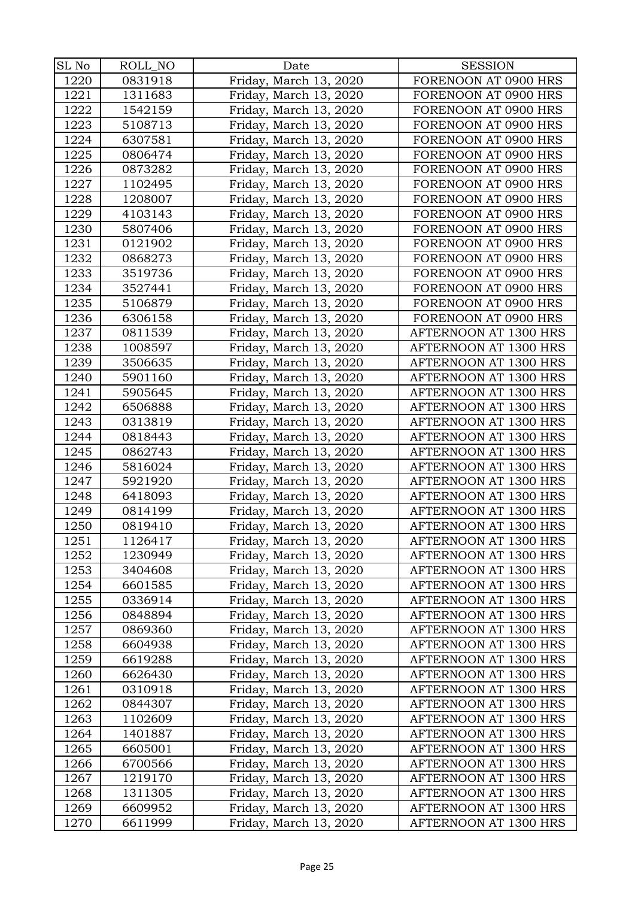| SL No | ROLL_NO            | Date                   | <b>SESSION</b>                                 |
|-------|--------------------|------------------------|------------------------------------------------|
| 1220  | 0831918            | Friday, March 13, 2020 | FORENOON AT 0900 HRS                           |
| 1221  | 1311683            | Friday, March 13, 2020 | FORENOON AT 0900 HRS                           |
| 1222  | 1542159            | Friday, March 13, 2020 | FORENOON AT 0900 HRS                           |
| 1223  | 5108713            | Friday, March 13, 2020 | FORENOON AT 0900 HRS                           |
| 1224  | 6307581            | Friday, March 13, 2020 | FORENOON AT 0900 HRS                           |
| 1225  | 0806474            | Friday, March 13, 2020 | FORENOON AT 0900 HRS                           |
| 1226  | 0873282            | Friday, March 13, 2020 | FORENOON AT 0900 HRS                           |
| 1227  | 1102495            | Friday, March 13, 2020 | FORENOON AT 0900 HRS                           |
| 1228  | 1208007            | Friday, March 13, 2020 | FORENOON AT 0900 HRS                           |
| 1229  | 4103143            | Friday, March 13, 2020 | FORENOON AT 0900 HRS                           |
| 1230  | 5807406            | Friday, March 13, 2020 | FORENOON AT 0900 HRS                           |
| 1231  | 0121902            | Friday, March 13, 2020 | FORENOON AT 0900 HRS                           |
| 1232  | 0868273            | Friday, March 13, 2020 | FORENOON AT 0900 HRS                           |
| 1233  | 3519736            | Friday, March 13, 2020 | FORENOON AT 0900 HRS                           |
| 1234  | 3527441            | Friday, March 13, 2020 | FORENOON AT 0900 HRS                           |
| 1235  | 5106879            | Friday, March 13, 2020 | FORENOON AT 0900 HRS                           |
| 1236  | 6306158            | Friday, March 13, 2020 | FORENOON AT 0900 HRS                           |
| 1237  | 0811539            | Friday, March 13, 2020 | AFTERNOON AT 1300 HRS                          |
| 1238  | 1008597            | Friday, March 13, 2020 | AFTERNOON AT 1300 HRS                          |
| 1239  | 3506635            | Friday, March 13, 2020 | AFTERNOON AT 1300 HRS                          |
| 1240  | 5901160            | Friday, March 13, 2020 | AFTERNOON AT 1300 HRS                          |
| 1241  | 5905645            | Friday, March 13, 2020 | AFTERNOON AT 1300 HRS                          |
| 1242  | 6506888            | Friday, March 13, 2020 | AFTERNOON AT 1300 HRS                          |
| 1243  | 0313819            | Friday, March 13, 2020 | AFTERNOON AT 1300 HRS                          |
| 1244  | 0818443            | Friday, March 13, 2020 | AFTERNOON AT 1300 HRS                          |
| 1245  | 0862743            | Friday, March 13, 2020 | AFTERNOON AT 1300 HRS                          |
| 1246  | 5816024            | Friday, March 13, 2020 | AFTERNOON AT 1300 HRS                          |
| 1247  | 5921920            | Friday, March 13, 2020 | AFTERNOON AT 1300 HRS                          |
| 1248  | 6418093            | Friday, March 13, 2020 | AFTERNOON AT 1300 HRS                          |
| 1249  | 0814199            | Friday, March 13, 2020 | AFTERNOON AT 1300 HRS                          |
| 1250  | 0819410            | Friday, March 13, 2020 | AFTERNOON AT 1300 HRS                          |
| 1251  | 1126417            | Friday, March 13, 2020 | AFTERNOON AT 1300 HRS                          |
| 1252  | 1230949            | Friday, March 13, 2020 | AFTERNOON AT 1300 HRS                          |
| 1253  | 3404608            | Friday, March 13, 2020 | AFTERNOON AT 1300 HRS                          |
| 1254  | 6601585            | Friday, March 13, 2020 | AFTERNOON AT 1300 HRS                          |
| 1255  | 0336914            | Friday, March 13, 2020 | AFTERNOON AT 1300 HRS                          |
| 1256  | 0848894            | Friday, March 13, 2020 | AFTERNOON AT 1300 HRS                          |
| 1257  | 0869360            | Friday, March 13, 2020 | AFTERNOON AT 1300 HRS                          |
| 1258  | 6604938            | Friday, March 13, 2020 | AFTERNOON AT 1300 HRS                          |
| 1259  | 6619288            | Friday, March 13, 2020 | AFTERNOON AT 1300 HRS                          |
| 1260  | 6626430            | Friday, March 13, 2020 | AFTERNOON AT 1300 HRS                          |
| 1261  | 0310918            | Friday, March 13, 2020 | AFTERNOON AT 1300 HRS                          |
| 1262  | 0844307            | Friday, March 13, 2020 | AFTERNOON AT 1300 HRS                          |
| 1263  | 1102609            | Friday, March 13, 2020 | AFTERNOON AT 1300 HRS                          |
| 1264  | 1401887            | Friday, March 13, 2020 | AFTERNOON AT 1300 HRS                          |
| 1265  | 6605001            | Friday, March 13, 2020 | AFTERNOON AT 1300 HRS                          |
| 1266  | 6700566            | Friday, March 13, 2020 | AFTERNOON AT 1300 HRS                          |
| 1267  | 1219170            | Friday, March 13, 2020 | AFTERNOON AT 1300 HRS                          |
| 1268  | 1311305<br>6609952 | Friday, March 13, 2020 | AFTERNOON AT 1300 HRS<br>AFTERNOON AT 1300 HRS |
| 1269  |                    | Friday, March 13, 2020 |                                                |
| 1270  | 6611999            | Friday, March 13, 2020 | AFTERNOON AT 1300 HRS                          |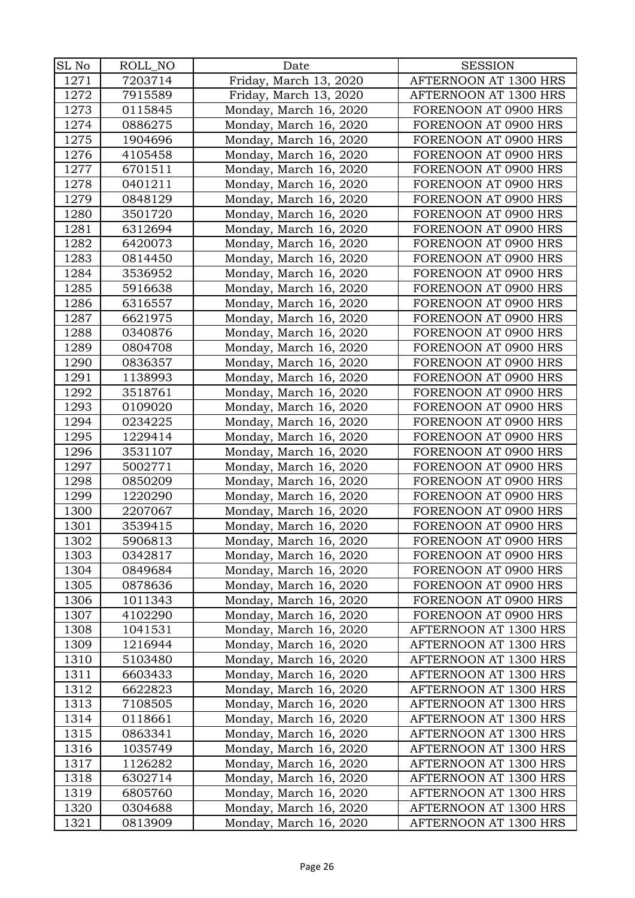| SL No | ROLL_NO | Date                   | <b>SESSION</b>        |
|-------|---------|------------------------|-----------------------|
| 1271  | 7203714 | Friday, March 13, 2020 | AFTERNOON AT 1300 HRS |
| 1272  | 7915589 | Friday, March 13, 2020 | AFTERNOON AT 1300 HRS |
| 1273  | 0115845 |                        | FORENOON AT 0900 HRS  |
|       | 0886275 | Monday, March 16, 2020 |                       |
| 1274  |         | Monday, March 16, 2020 | FORENOON AT 0900 HRS  |
| 1275  | 1904696 | Monday, March 16, 2020 | FORENOON AT 0900 HRS  |
| 1276  | 4105458 | Monday, March 16, 2020 | FORENOON AT 0900 HRS  |
| 1277  | 6701511 | Monday, March 16, 2020 | FORENOON AT 0900 HRS  |
| 1278  | 0401211 | Monday, March 16, 2020 | FORENOON AT 0900 HRS  |
| 1279  | 0848129 | Monday, March 16, 2020 | FORENOON AT 0900 HRS  |
| 1280  | 3501720 | Monday, March 16, 2020 | FORENOON AT 0900 HRS  |
| 1281  | 6312694 | Monday, March 16, 2020 | FORENOON AT 0900 HRS  |
| 1282  | 6420073 | Monday, March 16, 2020 | FORENOON AT 0900 HRS  |
| 1283  | 0814450 | Monday, March 16, 2020 | FORENOON AT 0900 HRS  |
| 1284  | 3536952 | Monday, March 16, 2020 | FORENOON AT 0900 HRS  |
| 1285  | 5916638 | Monday, March 16, 2020 | FORENOON AT 0900 HRS  |
| 1286  | 6316557 | Monday, March 16, 2020 | FORENOON AT 0900 HRS  |
| 1287  | 6621975 | Monday, March 16, 2020 | FORENOON AT 0900 HRS  |
| 1288  | 0340876 | Monday, March 16, 2020 | FORENOON AT 0900 HRS  |
| 1289  | 0804708 | Monday, March 16, 2020 | FORENOON AT 0900 HRS  |
| 1290  | 0836357 | Monday, March 16, 2020 | FORENOON AT 0900 HRS  |
| 1291  | 1138993 | Monday, March 16, 2020 | FORENOON AT 0900 HRS  |
| 1292  | 3518761 | Monday, March 16, 2020 | FORENOON AT 0900 HRS  |
| 1293  | 0109020 | Monday, March 16, 2020 | FORENOON AT 0900 HRS  |
| 1294  | 0234225 | Monday, March 16, 2020 | FORENOON AT 0900 HRS  |
| 1295  | 1229414 | Monday, March 16, 2020 | FORENOON AT 0900 HRS  |
| 1296  | 3531107 | Monday, March 16, 2020 | FORENOON AT 0900 HRS  |
| 1297  | 5002771 | Monday, March 16, 2020 | FORENOON AT 0900 HRS  |
| 1298  | 0850209 | Monday, March 16, 2020 | FORENOON AT 0900 HRS  |
| 1299  | 1220290 | Monday, March 16, 2020 | FORENOON AT 0900 HRS  |
| 1300  | 2207067 | Monday, March 16, 2020 | FORENOON AT 0900 HRS  |
| 1301  | 3539415 | Monday, March 16, 2020 | FORENOON AT 0900 HRS  |
| 1302  | 5906813 | Monday, March 16, 2020 | FORENOON AT 0900 HRS  |
| 1303  | 0342817 | Monday, March 16, 2020 | FORENOON AT 0900 HRS  |
| 1304  | 0849684 | Monday, March 16, 2020 | FORENOON AT 0900 HRS  |
| 1305  | 0878636 | Monday, March 16, 2020 | FORENOON AT 0900 HRS  |
| 1306  | 1011343 | Monday, March 16, 2020 | FORENOON AT 0900 HRS  |
| 1307  | 4102290 | Monday, March 16, 2020 | FORENOON AT 0900 HRS  |
| 1308  | 1041531 | Monday, March 16, 2020 | AFTERNOON AT 1300 HRS |
| 1309  | 1216944 | Monday, March 16, 2020 | AFTERNOON AT 1300 HRS |
| 1310  | 5103480 | Monday, March 16, 2020 | AFTERNOON AT 1300 HRS |
| 1311  | 6603433 | Monday, March 16, 2020 | AFTERNOON AT 1300 HRS |
| 1312  | 6622823 | Monday, March 16, 2020 | AFTERNOON AT 1300 HRS |
| 1313  | 7108505 | Monday, March 16, 2020 | AFTERNOON AT 1300 HRS |
| 1314  | 0118661 | Monday, March 16, 2020 | AFTERNOON AT 1300 HRS |
| 1315  | 0863341 | Monday, March 16, 2020 | AFTERNOON AT 1300 HRS |
| 1316  | 1035749 | Monday, March 16, 2020 | AFTERNOON AT 1300 HRS |
| 1317  | 1126282 | Monday, March 16, 2020 | AFTERNOON AT 1300 HRS |
| 1318  | 6302714 | Monday, March 16, 2020 | AFTERNOON AT 1300 HRS |
| 1319  | 6805760 | Monday, March 16, 2020 | AFTERNOON AT 1300 HRS |
| 1320  | 0304688 | Monday, March 16, 2020 | AFTERNOON AT 1300 HRS |
| 1321  | 0813909 | Monday, March 16, 2020 | AFTERNOON AT 1300 HRS |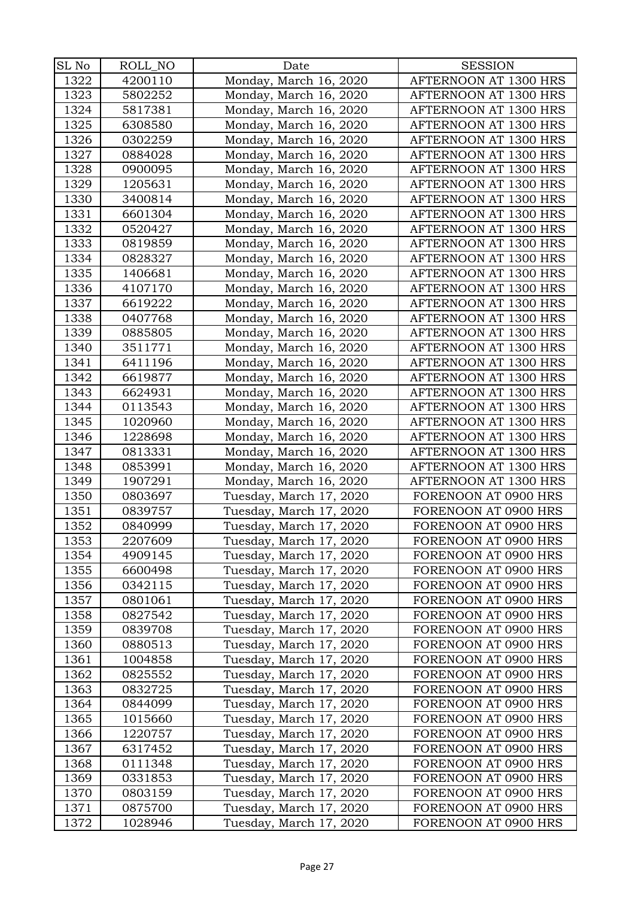| SL No | ROLL_NO | Date                    | <b>SESSION</b>        |
|-------|---------|-------------------------|-----------------------|
| 1322  | 4200110 | Monday, March 16, 2020  | AFTERNOON AT 1300 HRS |
| 1323  | 5802252 | Monday, March 16, 2020  | AFTERNOON AT 1300 HRS |
| 1324  | 5817381 | Monday, March 16, 2020  | AFTERNOON AT 1300 HRS |
| 1325  | 6308580 | Monday, March 16, 2020  | AFTERNOON AT 1300 HRS |
| 1326  | 0302259 | Monday, March 16, 2020  | AFTERNOON AT 1300 HRS |
| 1327  | 0884028 | Monday, March 16, 2020  | AFTERNOON AT 1300 HRS |
| 1328  | 0900095 | Monday, March 16, 2020  | AFTERNOON AT 1300 HRS |
| 1329  | 1205631 | Monday, March 16, 2020  | AFTERNOON AT 1300 HRS |
| 1330  | 3400814 | Monday, March 16, 2020  | AFTERNOON AT 1300 HRS |
| 1331  | 6601304 | Monday, March 16, 2020  | AFTERNOON AT 1300 HRS |
| 1332  | 0520427 | Monday, March 16, 2020  | AFTERNOON AT 1300 HRS |
| 1333  | 0819859 | Monday, March 16, 2020  | AFTERNOON AT 1300 HRS |
| 1334  | 0828327 | Monday, March 16, 2020  | AFTERNOON AT 1300 HRS |
| 1335  | 1406681 | Monday, March 16, 2020  | AFTERNOON AT 1300 HRS |
| 1336  | 4107170 | Monday, March 16, 2020  | AFTERNOON AT 1300 HRS |
| 1337  | 6619222 | Monday, March 16, 2020  | AFTERNOON AT 1300 HRS |
| 1338  | 0407768 | Monday, March 16, 2020  | AFTERNOON AT 1300 HRS |
| 1339  | 0885805 | Monday, March 16, 2020  | AFTERNOON AT 1300 HRS |
| 1340  | 3511771 | Monday, March 16, 2020  | AFTERNOON AT 1300 HRS |
| 1341  | 6411196 | Monday, March 16, 2020  | AFTERNOON AT 1300 HRS |
| 1342  | 6619877 | Monday, March 16, 2020  | AFTERNOON AT 1300 HRS |
| 1343  | 6624931 | Monday, March 16, 2020  | AFTERNOON AT 1300 HRS |
| 1344  | 0113543 | Monday, March 16, 2020  | AFTERNOON AT 1300 HRS |
| 1345  | 1020960 | Monday, March 16, 2020  | AFTERNOON AT 1300 HRS |
| 1346  | 1228698 | Monday, March 16, 2020  | AFTERNOON AT 1300 HRS |
| 1347  | 0813331 | Monday, March 16, 2020  | AFTERNOON AT 1300 HRS |
| 1348  | 0853991 | Monday, March 16, 2020  | AFTERNOON AT 1300 HRS |
| 1349  | 1907291 | Monday, March 16, 2020  | AFTERNOON AT 1300 HRS |
| 1350  | 0803697 | Tuesday, March 17, 2020 | FORENOON AT 0900 HRS  |
| 1351  | 0839757 | Tuesday, March 17, 2020 | FORENOON AT 0900 HRS  |
| 1352  | 0840999 | Tuesday, March 17, 2020 | FORENOON AT 0900 HRS  |
| 1353  | 2207609 | Tuesday, March 17, 2020 | FORENOON AT 0900 HRS  |
| 1354  | 4909145 | Tuesday, March 17, 2020 | FORENOON AT 0900 HRS  |
| 1355  | 6600498 | Tuesday, March 17, 2020 | FORENOON AT 0900 HRS  |
| 1356  | 0342115 | Tuesday, March 17, 2020 | FORENOON AT 0900 HRS  |
| 1357  | 0801061 | Tuesday, March 17, 2020 | FORENOON AT 0900 HRS  |
| 1358  | 0827542 | Tuesday, March 17, 2020 | FORENOON AT 0900 HRS  |
| 1359  | 0839708 | Tuesday, March 17, 2020 | FORENOON AT 0900 HRS  |
| 1360  | 0880513 | Tuesday, March 17, 2020 | FORENOON AT 0900 HRS  |
| 1361  | 1004858 | Tuesday, March 17, 2020 | FORENOON AT 0900 HRS  |
| 1362  | 0825552 | Tuesday, March 17, 2020 | FORENOON AT 0900 HRS  |
| 1363  | 0832725 | Tuesday, March 17, 2020 | FORENOON AT 0900 HRS  |
| 1364  | 0844099 | Tuesday, March 17, 2020 | FORENOON AT 0900 HRS  |
| 1365  | 1015660 | Tuesday, March 17, 2020 | FORENOON AT 0900 HRS  |
| 1366  | 1220757 | Tuesday, March 17, 2020 | FORENOON AT 0900 HRS  |
| 1367  | 6317452 | Tuesday, March 17, 2020 | FORENOON AT 0900 HRS  |
| 1368  | 0111348 | Tuesday, March 17, 2020 | FORENOON AT 0900 HRS  |
| 1369  | 0331853 | Tuesday, March 17, 2020 | FORENOON AT 0900 HRS  |
| 1370  | 0803159 | Tuesday, March 17, 2020 | FORENOON AT 0900 HRS  |
| 1371  | 0875700 | Tuesday, March 17, 2020 | FORENOON AT 0900 HRS  |
| 1372  | 1028946 | Tuesday, March 17, 2020 | FORENOON AT 0900 HRS  |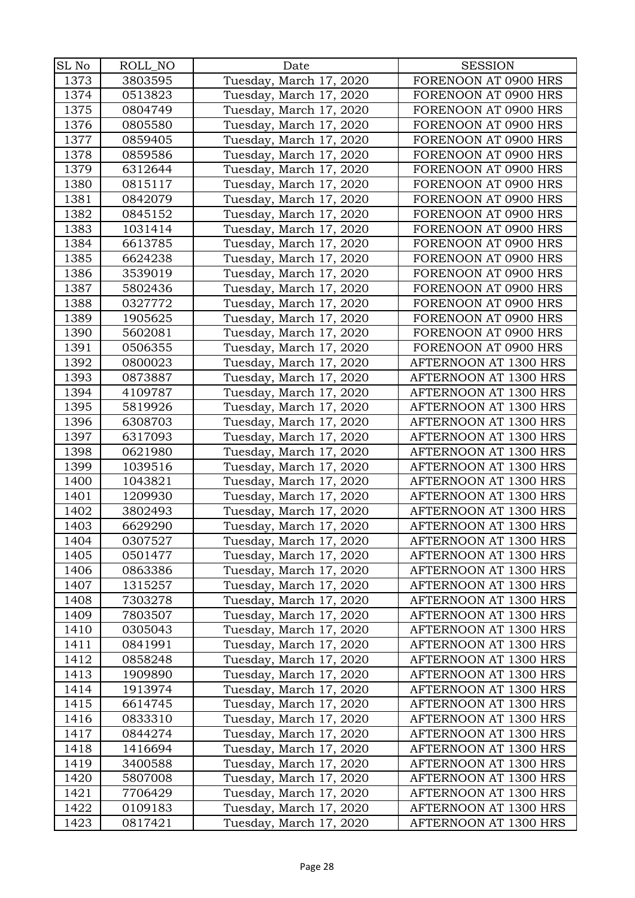| SL No | ROLL_NO | Date                    | <b>SESSION</b>        |
|-------|---------|-------------------------|-----------------------|
| 1373  | 3803595 | Tuesday, March 17, 2020 | FORENOON AT 0900 HRS  |
| 1374  | 0513823 | Tuesday, March 17, 2020 | FORENOON AT 0900 HRS  |
|       |         |                         |                       |
| 1375  | 0804749 | Tuesday, March 17, 2020 | FORENOON AT 0900 HRS  |
| 1376  | 0805580 | Tuesday, March 17, 2020 | FORENOON AT 0900 HRS  |
| 1377  | 0859405 | Tuesday, March 17, 2020 | FORENOON AT 0900 HRS  |
| 1378  | 0859586 | Tuesday, March 17, 2020 | FORENOON AT 0900 HRS  |
| 1379  | 6312644 | Tuesday, March 17, 2020 | FORENOON AT 0900 HRS  |
| 1380  | 0815117 | Tuesday, March 17, 2020 | FORENOON AT 0900 HRS  |
| 1381  | 0842079 | Tuesday, March 17, 2020 | FORENOON AT 0900 HRS  |
| 1382  | 0845152 | Tuesday, March 17, 2020 | FORENOON AT 0900 HRS  |
| 1383  | 1031414 | Tuesday, March 17, 2020 | FORENOON AT 0900 HRS  |
| 1384  | 6613785 | Tuesday, March 17, 2020 | FORENOON AT 0900 HRS  |
| 1385  | 6624238 | Tuesday, March 17, 2020 | FORENOON AT 0900 HRS  |
| 1386  | 3539019 | Tuesday, March 17, 2020 | FORENOON AT 0900 HRS  |
| 1387  | 5802436 | Tuesday, March 17, 2020 | FORENOON AT 0900 HRS  |
| 1388  | 0327772 | Tuesday, March 17, 2020 | FORENOON AT 0900 HRS  |
| 1389  | 1905625 | Tuesday, March 17, 2020 | FORENOON AT 0900 HRS  |
| 1390  | 5602081 | Tuesday, March 17, 2020 | FORENOON AT 0900 HRS  |
| 1391  | 0506355 | Tuesday, March 17, 2020 | FORENOON AT 0900 HRS  |
| 1392  | 0800023 | Tuesday, March 17, 2020 | AFTERNOON AT 1300 HRS |
| 1393  | 0873887 | Tuesday, March 17, 2020 | AFTERNOON AT 1300 HRS |
| 1394  | 4109787 | Tuesday, March 17, 2020 | AFTERNOON AT 1300 HRS |
| 1395  | 5819926 | Tuesday, March 17, 2020 | AFTERNOON AT 1300 HRS |
| 1396  | 6308703 | Tuesday, March 17, 2020 | AFTERNOON AT 1300 HRS |
| 1397  | 6317093 | Tuesday, March 17, 2020 | AFTERNOON AT 1300 HRS |
| 1398  | 0621980 | Tuesday, March 17, 2020 | AFTERNOON AT 1300 HRS |
| 1399  | 1039516 | Tuesday, March 17, 2020 | AFTERNOON AT 1300 HRS |
| 1400  | 1043821 | Tuesday, March 17, 2020 | AFTERNOON AT 1300 HRS |
| 1401  | 1209930 | Tuesday, March 17, 2020 | AFTERNOON AT 1300 HRS |
| 1402  | 3802493 | Tuesday, March 17, 2020 | AFTERNOON AT 1300 HRS |
| 1403  | 6629290 | Tuesday, March 17, 2020 | AFTERNOON AT 1300 HRS |
| 1404  | 0307527 | Tuesday, March 17, 2020 | AFTERNOON AT 1300 HRS |
| 1405  | 0501477 | Tuesday, March 17, 2020 | AFTERNOON AT 1300 HRS |
| 1406  | 0863386 | Tuesday, March 17, 2020 | AFTERNOON AT 1300 HRS |
| 1407  | 1315257 | Tuesday, March 17, 2020 | AFTERNOON AT 1300 HRS |
| 1408  | 7303278 | Tuesday, March 17, 2020 | AFTERNOON AT 1300 HRS |
| 1409  | 7803507 | Tuesday, March 17, 2020 | AFTERNOON AT 1300 HRS |
| 1410  | 0305043 | Tuesday, March 17, 2020 | AFTERNOON AT 1300 HRS |
| 1411  | 0841991 | Tuesday, March 17, 2020 | AFTERNOON AT 1300 HRS |
| 1412  | 0858248 | Tuesday, March 17, 2020 | AFTERNOON AT 1300 HRS |
| 1413  | 1909890 | Tuesday, March 17, 2020 | AFTERNOON AT 1300 HRS |
| 1414  | 1913974 | Tuesday, March 17, 2020 | AFTERNOON AT 1300 HRS |
| 1415  | 6614745 | Tuesday, March 17, 2020 | AFTERNOON AT 1300 HRS |
| 1416  | 0833310 | Tuesday, March 17, 2020 | AFTERNOON AT 1300 HRS |
| 1417  | 0844274 | Tuesday, March 17, 2020 | AFTERNOON AT 1300 HRS |
| 1418  | 1416694 | Tuesday, March 17, 2020 | AFTERNOON AT 1300 HRS |
| 1419  | 3400588 | Tuesday, March 17, 2020 | AFTERNOON AT 1300 HRS |
| 1420  | 5807008 | Tuesday, March 17, 2020 | AFTERNOON AT 1300 HRS |
| 1421  | 7706429 | Tuesday, March 17, 2020 | AFTERNOON AT 1300 HRS |
| 1422  | 0109183 | Tuesday, March 17, 2020 | AFTERNOON AT 1300 HRS |
| 1423  | 0817421 | Tuesday, March 17, 2020 | AFTERNOON AT 1300 HRS |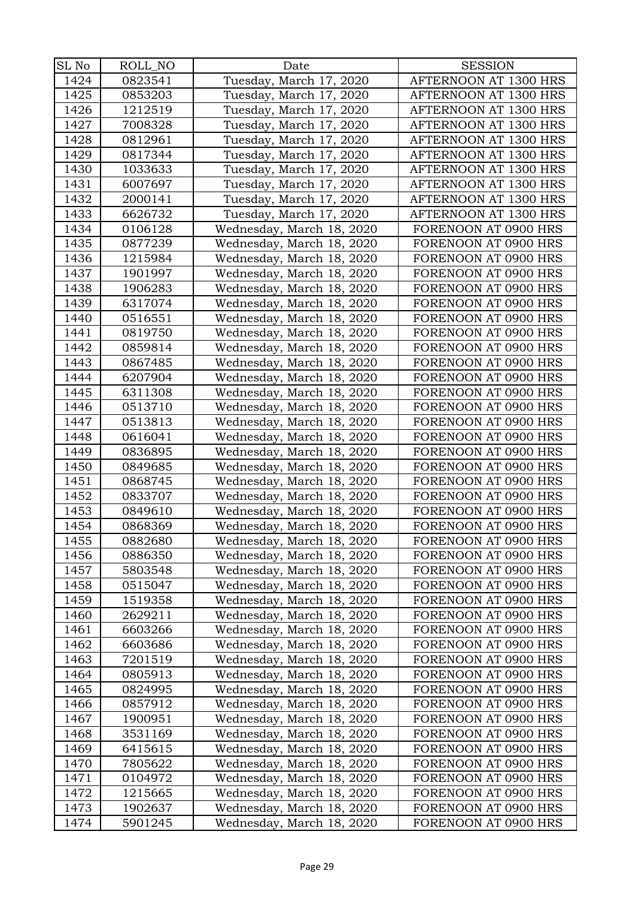| SL No        | ROLL_NO            | Date                      | <b>SESSION</b>                               |
|--------------|--------------------|---------------------------|----------------------------------------------|
| 1424         | 0823541            | Tuesday, March 17, 2020   | AFTERNOON AT 1300 HRS                        |
| 1425         | 0853203            | Tuesday, March 17, 2020   | AFTERNOON AT 1300 HRS                        |
| 1426         | 1212519            | Tuesday, March 17, 2020   | AFTERNOON AT 1300 HRS                        |
| 1427         | 7008328            | Tuesday, March 17, 2020   | AFTERNOON AT 1300 HRS                        |
| 1428         | 0812961            | Tuesday, March 17, 2020   | AFTERNOON AT 1300 HRS                        |
| 1429         | 0817344            | Tuesday, March 17, 2020   | AFTERNOON AT 1300 HRS                        |
| 1430         | 1033633            | Tuesday, March 17, 2020   | AFTERNOON AT 1300 HRS                        |
| 1431         | 6007697            | Tuesday, March 17, 2020   | AFTERNOON AT 1300 HRS                        |
| 1432         | 2000141            | Tuesday, March 17, 2020   | AFTERNOON AT 1300 HRS                        |
| 1433         | 6626732            | Tuesday, March 17, 2020   | AFTERNOON AT 1300 HRS                        |
| 1434         | 0106128            | Wednesday, March 18, 2020 | FORENOON AT 0900 HRS                         |
| 1435         | 0877239            | Wednesday, March 18, 2020 | FORENOON AT 0900 HRS                         |
| 1436         | 1215984            | Wednesday, March 18, 2020 | FORENOON AT 0900 HRS                         |
| 1437         | 1901997            | Wednesday, March 18, 2020 | FORENOON AT 0900 HRS                         |
| 1438         | 1906283            | Wednesday, March 18, 2020 | FORENOON AT 0900 HRS                         |
| 1439         | 6317074            | Wednesday, March 18, 2020 | FORENOON AT 0900 HRS                         |
| 1440         | 0516551            | Wednesday, March 18, 2020 | FORENOON AT 0900 HRS                         |
| 1441         | 0819750            | Wednesday, March 18, 2020 | FORENOON AT 0900 HRS                         |
| 1442         | 0859814            | Wednesday, March 18, 2020 | FORENOON AT 0900 HRS                         |
| 1443         | 0867485            | Wednesday, March 18, 2020 | FORENOON AT 0900 HRS                         |
| 1444         | 6207904            | Wednesday, March 18, 2020 | FORENOON AT 0900 HRS                         |
| 1445         | 6311308            | Wednesday, March 18, 2020 | FORENOON AT 0900 HRS                         |
| 1446         | 0513710            | Wednesday, March 18, 2020 | FORENOON AT 0900 HRS                         |
| 1447         | 0513813            | Wednesday, March 18, 2020 | FORENOON AT 0900 HRS                         |
| 1448         | 0616041            | Wednesday, March 18, 2020 | FORENOON AT 0900 HRS                         |
| 1449         | 0836895            | Wednesday, March 18, 2020 | FORENOON AT 0900 HRS                         |
| 1450         | 0849685            | Wednesday, March 18, 2020 | FORENOON AT 0900 HRS                         |
| 1451         | 0868745            | Wednesday, March 18, 2020 | FORENOON AT 0900 HRS                         |
| 1452         | 0833707            | Wednesday, March 18, 2020 | FORENOON AT 0900 HRS                         |
| 1453         | 0849610            | Wednesday, March 18, 2020 | FORENOON AT 0900 HRS                         |
| 1454         | 0868369            | Wednesday, March 18, 2020 | FORENOON AT 0900 HRS                         |
| 1455         | 0882680            | Wednesday, March 18, 2020 | FORENOON AT 0900 HRS                         |
| 1456         | 0886350            | Wednesday, March 18, 2020 | FORENOON AT 0900 HRS                         |
| 1457         | 5803548            | Wednesday, March 18, 2020 | FORENOON AT 0900 HRS                         |
| 1458         | 0515047            | Wednesday, March 18, 2020 | FORENOON AT 0900 HRS                         |
| 1459         | 1519358            | Wednesday, March 18, 2020 | FORENOON AT 0900 HRS                         |
| 1460         | 2629211            | Wednesday, March 18, 2020 | FORENOON AT 0900 HRS                         |
| 1461         | 6603266            | Wednesday, March 18, 2020 | FORENOON AT 0900 HRS                         |
| 1462         | 6603686            | Wednesday, March 18, 2020 | FORENOON AT 0900 HRS                         |
| 1463         | 7201519            | Wednesday, March 18, 2020 | FORENOON AT 0900 HRS                         |
| 1464         | 0805913            | Wednesday, March 18, 2020 | FORENOON AT 0900 HRS                         |
| 1465         | 0824995            | Wednesday, March 18, 2020 | FORENOON AT 0900 HRS                         |
| 1466         | 0857912            | Wednesday, March 18, 2020 | FORENOON AT 0900 HRS                         |
| 1467         | 1900951            | Wednesday, March 18, 2020 | FORENOON AT 0900 HRS                         |
| 1468         | 3531169            | Wednesday, March 18, 2020 | FORENOON AT 0900 HRS                         |
| 1469         | 6415615            | Wednesday, March 18, 2020 | FORENOON AT 0900 HRS                         |
| 1470         | 7805622            | Wednesday, March 18, 2020 | FORENOON AT 0900 HRS                         |
| 1471         | 0104972            | Wednesday, March 18, 2020 | FORENOON AT 0900 HRS                         |
| 1472<br>1473 | 1215665<br>1902637 | Wednesday, March 18, 2020 | FORENOON AT 0900 HRS<br>FORENOON AT 0900 HRS |
|              |                    | Wednesday, March 18, 2020 |                                              |
| 1474         | 5901245            | Wednesday, March 18, 2020 | FORENOON AT 0900 HRS                         |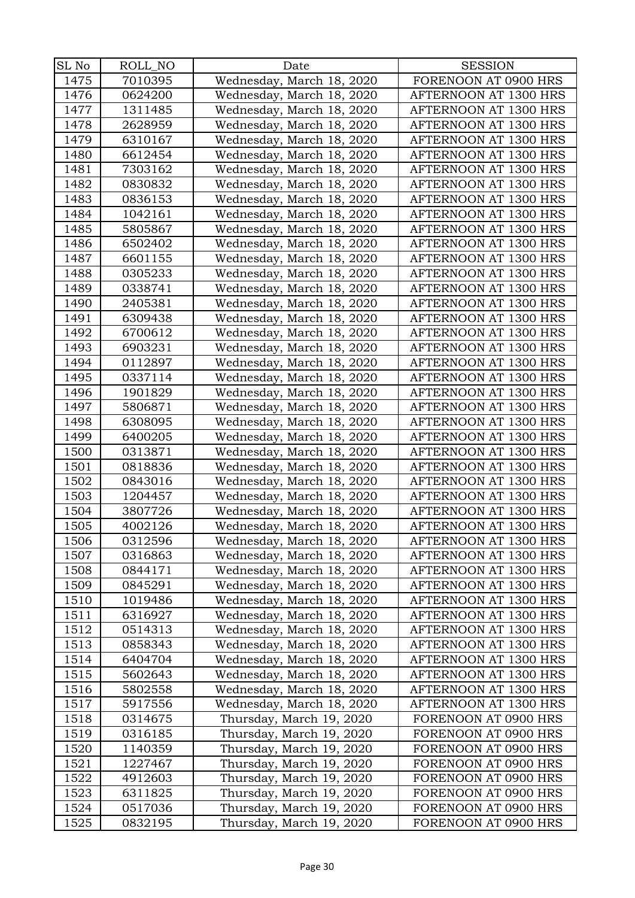| SL No | ROLL_NO | Date                      | <b>SESSION</b>        |
|-------|---------|---------------------------|-----------------------|
| 1475  | 7010395 | Wednesday, March 18, 2020 | FORENOON AT 0900 HRS  |
| 1476  | 0624200 | Wednesday, March 18, 2020 | AFTERNOON AT 1300 HRS |
| 1477  | 1311485 | Wednesday, March 18, 2020 | AFTERNOON AT 1300 HRS |
| 1478  | 2628959 | Wednesday, March 18, 2020 | AFTERNOON AT 1300 HRS |
| 1479  | 6310167 | Wednesday, March 18, 2020 | AFTERNOON AT 1300 HRS |
| 1480  | 6612454 | Wednesday, March 18, 2020 | AFTERNOON AT 1300 HRS |
| 1481  | 7303162 | Wednesday, March 18, 2020 | AFTERNOON AT 1300 HRS |
| 1482  | 0830832 | Wednesday, March 18, 2020 | AFTERNOON AT 1300 HRS |
| 1483  | 0836153 | Wednesday, March 18, 2020 | AFTERNOON AT 1300 HRS |
| 1484  | 1042161 | Wednesday, March 18, 2020 | AFTERNOON AT 1300 HRS |
| 1485  | 5805867 | Wednesday, March 18, 2020 | AFTERNOON AT 1300 HRS |
| 1486  | 6502402 | Wednesday, March 18, 2020 | AFTERNOON AT 1300 HRS |
| 1487  | 6601155 | Wednesday, March 18, 2020 | AFTERNOON AT 1300 HRS |
| 1488  | 0305233 | Wednesday, March 18, 2020 | AFTERNOON AT 1300 HRS |
| 1489  | 0338741 | Wednesday, March 18, 2020 | AFTERNOON AT 1300 HRS |
| 1490  | 2405381 | Wednesday, March 18, 2020 | AFTERNOON AT 1300 HRS |
| 1491  | 6309438 | Wednesday, March 18, 2020 | AFTERNOON AT 1300 HRS |
| 1492  | 6700612 | Wednesday, March 18, 2020 | AFTERNOON AT 1300 HRS |
| 1493  | 6903231 | Wednesday, March 18, 2020 | AFTERNOON AT 1300 HRS |
| 1494  | 0112897 | Wednesday, March 18, 2020 | AFTERNOON AT 1300 HRS |
| 1495  | 0337114 | Wednesday, March 18, 2020 | AFTERNOON AT 1300 HRS |
| 1496  | 1901829 | Wednesday, March 18, 2020 | AFTERNOON AT 1300 HRS |
| 1497  | 5806871 | Wednesday, March 18, 2020 | AFTERNOON AT 1300 HRS |
| 1498  | 6308095 | Wednesday, March 18, 2020 | AFTERNOON AT 1300 HRS |
| 1499  | 6400205 | Wednesday, March 18, 2020 | AFTERNOON AT 1300 HRS |
| 1500  | 0313871 | Wednesday, March 18, 2020 | AFTERNOON AT 1300 HRS |
| 1501  | 0818836 | Wednesday, March 18, 2020 | AFTERNOON AT 1300 HRS |
| 1502  | 0843016 | Wednesday, March 18, 2020 | AFTERNOON AT 1300 HRS |
| 1503  | 1204457 | Wednesday, March 18, 2020 | AFTERNOON AT 1300 HRS |
| 1504  | 3807726 | Wednesday, March 18, 2020 | AFTERNOON AT 1300 HRS |
| 1505  | 4002126 | Wednesday, March 18, 2020 | AFTERNOON AT 1300 HRS |
| 1506  | 0312596 | Wednesday, March 18, 2020 | AFTERNOON AT 1300 HRS |
| 1507  | 0316863 | Wednesday, March 18, 2020 | AFTERNOON AT 1300 HRS |
| 1508  | 0844171 | Wednesday, March 18, 2020 | AFTERNOON AT 1300 HRS |
| 1509  | 0845291 | Wednesday, March 18, 2020 | AFTERNOON AT 1300 HRS |
| 1510  | 1019486 | Wednesday, March 18, 2020 | AFTERNOON AT 1300 HRS |
| 1511  | 6316927 | Wednesday, March 18, 2020 | AFTERNOON AT 1300 HRS |
| 1512  | 0514313 | Wednesday, March 18, 2020 | AFTERNOON AT 1300 HRS |
| 1513  | 0858343 | Wednesday, March 18, 2020 | AFTERNOON AT 1300 HRS |
| 1514  | 6404704 | Wednesday, March 18, 2020 | AFTERNOON AT 1300 HRS |
| 1515  | 5602643 | Wednesday, March 18, 2020 | AFTERNOON AT 1300 HRS |
| 1516  | 5802558 | Wednesday, March 18, 2020 | AFTERNOON AT 1300 HRS |
| 1517  | 5917556 | Wednesday, March 18, 2020 | AFTERNOON AT 1300 HRS |
| 1518  | 0314675 | Thursday, March 19, 2020  | FORENOON AT 0900 HRS  |
| 1519  | 0316185 | Thursday, March 19, 2020  | FORENOON AT 0900 HRS  |
| 1520  | 1140359 | Thursday, March 19, 2020  | FORENOON AT 0900 HRS  |
| 1521  | 1227467 | Thursday, March 19, 2020  | FORENOON AT 0900 HRS  |
| 1522  | 4912603 | Thursday, March 19, 2020  | FORENOON AT 0900 HRS  |
| 1523  | 6311825 | Thursday, March 19, 2020  | FORENOON AT 0900 HRS  |
| 1524  | 0517036 | Thursday, March 19, 2020  | FORENOON AT 0900 HRS  |
| 1525  | 0832195 | Thursday, March 19, 2020  | FORENOON AT 0900 HRS  |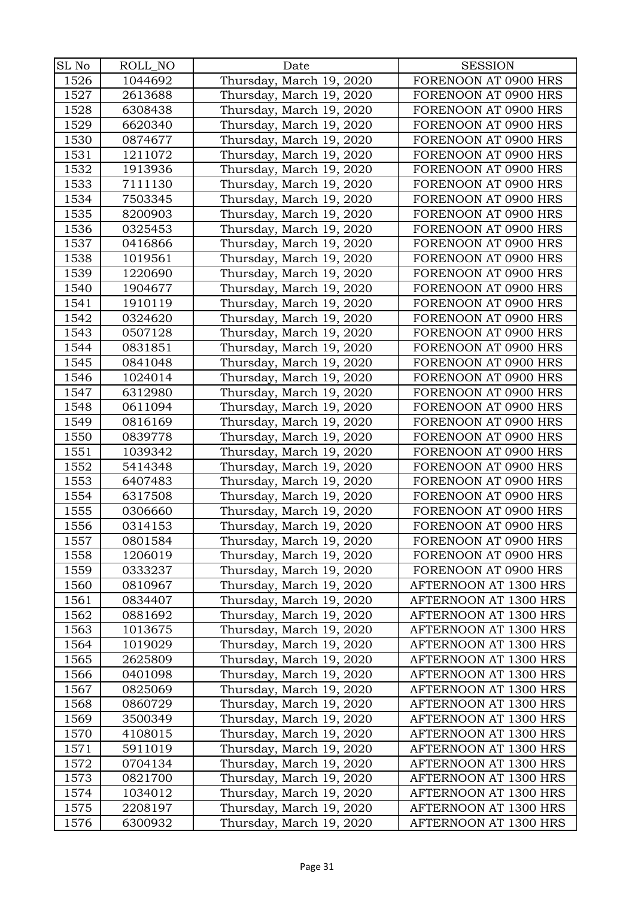| SL No | ROLL_NO | Date                     | <b>SESSION</b>        |
|-------|---------|--------------------------|-----------------------|
| 1526  | 1044692 | Thursday, March 19, 2020 | FORENOON AT 0900 HRS  |
| 1527  | 2613688 | Thursday, March 19, 2020 | FORENOON AT 0900 HRS  |
| 1528  | 6308438 | Thursday, March 19, 2020 | FORENOON AT 0900 HRS  |
| 1529  | 6620340 | Thursday, March 19, 2020 | FORENOON AT 0900 HRS  |
| 1530  | 0874677 | Thursday, March 19, 2020 | FORENOON AT 0900 HRS  |
| 1531  | 1211072 | Thursday, March 19, 2020 | FORENOON AT 0900 HRS  |
| 1532  | 1913936 | Thursday, March 19, 2020 | FORENOON AT 0900 HRS  |
| 1533  | 7111130 | Thursday, March 19, 2020 | FORENOON AT 0900 HRS  |
| 1534  | 7503345 | Thursday, March 19, 2020 | FORENOON AT 0900 HRS  |
| 1535  | 8200903 | Thursday, March 19, 2020 | FORENOON AT 0900 HRS  |
| 1536  | 0325453 | Thursday, March 19, 2020 | FORENOON AT 0900 HRS  |
| 1537  | 0416866 | Thursday, March 19, 2020 | FORENOON AT 0900 HRS  |
| 1538  | 1019561 | Thursday, March 19, 2020 | FORENOON AT 0900 HRS  |
| 1539  | 1220690 | Thursday, March 19, 2020 | FORENOON AT 0900 HRS  |
| 1540  | 1904677 | Thursday, March 19, 2020 | FORENOON AT 0900 HRS  |
| 1541  | 1910119 | Thursday, March 19, 2020 | FORENOON AT 0900 HRS  |
| 1542  | 0324620 | Thursday, March 19, 2020 | FORENOON AT 0900 HRS  |
| 1543  | 0507128 | Thursday, March 19, 2020 | FORENOON AT 0900 HRS  |
| 1544  | 0831851 | Thursday, March 19, 2020 | FORENOON AT 0900 HRS  |
| 1545  | 0841048 | Thursday, March 19, 2020 | FORENOON AT 0900 HRS  |
| 1546  | 1024014 | Thursday, March 19, 2020 | FORENOON AT 0900 HRS  |
| 1547  | 6312980 | Thursday, March 19, 2020 | FORENOON AT 0900 HRS  |
| 1548  | 0611094 | Thursday, March 19, 2020 | FORENOON AT 0900 HRS  |
| 1549  | 0816169 | Thursday, March 19, 2020 | FORENOON AT 0900 HRS  |
| 1550  | 0839778 | Thursday, March 19, 2020 | FORENOON AT 0900 HRS  |
| 1551  | 1039342 | Thursday, March 19, 2020 | FORENOON AT 0900 HRS  |
| 1552  | 5414348 | Thursday, March 19, 2020 | FORENOON AT 0900 HRS  |
| 1553  | 6407483 | Thursday, March 19, 2020 | FORENOON AT 0900 HRS  |
| 1554  | 6317508 | Thursday, March 19, 2020 | FORENOON AT 0900 HRS  |
| 1555  | 0306660 | Thursday, March 19, 2020 | FORENOON AT 0900 HRS  |
| 1556  | 0314153 | Thursday, March 19, 2020 | FORENOON AT 0900 HRS  |
| 1557  | 0801584 | Thursday, March 19, 2020 | FORENOON AT 0900 HRS  |
| 1558  | 1206019 | Thursday, March 19, 2020 | FORENOON AT 0900 HRS  |
| 1559  | 0333237 | Thursday, March 19, 2020 | FORENOON AT 0900 HRS  |
| 1560  | 0810967 | Thursday, March 19, 2020 | AFTERNOON AT 1300 HRS |
| 1561  | 0834407 | Thursday, March 19, 2020 | AFTERNOON AT 1300 HRS |
| 1562  | 0881692 | Thursday, March 19, 2020 | AFTERNOON AT 1300 HRS |
| 1563  | 1013675 | Thursday, March 19, 2020 | AFTERNOON AT 1300 HRS |
| 1564  | 1019029 | Thursday, March 19, 2020 | AFTERNOON AT 1300 HRS |
| 1565  | 2625809 | Thursday, March 19, 2020 | AFTERNOON AT 1300 HRS |
| 1566  | 0401098 | Thursday, March 19, 2020 | AFTERNOON AT 1300 HRS |
| 1567  | 0825069 | Thursday, March 19, 2020 | AFTERNOON AT 1300 HRS |
| 1568  | 0860729 | Thursday, March 19, 2020 | AFTERNOON AT 1300 HRS |
| 1569  | 3500349 | Thursday, March 19, 2020 | AFTERNOON AT 1300 HRS |
| 1570  | 4108015 | Thursday, March 19, 2020 | AFTERNOON AT 1300 HRS |
| 1571  | 5911019 | Thursday, March 19, 2020 | AFTERNOON AT 1300 HRS |
| 1572  | 0704134 | Thursday, March 19, 2020 | AFTERNOON AT 1300 HRS |
| 1573  | 0821700 | Thursday, March 19, 2020 | AFTERNOON AT 1300 HRS |
| 1574  | 1034012 | Thursday, March 19, 2020 | AFTERNOON AT 1300 HRS |
| 1575  | 2208197 | Thursday, March 19, 2020 | AFTERNOON AT 1300 HRS |
| 1576  | 6300932 | Thursday, March 19, 2020 | AFTERNOON AT 1300 HRS |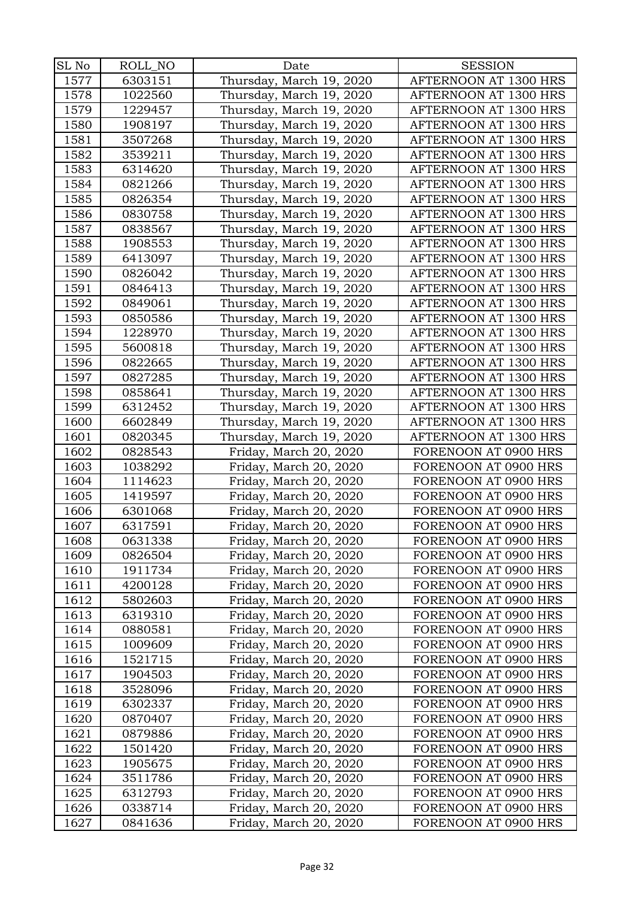| SL No | ROLL_NO | Date                     | <b>SESSION</b>        |
|-------|---------|--------------------------|-----------------------|
| 1577  | 6303151 | Thursday, March 19, 2020 | AFTERNOON AT 1300 HRS |
| 1578  | 1022560 | Thursday, March 19, 2020 | AFTERNOON AT 1300 HRS |
| 1579  | 1229457 | Thursday, March 19, 2020 | AFTERNOON AT 1300 HRS |
| 1580  | 1908197 | Thursday, March 19, 2020 | AFTERNOON AT 1300 HRS |
| 1581  | 3507268 | Thursday, March 19, 2020 | AFTERNOON AT 1300 HRS |
| 1582  | 3539211 | Thursday, March 19, 2020 | AFTERNOON AT 1300 HRS |
| 1583  | 6314620 | Thursday, March 19, 2020 | AFTERNOON AT 1300 HRS |
| 1584  | 0821266 | Thursday, March 19, 2020 | AFTERNOON AT 1300 HRS |
| 1585  | 0826354 | Thursday, March 19, 2020 | AFTERNOON AT 1300 HRS |
| 1586  | 0830758 | Thursday, March 19, 2020 | AFTERNOON AT 1300 HRS |
| 1587  | 0838567 | Thursday, March 19, 2020 | AFTERNOON AT 1300 HRS |
| 1588  | 1908553 | Thursday, March 19, 2020 | AFTERNOON AT 1300 HRS |
| 1589  | 6413097 | Thursday, March 19, 2020 | AFTERNOON AT 1300 HRS |
| 1590  | 0826042 | Thursday, March 19, 2020 | AFTERNOON AT 1300 HRS |
| 1591  | 0846413 | Thursday, March 19, 2020 | AFTERNOON AT 1300 HRS |
| 1592  | 0849061 | Thursday, March 19, 2020 | AFTERNOON AT 1300 HRS |
| 1593  | 0850586 | Thursday, March 19, 2020 | AFTERNOON AT 1300 HRS |
| 1594  | 1228970 | Thursday, March 19, 2020 | AFTERNOON AT 1300 HRS |
| 1595  | 5600818 | Thursday, March 19, 2020 | AFTERNOON AT 1300 HRS |
| 1596  | 0822665 | Thursday, March 19, 2020 | AFTERNOON AT 1300 HRS |
| 1597  | 0827285 | Thursday, March 19, 2020 | AFTERNOON AT 1300 HRS |
| 1598  | 0858641 | Thursday, March 19, 2020 | AFTERNOON AT 1300 HRS |
| 1599  | 6312452 | Thursday, March 19, 2020 | AFTERNOON AT 1300 HRS |
| 1600  | 6602849 | Thursday, March 19, 2020 | AFTERNOON AT 1300 HRS |
| 1601  | 0820345 | Thursday, March 19, 2020 | AFTERNOON AT 1300 HRS |
| 1602  | 0828543 | Friday, March 20, 2020   | FORENOON AT 0900 HRS  |
| 1603  | 1038292 | Friday, March 20, 2020   | FORENOON AT 0900 HRS  |
| 1604  | 1114623 | Friday, March 20, 2020   | FORENOON AT 0900 HRS  |
| 1605  | 1419597 | Friday, March 20, 2020   | FORENOON AT 0900 HRS  |
| 1606  | 6301068 | Friday, March 20, 2020   | FORENOON AT 0900 HRS  |
| 1607  | 6317591 | Friday, March 20, 2020   | FORENOON AT 0900 HRS  |
| 1608  | 0631338 | Friday, March 20, 2020   | FORENOON AT 0900 HRS  |
| 1609  | 0826504 | Friday, March 20, 2020   | FORENOON AT 0900 HRS  |
| 1610  | 1911734 | Friday, March 20, 2020   | FORENOON AT 0900 HRS  |
| 1611  | 4200128 | Friday, March 20, 2020   | FORENOON AT 0900 HRS  |
| 1612  | 5802603 | Friday, March 20, 2020   | FORENOON AT 0900 HRS  |
| 1613  | 6319310 | Friday, March 20, 2020   | FORENOON AT 0900 HRS  |
| 1614  | 0880581 | Friday, March 20, 2020   | FORENOON AT 0900 HRS  |
| 1615  | 1009609 | Friday, March 20, 2020   | FORENOON AT 0900 HRS  |
| 1616  | 1521715 | Friday, March 20, 2020   | FORENOON AT 0900 HRS  |
| 1617  | 1904503 | Friday, March 20, 2020   | FORENOON AT 0900 HRS  |
| 1618  | 3528096 | Friday, March 20, 2020   | FORENOON AT 0900 HRS  |
| 1619  | 6302337 | Friday, March 20, 2020   | FORENOON AT 0900 HRS  |
| 1620  | 0870407 | Friday, March 20, 2020   | FORENOON AT 0900 HRS  |
| 1621  | 0879886 | Friday, March 20, 2020   | FORENOON AT 0900 HRS  |
| 1622  | 1501420 | Friday, March 20, 2020   | FORENOON AT 0900 HRS  |
| 1623  | 1905675 | Friday, March 20, 2020   | FORENOON AT 0900 HRS  |
| 1624  | 3511786 | Friday, March 20, 2020   | FORENOON AT 0900 HRS  |
| 1625  | 6312793 | Friday, March 20, 2020   | FORENOON AT 0900 HRS  |
| 1626  | 0338714 | Friday, March 20, 2020   | FORENOON AT 0900 HRS  |
| 1627  | 0841636 | Friday, March 20, 2020   | FORENOON AT 0900 HRS  |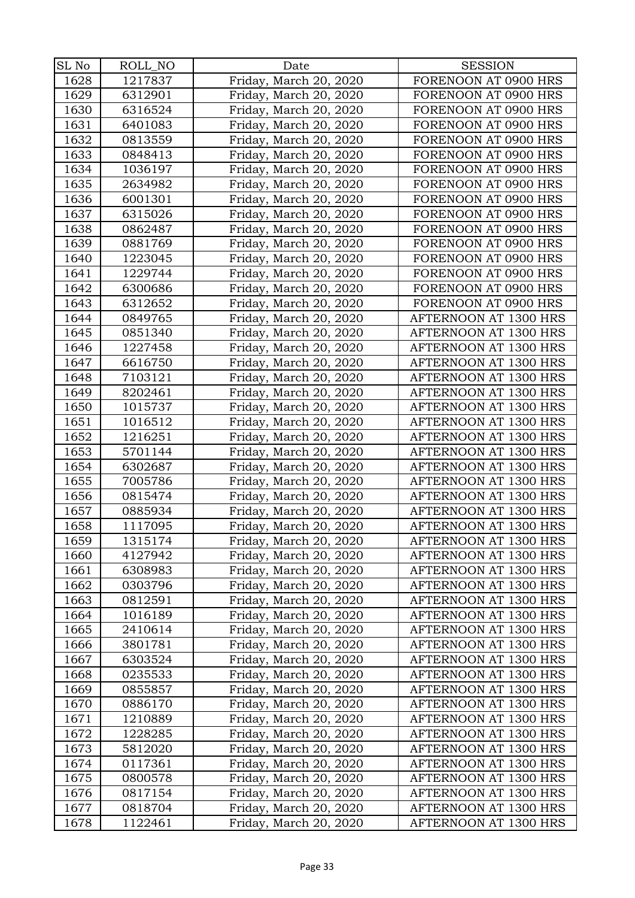| SL No | ROLL_NO | Date                   | <b>SESSION</b>        |
|-------|---------|------------------------|-----------------------|
| 1628  | 1217837 | Friday, March 20, 2020 | FORENOON AT 0900 HRS  |
| 1629  | 6312901 | Friday, March 20, 2020 | FORENOON AT 0900 HRS  |
| 1630  | 6316524 | Friday, March 20, 2020 | FORENOON AT 0900 HRS  |
| 1631  | 6401083 | Friday, March 20, 2020 | FORENOON AT 0900 HRS  |
| 1632  | 0813559 | Friday, March 20, 2020 | FORENOON AT 0900 HRS  |
| 1633  | 0848413 | Friday, March 20, 2020 | FORENOON AT 0900 HRS  |
| 1634  | 1036197 | Friday, March 20, 2020 | FORENOON AT 0900 HRS  |
| 1635  | 2634982 | Friday, March 20, 2020 | FORENOON AT 0900 HRS  |
| 1636  | 6001301 | Friday, March 20, 2020 | FORENOON AT 0900 HRS  |
| 1637  | 6315026 | Friday, March 20, 2020 | FORENOON AT 0900 HRS  |
| 1638  | 0862487 | Friday, March 20, 2020 | FORENOON AT 0900 HRS  |
| 1639  | 0881769 | Friday, March 20, 2020 | FORENOON AT 0900 HRS  |
| 1640  | 1223045 | Friday, March 20, 2020 | FORENOON AT 0900 HRS  |
| 1641  | 1229744 | Friday, March 20, 2020 | FORENOON AT 0900 HRS  |
| 1642  | 6300686 | Friday, March 20, 2020 | FORENOON AT 0900 HRS  |
| 1643  | 6312652 | Friday, March 20, 2020 | FORENOON AT 0900 HRS  |
| 1644  | 0849765 | Friday, March 20, 2020 | AFTERNOON AT 1300 HRS |
| 1645  | 0851340 | Friday, March 20, 2020 | AFTERNOON AT 1300 HRS |
| 1646  | 1227458 | Friday, March 20, 2020 | AFTERNOON AT 1300 HRS |
| 1647  | 6616750 | Friday, March 20, 2020 | AFTERNOON AT 1300 HRS |
| 1648  | 7103121 | Friday, March 20, 2020 | AFTERNOON AT 1300 HRS |
| 1649  | 8202461 | Friday, March 20, 2020 | AFTERNOON AT 1300 HRS |
| 1650  | 1015737 | Friday, March 20, 2020 | AFTERNOON AT 1300 HRS |
| 1651  | 1016512 | Friday, March 20, 2020 | AFTERNOON AT 1300 HRS |
| 1652  | 1216251 | Friday, March 20, 2020 | AFTERNOON AT 1300 HRS |
| 1653  | 5701144 | Friday, March 20, 2020 | AFTERNOON AT 1300 HRS |
| 1654  | 6302687 | Friday, March 20, 2020 | AFTERNOON AT 1300 HRS |
| 1655  | 7005786 | Friday, March 20, 2020 | AFTERNOON AT 1300 HRS |
| 1656  | 0815474 | Friday, March 20, 2020 | AFTERNOON AT 1300 HRS |
| 1657  | 0885934 | Friday, March 20, 2020 | AFTERNOON AT 1300 HRS |
| 1658  | 1117095 | Friday, March 20, 2020 | AFTERNOON AT 1300 HRS |
| 1659  | 1315174 | Friday, March 20, 2020 | AFTERNOON AT 1300 HRS |
| 1660  | 4127942 | Friday, March 20, 2020 | AFTERNOON AT 1300 HRS |
| 1661  | 6308983 | Friday, March 20, 2020 | AFTERNOON AT 1300 HRS |
| 1662  | 0303796 | Friday, March 20, 2020 | AFTERNOON AT 1300 HRS |
| 1663  | 0812591 | Friday, March 20, 2020 | AFTERNOON AT 1300 HRS |
| 1664  | 1016189 | Friday, March 20, 2020 | AFTERNOON AT 1300 HRS |
| 1665  | 2410614 | Friday, March 20, 2020 | AFTERNOON AT 1300 HRS |
| 1666  | 3801781 | Friday, March 20, 2020 | AFTERNOON AT 1300 HRS |
| 1667  | 6303524 | Friday, March 20, 2020 | AFTERNOON AT 1300 HRS |
| 1668  | 0235533 | Friday, March 20, 2020 | AFTERNOON AT 1300 HRS |
| 1669  | 0855857 | Friday, March 20, 2020 | AFTERNOON AT 1300 HRS |
| 1670  | 0886170 | Friday, March 20, 2020 | AFTERNOON AT 1300 HRS |
| 1671  | 1210889 | Friday, March 20, 2020 | AFTERNOON AT 1300 HRS |
| 1672  | 1228285 | Friday, March 20, 2020 | AFTERNOON AT 1300 HRS |
| 1673  | 5812020 | Friday, March 20, 2020 | AFTERNOON AT 1300 HRS |
| 1674  | 0117361 | Friday, March 20, 2020 | AFTERNOON AT 1300 HRS |
| 1675  | 0800578 | Friday, March 20, 2020 | AFTERNOON AT 1300 HRS |
| 1676  | 0817154 | Friday, March 20, 2020 | AFTERNOON AT 1300 HRS |
| 1677  | 0818704 | Friday, March 20, 2020 | AFTERNOON AT 1300 HRS |
| 1678  | 1122461 | Friday, March 20, 2020 | AFTERNOON AT 1300 HRS |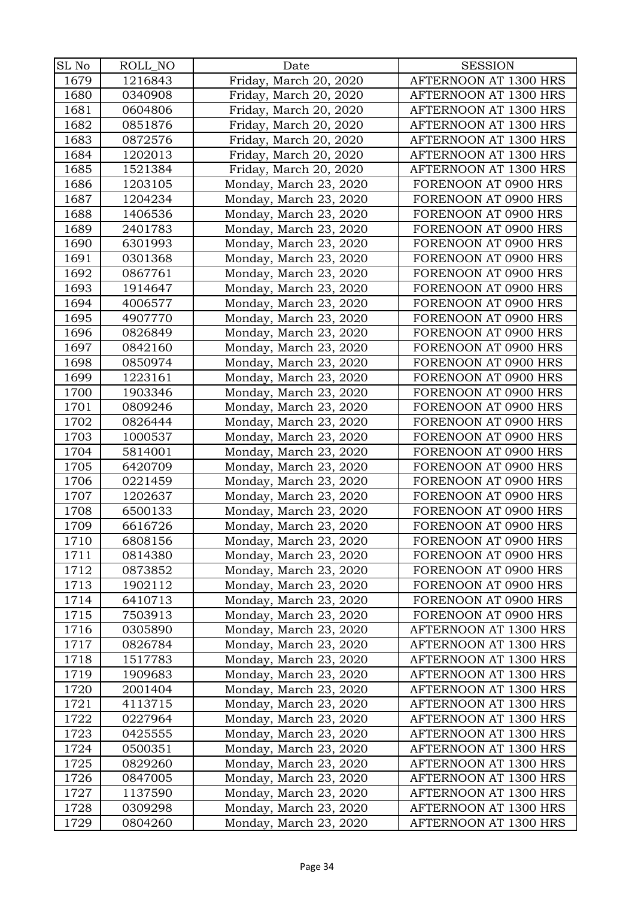| SL No | ROLL_NO | Date                   | <b>SESSION</b>        |
|-------|---------|------------------------|-----------------------|
| 1679  | 1216843 | Friday, March 20, 2020 | AFTERNOON AT 1300 HRS |
| 1680  | 0340908 | Friday, March 20, 2020 | AFTERNOON AT 1300 HRS |
| 1681  | 0604806 | Friday, March 20, 2020 | AFTERNOON AT 1300 HRS |
| 1682  | 0851876 | Friday, March 20, 2020 | AFTERNOON AT 1300 HRS |
| 1683  | 0872576 | Friday, March 20, 2020 | AFTERNOON AT 1300 HRS |
| 1684  | 1202013 | Friday, March 20, 2020 | AFTERNOON AT 1300 HRS |
| 1685  | 1521384 | Friday, March 20, 2020 | AFTERNOON AT 1300 HRS |
| 1686  | 1203105 | Monday, March 23, 2020 | FORENOON AT 0900 HRS  |
| 1687  | 1204234 | Monday, March 23, 2020 | FORENOON AT 0900 HRS  |
| 1688  | 1406536 | Monday, March 23, 2020 | FORENOON AT 0900 HRS  |
| 1689  | 2401783 | Monday, March 23, 2020 | FORENOON AT 0900 HRS  |
| 1690  | 6301993 | Monday, March 23, 2020 | FORENOON AT 0900 HRS  |
| 1691  | 0301368 | Monday, March 23, 2020 | FORENOON AT 0900 HRS  |
| 1692  | 0867761 | Monday, March 23, 2020 | FORENOON AT 0900 HRS  |
| 1693  | 1914647 | Monday, March 23, 2020 | FORENOON AT 0900 HRS  |
| 1694  | 4006577 | Monday, March 23, 2020 | FORENOON AT 0900 HRS  |
| 1695  | 4907770 | Monday, March 23, 2020 | FORENOON AT 0900 HRS  |
| 1696  | 0826849 | Monday, March 23, 2020 | FORENOON AT 0900 HRS  |
| 1697  | 0842160 | Monday, March 23, 2020 | FORENOON AT 0900 HRS  |
| 1698  | 0850974 | Monday, March 23, 2020 | FORENOON AT 0900 HRS  |
| 1699  | 1223161 | Monday, March 23, 2020 | FORENOON AT 0900 HRS  |
| 1700  | 1903346 | Monday, March 23, 2020 | FORENOON AT 0900 HRS  |
| 1701  | 0809246 | Monday, March 23, 2020 | FORENOON AT 0900 HRS  |
| 1702  | 0826444 | Monday, March 23, 2020 | FORENOON AT 0900 HRS  |
| 1703  | 1000537 | Monday, March 23, 2020 | FORENOON AT 0900 HRS  |
| 1704  | 5814001 | Monday, March 23, 2020 | FORENOON AT 0900 HRS  |
| 1705  | 6420709 | Monday, March 23, 2020 | FORENOON AT 0900 HRS  |
| 1706  | 0221459 | Monday, March 23, 2020 | FORENOON AT 0900 HRS  |
| 1707  | 1202637 | Monday, March 23, 2020 | FORENOON AT 0900 HRS  |
| 1708  | 6500133 | Monday, March 23, 2020 | FORENOON AT 0900 HRS  |
| 1709  | 6616726 | Monday, March 23, 2020 | FORENOON AT 0900 HRS  |
| 1710  | 6808156 | Monday, March 23, 2020 | FORENOON AT 0900 HRS  |
| 1711  | 0814380 | Monday, March 23, 2020 | FORENOON AT 0900 HRS  |
| 1712  | 0873852 | Monday, March 23, 2020 | FORENOON AT 0900 HRS  |
| 1713  | 1902112 | Monday, March 23, 2020 | FORENOON AT 0900 HRS  |
| 1714  | 6410713 | Monday, March 23, 2020 | FORENOON AT 0900 HRS  |
| 1715  | 7503913 | Monday, March 23, 2020 | FORENOON AT 0900 HRS  |
| 1716  | 0305890 | Monday, March 23, 2020 | AFTERNOON AT 1300 HRS |
| 1717  | 0826784 | Monday, March 23, 2020 | AFTERNOON AT 1300 HRS |
| 1718  | 1517783 | Monday, March 23, 2020 | AFTERNOON AT 1300 HRS |
| 1719  | 1909683 | Monday, March 23, 2020 | AFTERNOON AT 1300 HRS |
| 1720  | 2001404 | Monday, March 23, 2020 | AFTERNOON AT 1300 HRS |
| 1721  | 4113715 | Monday, March 23, 2020 | AFTERNOON AT 1300 HRS |
| 1722  | 0227964 | Monday, March 23, 2020 | AFTERNOON AT 1300 HRS |
| 1723  | 0425555 | Monday, March 23, 2020 | AFTERNOON AT 1300 HRS |
| 1724  | 0500351 | Monday, March 23, 2020 | AFTERNOON AT 1300 HRS |
| 1725  | 0829260 | Monday, March 23, 2020 | AFTERNOON AT 1300 HRS |
| 1726  | 0847005 | Monday, March 23, 2020 | AFTERNOON AT 1300 HRS |
| 1727  | 1137590 | Monday, March 23, 2020 | AFTERNOON AT 1300 HRS |
| 1728  | 0309298 | Monday, March 23, 2020 | AFTERNOON AT 1300 HRS |
| 1729  | 0804260 | Monday, March 23, 2020 | AFTERNOON AT 1300 HRS |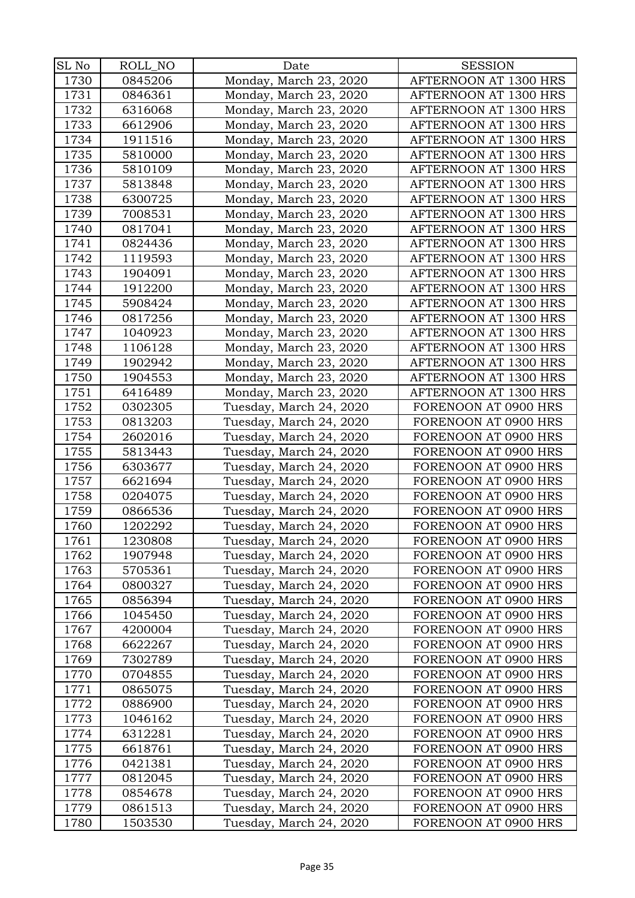| SL No | ROLL_NO | Date                    | <b>SESSION</b>        |
|-------|---------|-------------------------|-----------------------|
| 1730  | 0845206 | Monday, March 23, 2020  | AFTERNOON AT 1300 HRS |
| 1731  | 0846361 | Monday, March 23, 2020  | AFTERNOON AT 1300 HRS |
| 1732  | 6316068 | Monday, March 23, 2020  | AFTERNOON AT 1300 HRS |
| 1733  | 6612906 | Monday, March 23, 2020  | AFTERNOON AT 1300 HRS |
| 1734  | 1911516 | Monday, March 23, 2020  | AFTERNOON AT 1300 HRS |
| 1735  | 5810000 | Monday, March 23, 2020  | AFTERNOON AT 1300 HRS |
| 1736  | 5810109 | Monday, March 23, 2020  | AFTERNOON AT 1300 HRS |
| 1737  | 5813848 | Monday, March 23, 2020  | AFTERNOON AT 1300 HRS |
| 1738  | 6300725 | Monday, March 23, 2020  | AFTERNOON AT 1300 HRS |
| 1739  | 7008531 | Monday, March 23, 2020  | AFTERNOON AT 1300 HRS |
| 1740  | 0817041 | Monday, March 23, 2020  | AFTERNOON AT 1300 HRS |
| 1741  | 0824436 | Monday, March 23, 2020  | AFTERNOON AT 1300 HRS |
| 1742  | 1119593 | Monday, March 23, 2020  | AFTERNOON AT 1300 HRS |
| 1743  | 1904091 | Monday, March 23, 2020  | AFTERNOON AT 1300 HRS |
| 1744  | 1912200 | Monday, March 23, 2020  | AFTERNOON AT 1300 HRS |
| 1745  | 5908424 | Monday, March 23, 2020  | AFTERNOON AT 1300 HRS |
| 1746  | 0817256 | Monday, March 23, 2020  | AFTERNOON AT 1300 HRS |
| 1747  | 1040923 | Monday, March 23, 2020  | AFTERNOON AT 1300 HRS |
| 1748  | 1106128 | Monday, March 23, 2020  | AFTERNOON AT 1300 HRS |
| 1749  | 1902942 | Monday, March 23, 2020  | AFTERNOON AT 1300 HRS |
| 1750  | 1904553 | Monday, March 23, 2020  | AFTERNOON AT 1300 HRS |
| 1751  | 6416489 | Monday, March 23, 2020  | AFTERNOON AT 1300 HRS |
| 1752  | 0302305 | Tuesday, March 24, 2020 | FORENOON AT 0900 HRS  |
| 1753  | 0813203 | Tuesday, March 24, 2020 | FORENOON AT 0900 HRS  |
| 1754  | 2602016 | Tuesday, March 24, 2020 | FORENOON AT 0900 HRS  |
| 1755  | 5813443 | Tuesday, March 24, 2020 | FORENOON AT 0900 HRS  |
| 1756  | 6303677 | Tuesday, March 24, 2020 | FORENOON AT 0900 HRS  |
| 1757  | 6621694 | Tuesday, March 24, 2020 | FORENOON AT 0900 HRS  |
| 1758  | 0204075 | Tuesday, March 24, 2020 | FORENOON AT 0900 HRS  |
| 1759  | 0866536 | Tuesday, March 24, 2020 | FORENOON AT 0900 HRS  |
| 1760  | 1202292 | Tuesday, March 24, 2020 | FORENOON AT 0900 HRS  |
| 1761  | 1230808 | Tuesday, March 24, 2020 | FORENOON AT 0900 HRS  |
| 1762  | 1907948 | Tuesday, March 24, 2020 | FORENOON AT 0900 HRS  |
| 1763  | 5705361 | Tuesday, March 24, 2020 | FORENOON AT 0900 HRS  |
| 1764  | 0800327 | Tuesday, March 24, 2020 | FORENOON AT 0900 HRS  |
| 1765  | 0856394 | Tuesday, March 24, 2020 | FORENOON AT 0900 HRS  |
| 1766  | 1045450 | Tuesday, March 24, 2020 | FORENOON AT 0900 HRS  |
| 1767  | 4200004 | Tuesday, March 24, 2020 | FORENOON AT 0900 HRS  |
| 1768  | 6622267 | Tuesday, March 24, 2020 | FORENOON AT 0900 HRS  |
| 1769  | 7302789 | Tuesday, March 24, 2020 | FORENOON AT 0900 HRS  |
| 1770  | 0704855 | Tuesday, March 24, 2020 | FORENOON AT 0900 HRS  |
| 1771  | 0865075 | Tuesday, March 24, 2020 | FORENOON AT 0900 HRS  |
| 1772  | 0886900 | Tuesday, March 24, 2020 | FORENOON AT 0900 HRS  |
| 1773  | 1046162 | Tuesday, March 24, 2020 | FORENOON AT 0900 HRS  |
| 1774  | 6312281 | Tuesday, March 24, 2020 | FORENOON AT 0900 HRS  |
| 1775  | 6618761 | Tuesday, March 24, 2020 | FORENOON AT 0900 HRS  |
| 1776  | 0421381 | Tuesday, March 24, 2020 | FORENOON AT 0900 HRS  |
| 1777  | 0812045 | Tuesday, March 24, 2020 | FORENOON AT 0900 HRS  |
| 1778  | 0854678 | Tuesday, March 24, 2020 | FORENOON AT 0900 HRS  |
| 1779  | 0861513 | Tuesday, March 24, 2020 | FORENOON AT 0900 HRS  |
| 1780  | 1503530 | Tuesday, March 24, 2020 | FORENOON AT 0900 HRS  |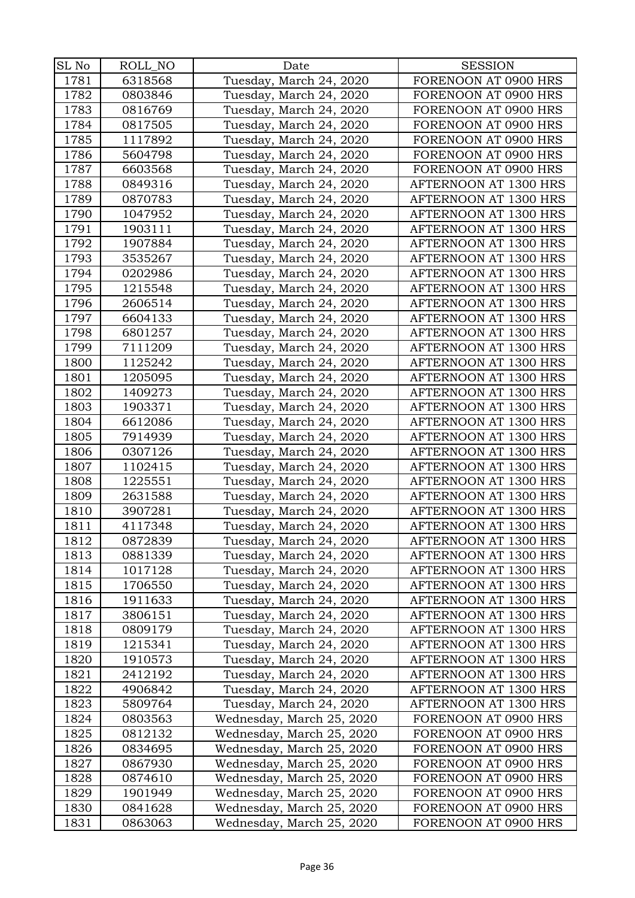| SL No | ROLL_NO | Date                      | <b>SESSION</b>        |
|-------|---------|---------------------------|-----------------------|
| 1781  | 6318568 | Tuesday, March 24, 2020   | FORENOON AT 0900 HRS  |
|       |         |                           |                       |
| 1782  | 0803846 | Tuesday, March 24, 2020   | FORENOON AT 0900 HRS  |
| 1783  | 0816769 | Tuesday, March 24, 2020   | FORENOON AT 0900 HRS  |
| 1784  | 0817505 | Tuesday, March 24, 2020   | FORENOON AT 0900 HRS  |
| 1785  | 1117892 | Tuesday, March 24, 2020   | FORENOON AT 0900 HRS  |
| 1786  | 5604798 | Tuesday, March 24, 2020   | FORENOON AT 0900 HRS  |
| 1787  | 6603568 | Tuesday, March 24, 2020   | FORENOON AT 0900 HRS  |
| 1788  | 0849316 | Tuesday, March 24, 2020   | AFTERNOON AT 1300 HRS |
| 1789  | 0870783 | Tuesday, March 24, 2020   | AFTERNOON AT 1300 HRS |
| 1790  | 1047952 | Tuesday, March 24, 2020   | AFTERNOON AT 1300 HRS |
| 1791  | 1903111 | Tuesday, March 24, 2020   | AFTERNOON AT 1300 HRS |
| 1792  | 1907884 | Tuesday, March 24, 2020   | AFTERNOON AT 1300 HRS |
| 1793  | 3535267 | Tuesday, March 24, 2020   | AFTERNOON AT 1300 HRS |
| 1794  | 0202986 | Tuesday, March 24, 2020   | AFTERNOON AT 1300 HRS |
| 1795  | 1215548 | Tuesday, March 24, 2020   | AFTERNOON AT 1300 HRS |
| 1796  | 2606514 | Tuesday, March 24, 2020   | AFTERNOON AT 1300 HRS |
| 1797  | 6604133 | Tuesday, March 24, 2020   | AFTERNOON AT 1300 HRS |
| 1798  | 6801257 | Tuesday, March 24, 2020   | AFTERNOON AT 1300 HRS |
| 1799  | 7111209 | Tuesday, March 24, 2020   | AFTERNOON AT 1300 HRS |
| 1800  | 1125242 | Tuesday, March 24, 2020   | AFTERNOON AT 1300 HRS |
| 1801  | 1205095 | Tuesday, March 24, 2020   | AFTERNOON AT 1300 HRS |
| 1802  | 1409273 | Tuesday, March 24, 2020   | AFTERNOON AT 1300 HRS |
| 1803  | 1903371 | Tuesday, March 24, 2020   | AFTERNOON AT 1300 HRS |
| 1804  | 6612086 | Tuesday, March 24, 2020   | AFTERNOON AT 1300 HRS |
| 1805  | 7914939 | Tuesday, March 24, 2020   | AFTERNOON AT 1300 HRS |
| 1806  | 0307126 | Tuesday, March 24, 2020   | AFTERNOON AT 1300 HRS |
| 1807  | 1102415 | Tuesday, March 24, 2020   | AFTERNOON AT 1300 HRS |
| 1808  | 1225551 | Tuesday, March 24, 2020   | AFTERNOON AT 1300 HRS |
| 1809  | 2631588 | Tuesday, March 24, 2020   | AFTERNOON AT 1300 HRS |
| 1810  | 3907281 | Tuesday, March 24, 2020   | AFTERNOON AT 1300 HRS |
| 1811  | 4117348 | Tuesday, March 24, 2020   | AFTERNOON AT 1300 HRS |
| 1812  | 0872839 | Tuesday, March 24, 2020   | AFTERNOON AT 1300 HRS |
| 1813  | 0881339 | Tuesday, March 24, 2020   | AFTERNOON AT 1300 HRS |
| 1814  | 1017128 | Tuesday, March 24, 2020   | AFTERNOON AT 1300 HRS |
| 1815  | 1706550 | Tuesday, March 24, 2020   | AFTERNOON AT 1300 HRS |
| 1816  | 1911633 | Tuesday, March 24, 2020   | AFTERNOON AT 1300 HRS |
| 1817  | 3806151 | Tuesday, March 24, 2020   | AFTERNOON AT 1300 HRS |
| 1818  | 0809179 | Tuesday, March 24, 2020   | AFTERNOON AT 1300 HRS |
| 1819  | 1215341 | Tuesday, March 24, 2020   | AFTERNOON AT 1300 HRS |
| 1820  | 1910573 | Tuesday, March 24, 2020   | AFTERNOON AT 1300 HRS |
| 1821  | 2412192 | Tuesday, March 24, 2020   | AFTERNOON AT 1300 HRS |
| 1822  | 4906842 | Tuesday, March 24, 2020   | AFTERNOON AT 1300 HRS |
| 1823  | 5809764 | Tuesday, March 24, 2020   | AFTERNOON AT 1300 HRS |
| 1824  | 0803563 | Wednesday, March 25, 2020 | FORENOON AT 0900 HRS  |
| 1825  | 0812132 | Wednesday, March 25, 2020 | FORENOON AT 0900 HRS  |
| 1826  | 0834695 | Wednesday, March 25, 2020 | FORENOON AT 0900 HRS  |
| 1827  | 0867930 | Wednesday, March 25, 2020 | FORENOON AT 0900 HRS  |
| 1828  | 0874610 | Wednesday, March 25, 2020 | FORENOON AT 0900 HRS  |
| 1829  | 1901949 | Wednesday, March 25, 2020 | FORENOON AT 0900 HRS  |
| 1830  | 0841628 | Wednesday, March 25, 2020 | FORENOON AT 0900 HRS  |
| 1831  | 0863063 | Wednesday, March 25, 2020 | FORENOON AT 0900 HRS  |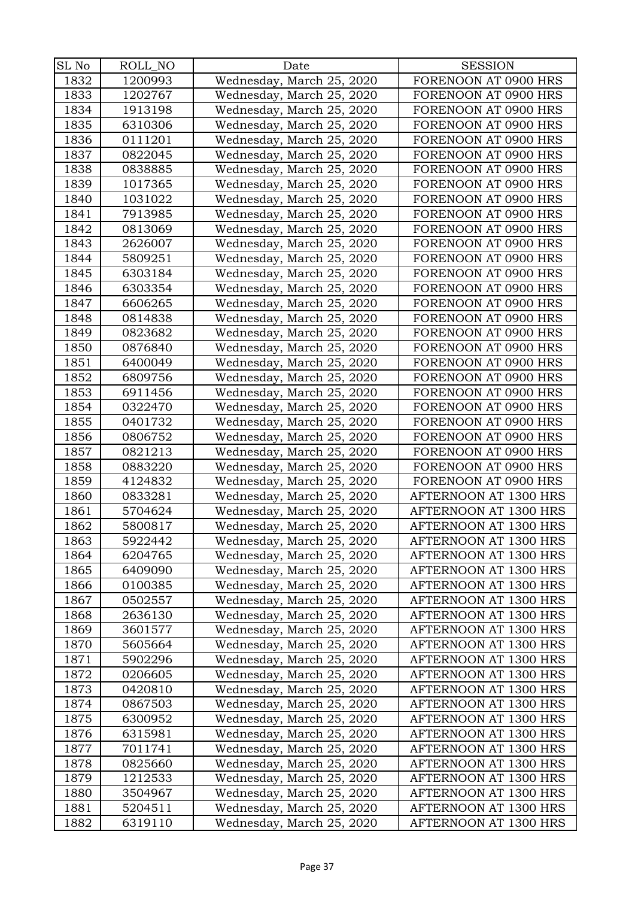| SL No | ROLL_NO | Date                      | <b>SESSION</b>        |
|-------|---------|---------------------------|-----------------------|
| 1832  | 1200993 | Wednesday, March 25, 2020 | FORENOON AT 0900 HRS  |
| 1833  | 1202767 | Wednesday, March 25, 2020 | FORENOON AT 0900 HRS  |
| 1834  | 1913198 | Wednesday, March 25, 2020 | FORENOON AT 0900 HRS  |
| 1835  | 6310306 | Wednesday, March 25, 2020 | FORENOON AT 0900 HRS  |
| 1836  | 0111201 | Wednesday, March 25, 2020 | FORENOON AT 0900 HRS  |
| 1837  | 0822045 | Wednesday, March 25, 2020 | FORENOON AT 0900 HRS  |
| 1838  | 0838885 | Wednesday, March 25, 2020 | FORENOON AT 0900 HRS  |
| 1839  | 1017365 | Wednesday, March 25, 2020 | FORENOON AT 0900 HRS  |
| 1840  | 1031022 | Wednesday, March 25, 2020 | FORENOON AT 0900 HRS  |
| 1841  | 7913985 | Wednesday, March 25, 2020 | FORENOON AT 0900 HRS  |
| 1842  | 0813069 | Wednesday, March 25, 2020 | FORENOON AT 0900 HRS  |
| 1843  | 2626007 | Wednesday, March 25, 2020 | FORENOON AT 0900 HRS  |
| 1844  | 5809251 | Wednesday, March 25, 2020 | FORENOON AT 0900 HRS  |
| 1845  | 6303184 | Wednesday, March 25, 2020 | FORENOON AT 0900 HRS  |
| 1846  | 6303354 | Wednesday, March 25, 2020 | FORENOON AT 0900 HRS  |
| 1847  | 6606265 | Wednesday, March 25, 2020 | FORENOON AT 0900 HRS  |
| 1848  | 0814838 | Wednesday, March 25, 2020 | FORENOON AT 0900 HRS  |
| 1849  | 0823682 | Wednesday, March 25, 2020 | FORENOON AT 0900 HRS  |
| 1850  | 0876840 | Wednesday, March 25, 2020 | FORENOON AT 0900 HRS  |
| 1851  | 6400049 | Wednesday, March 25, 2020 | FORENOON AT 0900 HRS  |
| 1852  | 6809756 | Wednesday, March 25, 2020 | FORENOON AT 0900 HRS  |
| 1853  | 6911456 | Wednesday, March 25, 2020 | FORENOON AT 0900 HRS  |
| 1854  | 0322470 | Wednesday, March 25, 2020 | FORENOON AT 0900 HRS  |
| 1855  | 0401732 | Wednesday, March 25, 2020 | FORENOON AT 0900 HRS  |
| 1856  | 0806752 | Wednesday, March 25, 2020 | FORENOON AT 0900 HRS  |
| 1857  | 0821213 | Wednesday, March 25, 2020 | FORENOON AT 0900 HRS  |
| 1858  | 0883220 | Wednesday, March 25, 2020 | FORENOON AT 0900 HRS  |
| 1859  | 4124832 | Wednesday, March 25, 2020 | FORENOON AT 0900 HRS  |
| 1860  | 0833281 | Wednesday, March 25, 2020 | AFTERNOON AT 1300 HRS |
| 1861  | 5704624 | Wednesday, March 25, 2020 | AFTERNOON AT 1300 HRS |
| 1862  | 5800817 | Wednesday, March 25, 2020 | AFTERNOON AT 1300 HRS |
| 1863  | 5922442 | Wednesday, March 25, 2020 | AFTERNOON AT 1300 HRS |
| 1864  | 6204765 | Wednesday, March 25, 2020 | AFTERNOON AT 1300 HRS |
| 1865  | 6409090 | Wednesday, March 25, 2020 | AFTERNOON AT 1300 HRS |
| 1866  | 0100385 | Wednesday, March 25, 2020 | AFTERNOON AT 1300 HRS |
| 1867  | 0502557 | Wednesday, March 25, 2020 | AFTERNOON AT 1300 HRS |
| 1868  | 2636130 | Wednesday, March 25, 2020 | AFTERNOON AT 1300 HRS |
| 1869  | 3601577 | Wednesday, March 25, 2020 | AFTERNOON AT 1300 HRS |
| 1870  | 5605664 | Wednesday, March 25, 2020 | AFTERNOON AT 1300 HRS |
| 1871  | 5902296 | Wednesday, March 25, 2020 | AFTERNOON AT 1300 HRS |
| 1872  | 0206605 | Wednesday, March 25, 2020 | AFTERNOON AT 1300 HRS |
| 1873  | 0420810 | Wednesday, March 25, 2020 | AFTERNOON AT 1300 HRS |
| 1874  | 0867503 | Wednesday, March 25, 2020 | AFTERNOON AT 1300 HRS |
| 1875  | 6300952 | Wednesday, March 25, 2020 | AFTERNOON AT 1300 HRS |
| 1876  | 6315981 | Wednesday, March 25, 2020 | AFTERNOON AT 1300 HRS |
| 1877  | 7011741 | Wednesday, March 25, 2020 | AFTERNOON AT 1300 HRS |
| 1878  | 0825660 | Wednesday, March 25, 2020 | AFTERNOON AT 1300 HRS |
| 1879  | 1212533 | Wednesday, March 25, 2020 | AFTERNOON AT 1300 HRS |
| 1880  | 3504967 | Wednesday, March 25, 2020 | AFTERNOON AT 1300 HRS |
| 1881  | 5204511 | Wednesday, March 25, 2020 | AFTERNOON AT 1300 HRS |
| 1882  | 6319110 | Wednesday, March 25, 2020 | AFTERNOON AT 1300 HRS |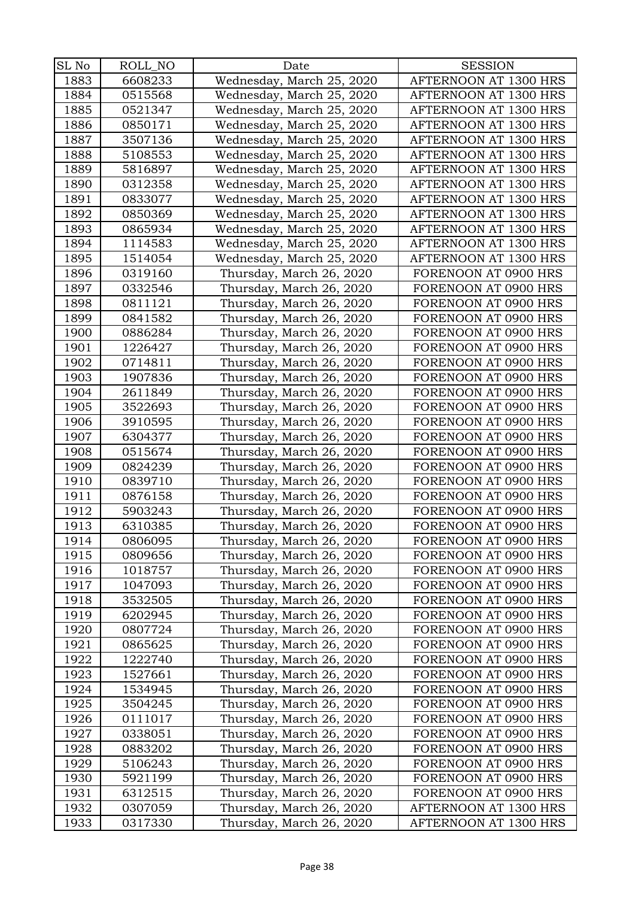| SL No | ROLL_NO | Date                      | <b>SESSION</b>        |
|-------|---------|---------------------------|-----------------------|
| 1883  | 6608233 | Wednesday, March 25, 2020 | AFTERNOON AT 1300 HRS |
| 1884  | 0515568 | Wednesday, March 25, 2020 | AFTERNOON AT 1300 HRS |
| 1885  | 0521347 | Wednesday, March 25, 2020 | AFTERNOON AT 1300 HRS |
| 1886  | 0850171 | Wednesday, March 25, 2020 | AFTERNOON AT 1300 HRS |
| 1887  | 3507136 | Wednesday, March 25, 2020 | AFTERNOON AT 1300 HRS |
| 1888  | 5108553 | Wednesday, March 25, 2020 | AFTERNOON AT 1300 HRS |
| 1889  | 5816897 | Wednesday, March 25, 2020 | AFTERNOON AT 1300 HRS |
| 1890  | 0312358 | Wednesday, March 25, 2020 | AFTERNOON AT 1300 HRS |
| 1891  | 0833077 | Wednesday, March 25, 2020 | AFTERNOON AT 1300 HRS |
| 1892  | 0850369 | Wednesday, March 25, 2020 | AFTERNOON AT 1300 HRS |
| 1893  | 0865934 | Wednesday, March 25, 2020 | AFTERNOON AT 1300 HRS |
| 1894  | 1114583 | Wednesday, March 25, 2020 | AFTERNOON AT 1300 HRS |
| 1895  | 1514054 | Wednesday, March 25, 2020 | AFTERNOON AT 1300 HRS |
| 1896  | 0319160 | Thursday, March 26, 2020  | FORENOON AT 0900 HRS  |
| 1897  | 0332546 | Thursday, March 26, 2020  | FORENOON AT 0900 HRS  |
| 1898  | 0811121 | Thursday, March 26, 2020  | FORENOON AT 0900 HRS  |
| 1899  | 0841582 | Thursday, March 26, 2020  | FORENOON AT 0900 HRS  |
| 1900  | 0886284 | Thursday, March 26, 2020  | FORENOON AT 0900 HRS  |
| 1901  | 1226427 | Thursday, March 26, 2020  | FORENOON AT 0900 HRS  |
| 1902  | 0714811 | Thursday, March 26, 2020  | FORENOON AT 0900 HRS  |
| 1903  | 1907836 | Thursday, March 26, 2020  | FORENOON AT 0900 HRS  |
| 1904  | 2611849 | Thursday, March 26, 2020  | FORENOON AT 0900 HRS  |
| 1905  | 3522693 | Thursday, March 26, 2020  | FORENOON AT 0900 HRS  |
| 1906  | 3910595 | Thursday, March 26, 2020  | FORENOON AT 0900 HRS  |
| 1907  | 6304377 | Thursday, March 26, 2020  | FORENOON AT 0900 HRS  |
| 1908  | 0515674 | Thursday, March 26, 2020  | FORENOON AT 0900 HRS  |
| 1909  | 0824239 | Thursday, March 26, 2020  | FORENOON AT 0900 HRS  |
| 1910  | 0839710 | Thursday, March 26, 2020  | FORENOON AT 0900 HRS  |
| 1911  | 0876158 | Thursday, March 26, 2020  | FORENOON AT 0900 HRS  |
| 1912  | 5903243 | Thursday, March 26, 2020  | FORENOON AT 0900 HRS  |
| 1913  | 6310385 | Thursday, March 26, 2020  | FORENOON AT 0900 HRS  |
| 1914  | 0806095 | Thursday, March 26, 2020  | FORENOON AT 0900 HRS  |
| 1915  | 0809656 | Thursday, March 26, 2020  | FORENOON AT 0900 HRS  |
| 1916  | 1018757 | Thursday, March 26, 2020  | FORENOON AT 0900 HRS  |
| 1917  | 1047093 | Thursday, March 26, 2020  | FORENOON AT 0900 HRS  |
| 1918  | 3532505 | Thursday, March 26, 2020  | FORENOON AT 0900 HRS  |
| 1919  | 6202945 | Thursday, March 26, 2020  | FORENOON AT 0900 HRS  |
| 1920  | 0807724 | Thursday, March 26, 2020  | FORENOON AT 0900 HRS  |
| 1921  | 0865625 | Thursday, March 26, 2020  | FORENOON AT 0900 HRS  |
| 1922  | 1222740 | Thursday, March 26, 2020  | FORENOON AT 0900 HRS  |
| 1923  | 1527661 | Thursday, March 26, 2020  | FORENOON AT 0900 HRS  |
| 1924  | 1534945 | Thursday, March 26, 2020  | FORENOON AT 0900 HRS  |
| 1925  | 3504245 | Thursday, March 26, 2020  | FORENOON AT 0900 HRS  |
| 1926  | 0111017 | Thursday, March 26, 2020  | FORENOON AT 0900 HRS  |
| 1927  | 0338051 | Thursday, March 26, 2020  | FORENOON AT 0900 HRS  |
| 1928  | 0883202 | Thursday, March 26, 2020  | FORENOON AT 0900 HRS  |
| 1929  | 5106243 | Thursday, March 26, 2020  | FORENOON AT 0900 HRS  |
| 1930  | 5921199 | Thursday, March 26, 2020  | FORENOON AT 0900 HRS  |
| 1931  | 6312515 | Thursday, March 26, 2020  | FORENOON AT 0900 HRS  |
| 1932  | 0307059 | Thursday, March 26, 2020  | AFTERNOON AT 1300 HRS |
| 1933  | 0317330 | Thursday, March 26, 2020  | AFTERNOON AT 1300 HRS |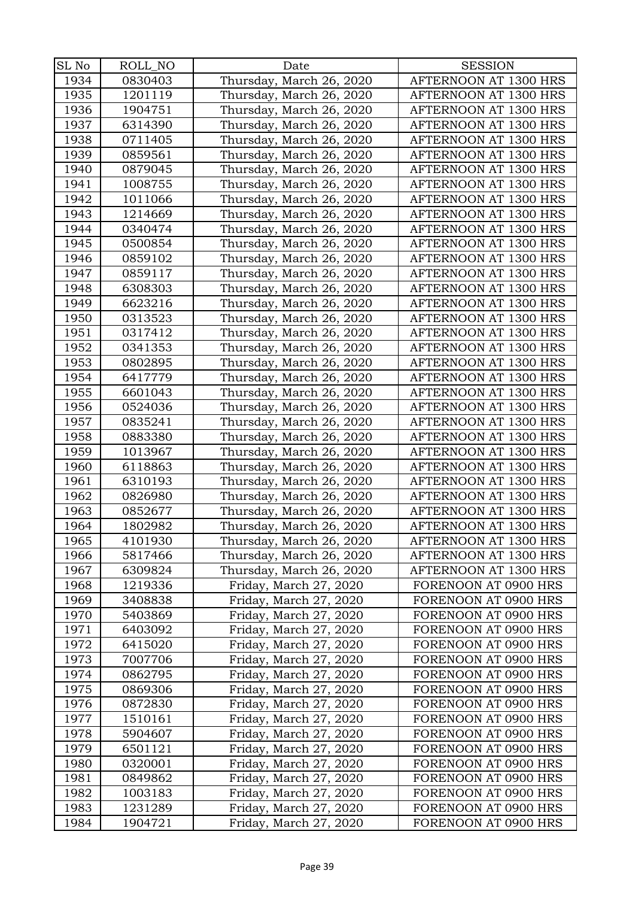| SL No | ROLL_NO | Date                     | <b>SESSION</b>        |
|-------|---------|--------------------------|-----------------------|
| 1934  | 0830403 | Thursday, March 26, 2020 | AFTERNOON AT 1300 HRS |
| 1935  | 1201119 | Thursday, March 26, 2020 | AFTERNOON AT 1300 HRS |
| 1936  | 1904751 | Thursday, March 26, 2020 | AFTERNOON AT 1300 HRS |
| 1937  | 6314390 | Thursday, March 26, 2020 | AFTERNOON AT 1300 HRS |
| 1938  | 0711405 | Thursday, March 26, 2020 | AFTERNOON AT 1300 HRS |
| 1939  | 0859561 | Thursday, March 26, 2020 | AFTERNOON AT 1300 HRS |
| 1940  | 0879045 | Thursday, March 26, 2020 | AFTERNOON AT 1300 HRS |
| 1941  | 1008755 | Thursday, March 26, 2020 | AFTERNOON AT 1300 HRS |
| 1942  | 1011066 | Thursday, March 26, 2020 | AFTERNOON AT 1300 HRS |
| 1943  | 1214669 | Thursday, March 26, 2020 | AFTERNOON AT 1300 HRS |
| 1944  | 0340474 | Thursday, March 26, 2020 | AFTERNOON AT 1300 HRS |
| 1945  | 0500854 | Thursday, March 26, 2020 | AFTERNOON AT 1300 HRS |
| 1946  | 0859102 | Thursday, March 26, 2020 | AFTERNOON AT 1300 HRS |
| 1947  | 0859117 | Thursday, March 26, 2020 | AFTERNOON AT 1300 HRS |
| 1948  | 6308303 | Thursday, March 26, 2020 | AFTERNOON AT 1300 HRS |
| 1949  | 6623216 | Thursday, March 26, 2020 | AFTERNOON AT 1300 HRS |
| 1950  | 0313523 | Thursday, March 26, 2020 | AFTERNOON AT 1300 HRS |
| 1951  | 0317412 | Thursday, March 26, 2020 | AFTERNOON AT 1300 HRS |
| 1952  | 0341353 | Thursday, March 26, 2020 | AFTERNOON AT 1300 HRS |
| 1953  | 0802895 | Thursday, March 26, 2020 | AFTERNOON AT 1300 HRS |
| 1954  | 6417779 | Thursday, March 26, 2020 | AFTERNOON AT 1300 HRS |
| 1955  | 6601043 | Thursday, March 26, 2020 | AFTERNOON AT 1300 HRS |
| 1956  | 0524036 | Thursday, March 26, 2020 | AFTERNOON AT 1300 HRS |
| 1957  | 0835241 | Thursday, March 26, 2020 | AFTERNOON AT 1300 HRS |
| 1958  | 0883380 | Thursday, March 26, 2020 | AFTERNOON AT 1300 HRS |
| 1959  | 1013967 | Thursday, March 26, 2020 | AFTERNOON AT 1300 HRS |
| 1960  | 6118863 | Thursday, March 26, 2020 | AFTERNOON AT 1300 HRS |
| 1961  | 6310193 | Thursday, March 26, 2020 | AFTERNOON AT 1300 HRS |
| 1962  | 0826980 | Thursday, March 26, 2020 | AFTERNOON AT 1300 HRS |
| 1963  | 0852677 | Thursday, March 26, 2020 | AFTERNOON AT 1300 HRS |
| 1964  | 1802982 | Thursday, March 26, 2020 | AFTERNOON AT 1300 HRS |
| 1965  | 4101930 | Thursday, March 26, 2020 | AFTERNOON AT 1300 HRS |
| 1966  | 5817466 | Thursday, March 26, 2020 | AFTERNOON AT 1300 HRS |
| 1967  | 6309824 | Thursday, March 26, 2020 | AFTERNOON AT 1300 HRS |
| 1968  | 1219336 | Friday, March 27, 2020   | FORENOON AT 0900 HRS  |
| 1969  | 3408838 | Friday, March 27, 2020   | FORENOON AT 0900 HRS  |
| 1970  | 5403869 | Friday, March 27, 2020   | FORENOON AT 0900 HRS  |
| 1971  | 6403092 | Friday, March 27, 2020   | FORENOON AT 0900 HRS  |
| 1972  | 6415020 | Friday, March 27, 2020   | FORENOON AT 0900 HRS  |
| 1973  | 7007706 | Friday, March 27, 2020   | FORENOON AT 0900 HRS  |
| 1974  | 0862795 | Friday, March 27, 2020   | FORENOON AT 0900 HRS  |
| 1975  | 0869306 | Friday, March 27, 2020   | FORENOON AT 0900 HRS  |
| 1976  | 0872830 | Friday, March 27, 2020   | FORENOON AT 0900 HRS  |
| 1977  | 1510161 | Friday, March 27, 2020   | FORENOON AT 0900 HRS  |
| 1978  | 5904607 | Friday, March 27, 2020   | FORENOON AT 0900 HRS  |
| 1979  | 6501121 | Friday, March 27, 2020   | FORENOON AT 0900 HRS  |
| 1980  | 0320001 | Friday, March 27, 2020   | FORENOON AT 0900 HRS  |
| 1981  | 0849862 | Friday, March 27, 2020   | FORENOON AT 0900 HRS  |
| 1982  | 1003183 | Friday, March 27, 2020   | FORENOON AT 0900 HRS  |
| 1983  | 1231289 | Friday, March 27, 2020   | FORENOON AT 0900 HRS  |
| 1984  | 1904721 | Friday, March 27, 2020   | FORENOON AT 0900 HRS  |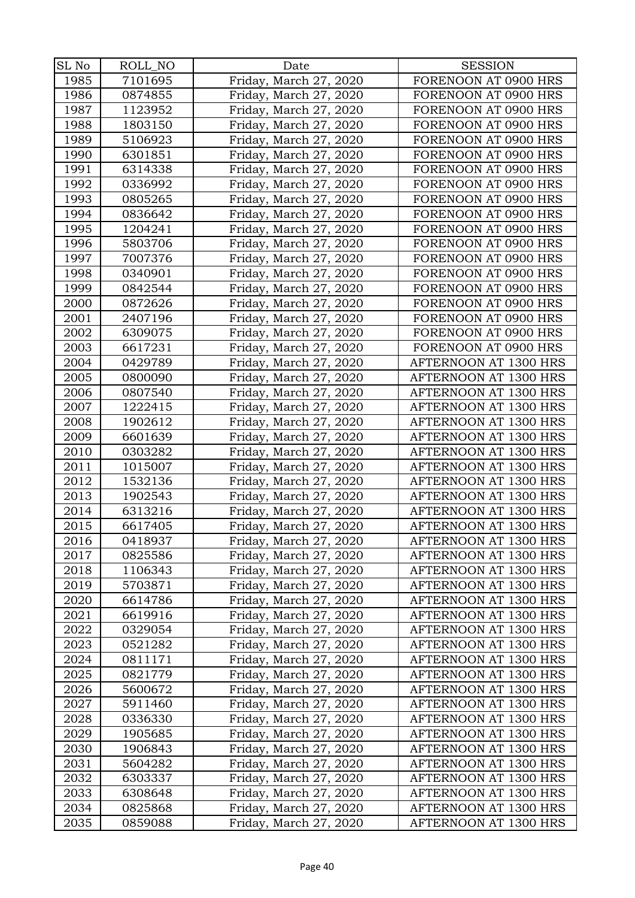| SL No | ROLL_NO | Date                   | <b>SESSION</b>                                 |
|-------|---------|------------------------|------------------------------------------------|
| 1985  | 7101695 | Friday, March 27, 2020 | FORENOON AT 0900 HRS                           |
| 1986  | 0874855 | Friday, March 27, 2020 | FORENOON AT 0900 HRS                           |
| 1987  | 1123952 | Friday, March 27, 2020 | FORENOON AT 0900 HRS                           |
| 1988  | 1803150 | Friday, March 27, 2020 | FORENOON AT 0900 HRS                           |
| 1989  | 5106923 | Friday, March 27, 2020 | FORENOON AT 0900 HRS                           |
| 1990  | 6301851 | Friday, March 27, 2020 | FORENOON AT 0900 HRS                           |
| 1991  | 6314338 | Friday, March 27, 2020 | FORENOON AT 0900 HRS                           |
| 1992  | 0336992 | Friday, March 27, 2020 | FORENOON AT 0900 HRS                           |
| 1993  | 0805265 | Friday, March 27, 2020 | FORENOON AT 0900 HRS                           |
| 1994  | 0836642 | Friday, March 27, 2020 | FORENOON AT 0900 HRS                           |
| 1995  | 1204241 | Friday, March 27, 2020 | FORENOON AT 0900 HRS                           |
| 1996  | 5803706 | Friday, March 27, 2020 | FORENOON AT 0900 HRS                           |
| 1997  | 7007376 | Friday, March 27, 2020 | FORENOON AT 0900 HRS                           |
| 1998  | 0340901 | Friday, March 27, 2020 | FORENOON AT 0900 HRS                           |
| 1999  | 0842544 | Friday, March 27, 2020 | FORENOON AT 0900 HRS                           |
| 2000  | 0872626 | Friday, March 27, 2020 | FORENOON AT 0900 HRS                           |
| 2001  | 2407196 | Friday, March 27, 2020 | FORENOON AT 0900 HRS                           |
| 2002  | 6309075 | Friday, March 27, 2020 | FORENOON AT 0900 HRS                           |
| 2003  | 6617231 | Friday, March 27, 2020 | FORENOON AT 0900 HRS                           |
| 2004  | 0429789 | Friday, March 27, 2020 | AFTERNOON AT 1300 HRS                          |
| 2005  | 0800090 | Friday, March 27, 2020 | AFTERNOON AT 1300 HRS                          |
| 2006  | 0807540 | Friday, March 27, 2020 | AFTERNOON AT 1300 HRS                          |
| 2007  | 1222415 | Friday, March 27, 2020 | AFTERNOON AT 1300 HRS                          |
| 2008  | 1902612 | Friday, March 27, 2020 | AFTERNOON AT 1300 HRS                          |
| 2009  | 6601639 | Friday, March 27, 2020 | AFTERNOON AT 1300 HRS                          |
| 2010  | 0303282 | Friday, March 27, 2020 | AFTERNOON AT 1300 HRS                          |
| 2011  | 1015007 | Friday, March 27, 2020 | AFTERNOON AT 1300 HRS                          |
| 2012  | 1532136 | Friday, March 27, 2020 | AFTERNOON AT 1300 HRS                          |
| 2013  | 1902543 | Friday, March 27, 2020 | AFTERNOON AT 1300 HRS                          |
| 2014  | 6313216 | Friday, March 27, 2020 | AFTERNOON AT 1300 HRS                          |
| 2015  | 6617405 | Friday, March 27, 2020 | AFTERNOON AT 1300 HRS                          |
| 2016  | 0418937 | Friday, March 27, 2020 | AFTERNOON AT 1300 HRS                          |
| 2017  | 0825586 | Friday, March 27, 2020 | AFTERNOON AT 1300 HRS                          |
| 2018  | 1106343 | Friday, March 27, 2020 | AFTERNOON AT 1300 HRS                          |
| 2019  | 5703871 | Friday, March 27, 2020 | AFTERNOON AT 1300 HRS                          |
| 2020  | 6614786 | Friday, March 27, 2020 | AFTERNOON AT 1300 HRS                          |
| 2021  | 6619916 | Friday, March 27, 2020 | AFTERNOON AT 1300 HRS                          |
| 2022  | 0329054 | Friday, March 27, 2020 | AFTERNOON AT 1300 HRS                          |
| 2023  | 0521282 | Friday, March 27, 2020 | AFTERNOON AT 1300 HRS                          |
| 2024  | 0811171 | Friday, March 27, 2020 | AFTERNOON AT 1300 HRS                          |
| 2025  | 0821779 | Friday, March 27, 2020 | AFTERNOON AT 1300 HRS                          |
| 2026  | 5600672 | Friday, March 27, 2020 | AFTERNOON AT 1300 HRS                          |
| 2027  | 5911460 | Friday, March 27, 2020 | AFTERNOON AT 1300 HRS                          |
| 2028  | 0336330 | Friday, March 27, 2020 | AFTERNOON AT 1300 HRS                          |
| 2029  | 1905685 | Friday, March 27, 2020 | AFTERNOON AT 1300 HRS                          |
| 2030  | 1906843 | Friday, March 27, 2020 | AFTERNOON AT 1300 HRS                          |
| 2031  | 5604282 | Friday, March 27, 2020 | AFTERNOON AT 1300 HRS                          |
| 2032  | 6303337 | Friday, March 27, 2020 | AFTERNOON AT 1300 HRS                          |
| 2033  | 6308648 | Friday, March 27, 2020 | AFTERNOON AT 1300 HRS<br>AFTERNOON AT 1300 HRS |
| 2034  | 0825868 | Friday, March 27, 2020 |                                                |
| 2035  | 0859088 | Friday, March 27, 2020 | AFTERNOON AT 1300 HRS                          |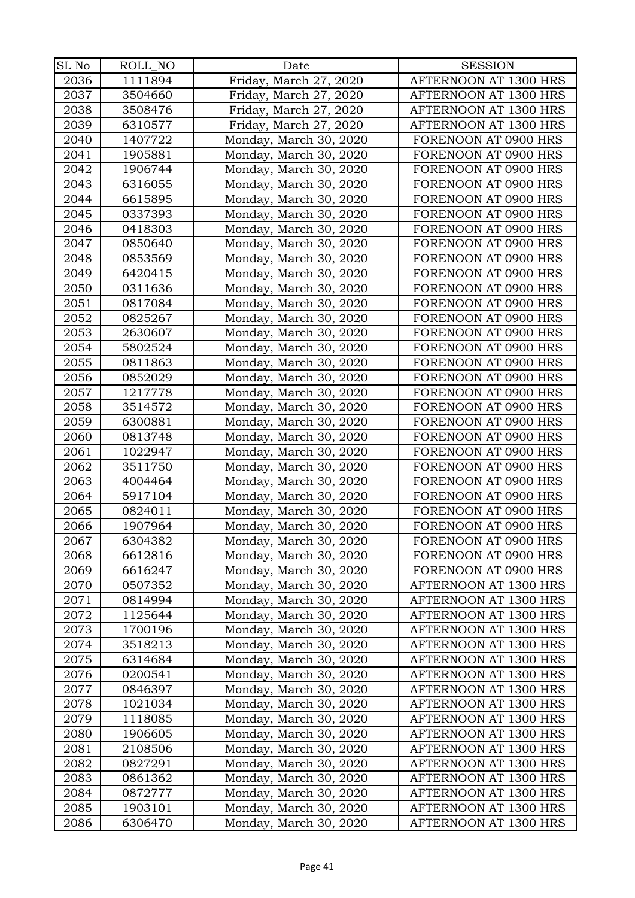| SL No | ROLL_NO | Date                   | <b>SESSION</b>        |
|-------|---------|------------------------|-----------------------|
| 2036  | 1111894 | Friday, March 27, 2020 | AFTERNOON AT 1300 HRS |
| 2037  | 3504660 | Friday, March 27, 2020 | AFTERNOON AT 1300 HRS |
| 2038  | 3508476 | Friday, March 27, 2020 | AFTERNOON AT 1300 HRS |
| 2039  | 6310577 | Friday, March 27, 2020 | AFTERNOON AT 1300 HRS |
| 2040  | 1407722 | Monday, March 30, 2020 | FORENOON AT 0900 HRS  |
| 2041  | 1905881 | Monday, March 30, 2020 | FORENOON AT 0900 HRS  |
| 2042  | 1906744 | Monday, March 30, 2020 | FORENOON AT 0900 HRS  |
| 2043  | 6316055 | Monday, March 30, 2020 | FORENOON AT 0900 HRS  |
| 2044  | 6615895 | Monday, March 30, 2020 | FORENOON AT 0900 HRS  |
| 2045  | 0337393 | Monday, March 30, 2020 | FORENOON AT 0900 HRS  |
| 2046  | 0418303 | Monday, March 30, 2020 | FORENOON AT 0900 HRS  |
| 2047  | 0850640 | Monday, March 30, 2020 | FORENOON AT 0900 HRS  |
| 2048  | 0853569 | Monday, March 30, 2020 | FORENOON AT 0900 HRS  |
| 2049  | 6420415 | Monday, March 30, 2020 | FORENOON AT 0900 HRS  |
| 2050  | 0311636 | Monday, March 30, 2020 | FORENOON AT 0900 HRS  |
| 2051  | 0817084 | Monday, March 30, 2020 | FORENOON AT 0900 HRS  |
| 2052  | 0825267 | Monday, March 30, 2020 | FORENOON AT 0900 HRS  |
| 2053  | 2630607 | Monday, March 30, 2020 | FORENOON AT 0900 HRS  |
| 2054  | 5802524 | Monday, March 30, 2020 | FORENOON AT 0900 HRS  |
| 2055  | 0811863 | Monday, March 30, 2020 | FORENOON AT 0900 HRS  |
| 2056  | 0852029 | Monday, March 30, 2020 | FORENOON AT 0900 HRS  |
| 2057  | 1217778 | Monday, March 30, 2020 | FORENOON AT 0900 HRS  |
| 2058  | 3514572 | Monday, March 30, 2020 | FORENOON AT 0900 HRS  |
| 2059  | 6300881 | Monday, March 30, 2020 | FORENOON AT 0900 HRS  |
| 2060  | 0813748 | Monday, March 30, 2020 | FORENOON AT 0900 HRS  |
| 2061  | 1022947 | Monday, March 30, 2020 | FORENOON AT 0900 HRS  |
| 2062  | 3511750 | Monday, March 30, 2020 | FORENOON AT 0900 HRS  |
| 2063  | 4004464 | Monday, March 30, 2020 | FORENOON AT 0900 HRS  |
| 2064  | 5917104 | Monday, March 30, 2020 | FORENOON AT 0900 HRS  |
| 2065  | 0824011 | Monday, March 30, 2020 | FORENOON AT 0900 HRS  |
| 2066  | 1907964 | Monday, March 30, 2020 | FORENOON AT 0900 HRS  |
| 2067  | 6304382 | Monday, March 30, 2020 | FORENOON AT 0900 HRS  |
| 2068  | 6612816 | Monday, March 30, 2020 | FORENOON AT 0900 HRS  |
| 2069  | 6616247 | Monday, March 30, 2020 | FORENOON AT 0900 HRS  |
| 2070  | 0507352 | Monday, March 30, 2020 | AFTERNOON AT 1300 HRS |
| 2071  | 0814994 | Monday, March 30, 2020 | AFTERNOON AT 1300 HRS |
| 2072  | 1125644 | Monday, March 30, 2020 | AFTERNOON AT 1300 HRS |
| 2073  | 1700196 | Monday, March 30, 2020 | AFTERNOON AT 1300 HRS |
| 2074  | 3518213 | Monday, March 30, 2020 | AFTERNOON AT 1300 HRS |
| 2075  | 6314684 | Monday, March 30, 2020 | AFTERNOON AT 1300 HRS |
| 2076  | 0200541 | Monday, March 30, 2020 | AFTERNOON AT 1300 HRS |
| 2077  | 0846397 | Monday, March 30, 2020 | AFTERNOON AT 1300 HRS |
| 2078  | 1021034 | Monday, March 30, 2020 | AFTERNOON AT 1300 HRS |
| 2079  | 1118085 | Monday, March 30, 2020 | AFTERNOON AT 1300 HRS |
| 2080  | 1906605 | Monday, March 30, 2020 | AFTERNOON AT 1300 HRS |
| 2081  | 2108506 | Monday, March 30, 2020 | AFTERNOON AT 1300 HRS |
| 2082  | 0827291 | Monday, March 30, 2020 | AFTERNOON AT 1300 HRS |
| 2083  | 0861362 | Monday, March 30, 2020 | AFTERNOON AT 1300 HRS |
| 2084  | 0872777 | Monday, March 30, 2020 | AFTERNOON AT 1300 HRS |
| 2085  | 1903101 | Monday, March 30, 2020 | AFTERNOON AT 1300 HRS |
| 2086  | 6306470 | Monday, March 30, 2020 | AFTERNOON AT 1300 HRS |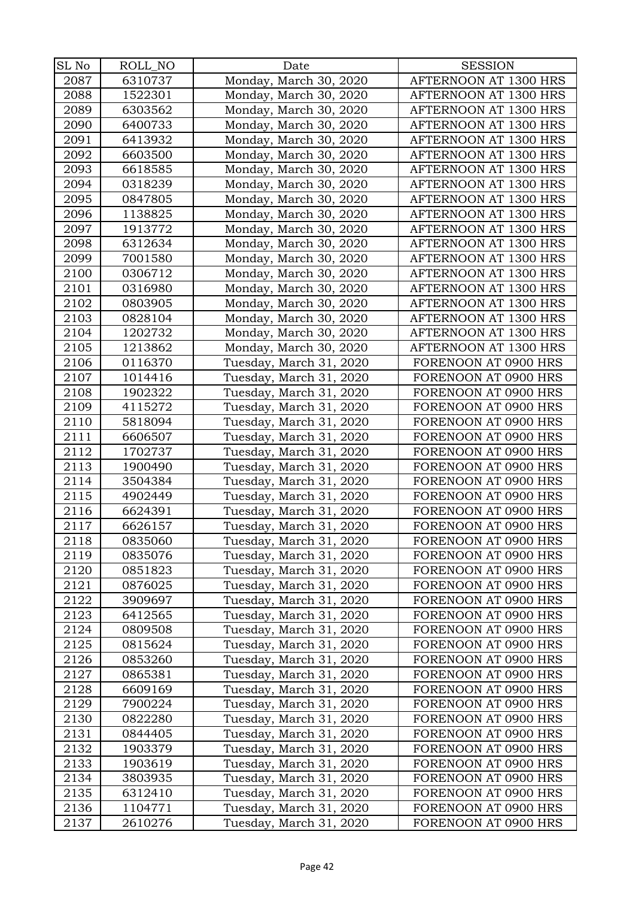| SL No | ROLL NO | Date                    | <b>SESSION</b>        |
|-------|---------|-------------------------|-----------------------|
| 2087  | 6310737 | Monday, March 30, 2020  | AFTERNOON AT 1300 HRS |
| 2088  | 1522301 | Monday, March 30, 2020  | AFTERNOON AT 1300 HRS |
| 2089  | 6303562 | Monday, March 30, 2020  | AFTERNOON AT 1300 HRS |
| 2090  | 6400733 | Monday, March 30, 2020  | AFTERNOON AT 1300 HRS |
| 2091  | 6413932 | Monday, March 30, 2020  | AFTERNOON AT 1300 HRS |
| 2092  | 6603500 | Monday, March 30, 2020  | AFTERNOON AT 1300 HRS |
| 2093  | 6618585 | Monday, March 30, 2020  | AFTERNOON AT 1300 HRS |
| 2094  | 0318239 | Monday, March 30, 2020  | AFTERNOON AT 1300 HRS |
| 2095  | 0847805 | Monday, March 30, 2020  | AFTERNOON AT 1300 HRS |
| 2096  | 1138825 | Monday, March 30, 2020  | AFTERNOON AT 1300 HRS |
| 2097  | 1913772 | Monday, March 30, 2020  | AFTERNOON AT 1300 HRS |
| 2098  | 6312634 | Monday, March 30, 2020  | AFTERNOON AT 1300 HRS |
| 2099  | 7001580 | Monday, March 30, 2020  | AFTERNOON AT 1300 HRS |
| 2100  | 0306712 | Monday, March 30, 2020  | AFTERNOON AT 1300 HRS |
| 2101  | 0316980 | Monday, March 30, 2020  | AFTERNOON AT 1300 HRS |
| 2102  | 0803905 | Monday, March 30, 2020  | AFTERNOON AT 1300 HRS |
| 2103  | 0828104 | Monday, March 30, 2020  | AFTERNOON AT 1300 HRS |
| 2104  | 1202732 | Monday, March 30, 2020  | AFTERNOON AT 1300 HRS |
| 2105  | 1213862 | Monday, March 30, 2020  | AFTERNOON AT 1300 HRS |
| 2106  | 0116370 | Tuesday, March 31, 2020 | FORENOON AT 0900 HRS  |
| 2107  | 1014416 | Tuesday, March 31, 2020 | FORENOON AT 0900 HRS  |
| 2108  | 1902322 | Tuesday, March 31, 2020 | FORENOON AT 0900 HRS  |
| 2109  | 4115272 | Tuesday, March 31, 2020 | FORENOON AT 0900 HRS  |
| 2110  | 5818094 | Tuesday, March 31, 2020 | FORENOON AT 0900 HRS  |
| 2111  | 6606507 | Tuesday, March 31, 2020 | FORENOON AT 0900 HRS  |
| 2112  | 1702737 | Tuesday, March 31, 2020 | FORENOON AT 0900 HRS  |
| 2113  | 1900490 | Tuesday, March 31, 2020 | FORENOON AT 0900 HRS  |
| 2114  | 3504384 | Tuesday, March 31, 2020 | FORENOON AT 0900 HRS  |
| 2115  | 4902449 | Tuesday, March 31, 2020 | FORENOON AT 0900 HRS  |
| 2116  | 6624391 | Tuesday, March 31, 2020 | FORENOON AT 0900 HRS  |
| 2117  | 6626157 | Tuesday, March 31, 2020 | FORENOON AT 0900 HRS  |
| 2118  | 0835060 | Tuesday, March 31, 2020 | FORENOON AT 0900 HRS  |
| 2119  | 0835076 | Tuesday, March 31, 2020 | FORENOON AT 0900 HRS  |
| 2120  | 0851823 | Tuesday, March 31, 2020 | FORENOON AT 0900 HRS  |
| 2121  | 0876025 | Tuesday, March 31, 2020 | FORENOON AT 0900 HRS  |
| 2122  | 3909697 | Tuesday, March 31, 2020 | FORENOON AT 0900 HRS  |
| 2123  | 6412565 | Tuesday, March 31, 2020 | FORENOON AT 0900 HRS  |
| 2124  | 0809508 | Tuesday, March 31, 2020 | FORENOON AT 0900 HRS  |
| 2125  | 0815624 | Tuesday, March 31, 2020 | FORENOON AT 0900 HRS  |
| 2126  | 0853260 | Tuesday, March 31, 2020 | FORENOON AT 0900 HRS  |
| 2127  | 0865381 | Tuesday, March 31, 2020 | FORENOON AT 0900 HRS  |
| 2128  | 6609169 | Tuesday, March 31, 2020 | FORENOON AT 0900 HRS  |
| 2129  | 7900224 | Tuesday, March 31, 2020 | FORENOON AT 0900 HRS  |
| 2130  | 0822280 | Tuesday, March 31, 2020 | FORENOON AT 0900 HRS  |
| 2131  | 0844405 | Tuesday, March 31, 2020 | FORENOON AT 0900 HRS  |
| 2132  | 1903379 | Tuesday, March 31, 2020 | FORENOON AT 0900 HRS  |
| 2133  | 1903619 | Tuesday, March 31, 2020 | FORENOON AT 0900 HRS  |
| 2134  | 3803935 | Tuesday, March 31, 2020 | FORENOON AT 0900 HRS  |
| 2135  | 6312410 | Tuesday, March 31, 2020 | FORENOON AT 0900 HRS  |
| 2136  | 1104771 | Tuesday, March 31, 2020 | FORENOON AT 0900 HRS  |
| 2137  | 2610276 | Tuesday, March 31, 2020 | FORENOON AT 0900 HRS  |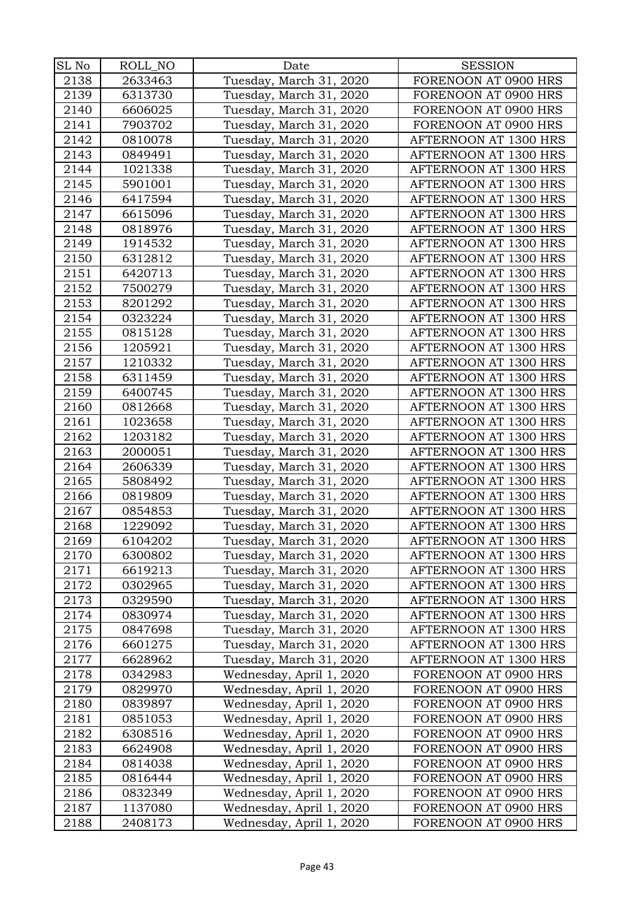| SL No | ROLL_NO | Date                     | <b>SESSION</b>        |
|-------|---------|--------------------------|-----------------------|
| 2138  | 2633463 | Tuesday, March 31, 2020  | FORENOON AT 0900 HRS  |
| 2139  | 6313730 | Tuesday, March 31, 2020  | FORENOON AT 0900 HRS  |
| 2140  | 6606025 | Tuesday, March 31, 2020  | FORENOON AT 0900 HRS  |
| 2141  | 7903702 | Tuesday, March 31, 2020  | FORENOON AT 0900 HRS  |
| 2142  | 0810078 | Tuesday, March 31, 2020  | AFTERNOON AT 1300 HRS |
| 2143  | 0849491 | Tuesday, March 31, 2020  | AFTERNOON AT 1300 HRS |
| 2144  | 1021338 | Tuesday, March 31, 2020  | AFTERNOON AT 1300 HRS |
| 2145  | 5901001 | Tuesday, March 31, 2020  | AFTERNOON AT 1300 HRS |
| 2146  | 6417594 | Tuesday, March 31, 2020  | AFTERNOON AT 1300 HRS |
| 2147  | 6615096 | Tuesday, March 31, 2020  | AFTERNOON AT 1300 HRS |
| 2148  | 0818976 | Tuesday, March 31, 2020  | AFTERNOON AT 1300 HRS |
| 2149  | 1914532 | Tuesday, March 31, 2020  | AFTERNOON AT 1300 HRS |
| 2150  | 6312812 | Tuesday, March 31, 2020  | AFTERNOON AT 1300 HRS |
| 2151  | 6420713 | Tuesday, March 31, 2020  | AFTERNOON AT 1300 HRS |
| 2152  | 7500279 | Tuesday, March 31, 2020  | AFTERNOON AT 1300 HRS |
| 2153  | 8201292 | Tuesday, March 31, 2020  | AFTERNOON AT 1300 HRS |
| 2154  | 0323224 | Tuesday, March 31, 2020  | AFTERNOON AT 1300 HRS |
| 2155  | 0815128 | Tuesday, March 31, 2020  | AFTERNOON AT 1300 HRS |
| 2156  | 1205921 | Tuesday, March 31, 2020  | AFTERNOON AT 1300 HRS |
| 2157  | 1210332 | Tuesday, March 31, 2020  | AFTERNOON AT 1300 HRS |
| 2158  | 6311459 | Tuesday, March 31, 2020  | AFTERNOON AT 1300 HRS |
| 2159  | 6400745 | Tuesday, March 31, 2020  | AFTERNOON AT 1300 HRS |
| 2160  | 0812668 | Tuesday, March 31, 2020  | AFTERNOON AT 1300 HRS |
| 2161  | 1023658 | Tuesday, March 31, 2020  | AFTERNOON AT 1300 HRS |
| 2162  | 1203182 | Tuesday, March 31, 2020  | AFTERNOON AT 1300 HRS |
| 2163  | 2000051 | Tuesday, March 31, 2020  | AFTERNOON AT 1300 HRS |
| 2164  | 2606339 | Tuesday, March 31, 2020  | AFTERNOON AT 1300 HRS |
| 2165  | 5808492 | Tuesday, March 31, 2020  | AFTERNOON AT 1300 HRS |
| 2166  | 0819809 | Tuesday, March 31, 2020  | AFTERNOON AT 1300 HRS |
| 2167  | 0854853 | Tuesday, March 31, 2020  | AFTERNOON AT 1300 HRS |
| 2168  | 1229092 | Tuesday, March 31, 2020  | AFTERNOON AT 1300 HRS |
| 2169  | 6104202 | Tuesday, March 31, 2020  | AFTERNOON AT 1300 HRS |
| 2170  | 6300802 | Tuesday, March 31, 2020  | AFTERNOON AT 1300 HRS |
| 2171  | 6619213 | Tuesday, March 31, 2020  | AFTERNOON AT 1300 HRS |
| 2172  | 0302965 | Tuesday, March 31, 2020  | AFTERNOON AT 1300 HRS |
| 2173  | 0329590 | Tuesday, March 31, 2020  | AFTERNOON AT 1300 HRS |
| 2174  | 0830974 | Tuesday, March 31, 2020  | AFTERNOON AT 1300 HRS |
| 2175  | 0847698 | Tuesday, March 31, 2020  | AFTERNOON AT 1300 HRS |
| 2176  | 6601275 | Tuesday, March 31, 2020  | AFTERNOON AT 1300 HRS |
| 2177  | 6628962 | Tuesday, March 31, 2020  | AFTERNOON AT 1300 HRS |
| 2178  | 0342983 | Wednesday, April 1, 2020 | FORENOON AT 0900 HRS  |
| 2179  | 0829970 | Wednesday, April 1, 2020 | FORENOON AT 0900 HRS  |
| 2180  | 0839897 | Wednesday, April 1, 2020 | FORENOON AT 0900 HRS  |
| 2181  | 0851053 | Wednesday, April 1, 2020 | FORENOON AT 0900 HRS  |
| 2182  | 6308516 | Wednesday, April 1, 2020 | FORENOON AT 0900 HRS  |
| 2183  | 6624908 | Wednesday, April 1, 2020 | FORENOON AT 0900 HRS  |
| 2184  | 0814038 | Wednesday, April 1, 2020 | FORENOON AT 0900 HRS  |
| 2185  | 0816444 | Wednesday, April 1, 2020 | FORENOON AT 0900 HRS  |
| 2186  | 0832349 | Wednesday, April 1, 2020 | FORENOON AT 0900 HRS  |
| 2187  | 1137080 | Wednesday, April 1, 2020 | FORENOON AT 0900 HRS  |
| 2188  | 2408173 | Wednesday, April 1, 2020 | FORENOON AT 0900 HRS  |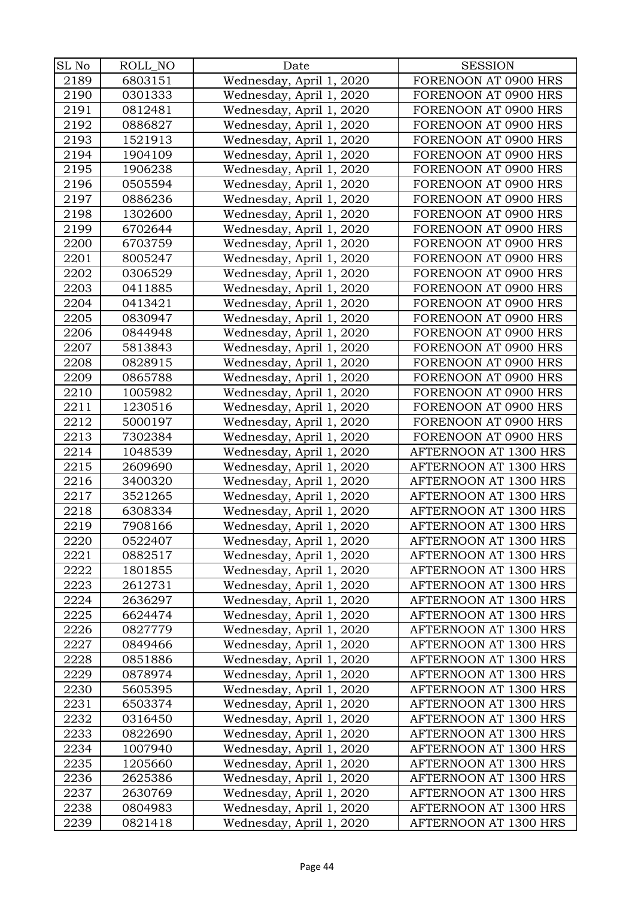| SL No | ROLL_NO | Date                     | <b>SESSION</b>        |
|-------|---------|--------------------------|-----------------------|
| 2189  | 6803151 | Wednesday, April 1, 2020 | FORENOON AT 0900 HRS  |
| 2190  | 0301333 | Wednesday, April 1, 2020 | FORENOON AT 0900 HRS  |
| 2191  | 0812481 | Wednesday, April 1, 2020 | FORENOON AT 0900 HRS  |
| 2192  | 0886827 | Wednesday, April 1, 2020 | FORENOON AT 0900 HRS  |
| 2193  | 1521913 | Wednesday, April 1, 2020 | FORENOON AT 0900 HRS  |
| 2194  | 1904109 | Wednesday, April 1, 2020 | FORENOON AT 0900 HRS  |
| 2195  | 1906238 | Wednesday, April 1, 2020 | FORENOON AT 0900 HRS  |
| 2196  | 0505594 | Wednesday, April 1, 2020 | FORENOON AT 0900 HRS  |
| 2197  | 0886236 | Wednesday, April 1, 2020 | FORENOON AT 0900 HRS  |
| 2198  | 1302600 | Wednesday, April 1, 2020 | FORENOON AT 0900 HRS  |
| 2199  | 6702644 | Wednesday, April 1, 2020 | FORENOON AT 0900 HRS  |
| 2200  | 6703759 | Wednesday, April 1, 2020 | FORENOON AT 0900 HRS  |
| 2201  | 8005247 | Wednesday, April 1, 2020 | FORENOON AT 0900 HRS  |
| 2202  | 0306529 | Wednesday, April 1, 2020 | FORENOON AT 0900 HRS  |
| 2203  | 0411885 | Wednesday, April 1, 2020 | FORENOON AT 0900 HRS  |
| 2204  | 0413421 | Wednesday, April 1, 2020 | FORENOON AT 0900 HRS  |
| 2205  | 0830947 | Wednesday, April 1, 2020 | FORENOON AT 0900 HRS  |
| 2206  | 0844948 | Wednesday, April 1, 2020 | FORENOON AT 0900 HRS  |
| 2207  | 5813843 | Wednesday, April 1, 2020 | FORENOON AT 0900 HRS  |
| 2208  | 0828915 | Wednesday, April 1, 2020 | FORENOON AT 0900 HRS  |
| 2209  | 0865788 | Wednesday, April 1, 2020 | FORENOON AT 0900 HRS  |
| 2210  | 1005982 | Wednesday, April 1, 2020 | FORENOON AT 0900 HRS  |
| 2211  | 1230516 | Wednesday, April 1, 2020 | FORENOON AT 0900 HRS  |
| 2212  | 5000197 | Wednesday, April 1, 2020 | FORENOON AT 0900 HRS  |
| 2213  | 7302384 | Wednesday, April 1, 2020 | FORENOON AT 0900 HRS  |
| 2214  | 1048539 | Wednesday, April 1, 2020 | AFTERNOON AT 1300 HRS |
| 2215  | 2609690 | Wednesday, April 1, 2020 | AFTERNOON AT 1300 HRS |
| 2216  | 3400320 | Wednesday, April 1, 2020 | AFTERNOON AT 1300 HRS |
| 2217  | 3521265 | Wednesday, April 1, 2020 | AFTERNOON AT 1300 HRS |
| 2218  | 6308334 | Wednesday, April 1, 2020 | AFTERNOON AT 1300 HRS |
| 2219  | 7908166 | Wednesday, April 1, 2020 | AFTERNOON AT 1300 HRS |
| 2220  | 0522407 | Wednesday, April 1, 2020 | AFTERNOON AT 1300 HRS |
| 2221  | 0882517 | Wednesday, April 1, 2020 | AFTERNOON AT 1300 HRS |
| 2222  | 1801855 | Wednesday, April 1, 2020 | AFTERNOON AT 1300 HRS |
| 2223  | 2612731 | Wednesday, April 1, 2020 | AFTERNOON AT 1300 HRS |
| 2224  | 2636297 | Wednesday, April 1, 2020 | AFTERNOON AT 1300 HRS |
| 2225  | 6624474 | Wednesday, April 1, 2020 | AFTERNOON AT 1300 HRS |
| 2226  | 0827779 | Wednesday, April 1, 2020 | AFTERNOON AT 1300 HRS |
| 2227  | 0849466 | Wednesday, April 1, 2020 | AFTERNOON AT 1300 HRS |
| 2228  | 0851886 | Wednesday, April 1, 2020 | AFTERNOON AT 1300 HRS |
| 2229  | 0878974 | Wednesday, April 1, 2020 | AFTERNOON AT 1300 HRS |
| 2230  | 5605395 | Wednesday, April 1, 2020 | AFTERNOON AT 1300 HRS |
| 2231  | 6503374 | Wednesday, April 1, 2020 | AFTERNOON AT 1300 HRS |
| 2232  | 0316450 | Wednesday, April 1, 2020 | AFTERNOON AT 1300 HRS |
| 2233  | 0822690 | Wednesday, April 1, 2020 | AFTERNOON AT 1300 HRS |
| 2234  | 1007940 | Wednesday, April 1, 2020 | AFTERNOON AT 1300 HRS |
| 2235  | 1205660 | Wednesday, April 1, 2020 | AFTERNOON AT 1300 HRS |
| 2236  | 2625386 | Wednesday, April 1, 2020 | AFTERNOON AT 1300 HRS |
| 2237  | 2630769 | Wednesday, April 1, 2020 | AFTERNOON AT 1300 HRS |
| 2238  | 0804983 | Wednesday, April 1, 2020 | AFTERNOON AT 1300 HRS |
| 2239  | 0821418 | Wednesday, April 1, 2020 | AFTERNOON AT 1300 HRS |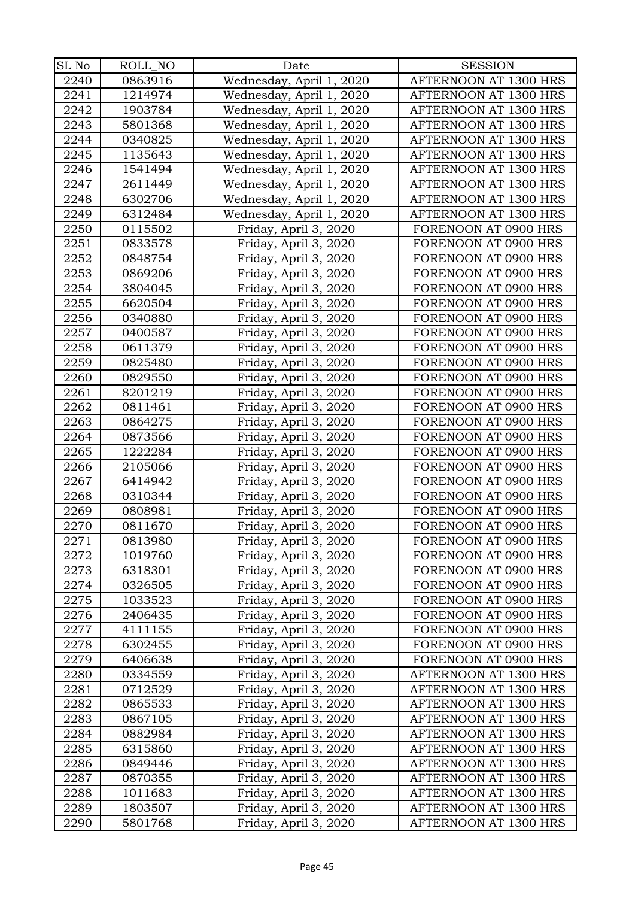| SL No        | ROLL_NO            | Date                                           | <b>SESSION</b>                                 |
|--------------|--------------------|------------------------------------------------|------------------------------------------------|
| 2240         | 0863916            | Wednesday, April 1, 2020                       | AFTERNOON AT 1300 HRS                          |
| 2241         | 1214974            | Wednesday, April 1, 2020                       | AFTERNOON AT 1300 HRS                          |
| 2242         | 1903784            | Wednesday, April 1, 2020                       | AFTERNOON AT 1300 HRS                          |
| 2243         | 5801368            | Wednesday, April 1, 2020                       | AFTERNOON AT 1300 HRS                          |
| 2244         | 0340825            | Wednesday, April 1, 2020                       | AFTERNOON AT 1300 HRS                          |
| 2245         | 1135643            | Wednesday, April 1, 2020                       | AFTERNOON AT 1300 HRS                          |
| 2246         | 1541494            | Wednesday, April 1, 2020                       | AFTERNOON AT 1300 HRS                          |
| 2247         | 2611449            | Wednesday, April 1, 2020                       | AFTERNOON AT 1300 HRS                          |
| 2248         | 6302706            | Wednesday, April 1, 2020                       | AFTERNOON AT 1300 HRS                          |
| 2249         | 6312484            | Wednesday, April 1, 2020                       | AFTERNOON AT 1300 HRS                          |
| 2250         | 0115502            | Friday, April 3, 2020                          | FORENOON AT 0900 HRS                           |
| 2251         | 0833578            | Friday, April 3, 2020                          | FORENOON AT 0900 HRS                           |
| 2252         | 0848754            | Friday, April 3, 2020                          | FORENOON AT 0900 HRS                           |
| 2253         | 0869206            | Friday, April 3, 2020                          | FORENOON AT 0900 HRS                           |
| 2254         | 3804045            | Friday, April 3, 2020                          | FORENOON AT 0900 HRS                           |
| 2255         | 6620504            | Friday, April 3, 2020                          | FORENOON AT 0900 HRS                           |
| 2256         | 0340880            | Friday, April 3, 2020                          | FORENOON AT 0900 HRS                           |
| 2257         | 0400587            | Friday, April 3, 2020                          | FORENOON AT 0900 HRS                           |
| 2258         | 0611379            | Friday, April 3, 2020                          | FORENOON AT 0900 HRS                           |
| 2259         | 0825480            | Friday, April 3, 2020                          | FORENOON AT 0900 HRS                           |
| 2260         | 0829550            | Friday, April 3, 2020                          | FORENOON AT 0900 HRS                           |
| 2261         | 8201219            | Friday, April 3, 2020                          | FORENOON AT 0900 HRS                           |
| 2262         | 0811461            | Friday, April 3, 2020                          | FORENOON AT 0900 HRS                           |
| 2263         | 0864275            | Friday, April 3, 2020                          | FORENOON AT 0900 HRS                           |
| 2264         | 0873566            | Friday, April 3, 2020                          | FORENOON AT 0900 HRS                           |
| 2265         | 1222284            | Friday, April 3, 2020                          | FORENOON AT 0900 HRS                           |
| 2266         | 2105066            | Friday, April 3, 2020                          | FORENOON AT 0900 HRS                           |
| 2267         | 6414942            | Friday, April 3, 2020                          | FORENOON AT 0900 HRS                           |
| 2268         | 0310344            | Friday, April 3, 2020                          | FORENOON AT 0900 HRS                           |
| 2269         | 0808981            | Friday, April 3, 2020                          | FORENOON AT 0900 HRS                           |
| 2270         | 0811670            | Friday, April 3, 2020                          | FORENOON AT 0900 HRS                           |
| 2271         | 0813980            | Friday, April 3, 2020                          | FORENOON AT 0900 HRS                           |
| 2272         | 1019760            | Friday, April 3, 2020                          | FORENOON AT 0900 HRS                           |
| 2273         | 6318301            | Friday, April 3, 2020                          | FORENOON AT 0900 HRS                           |
| 2274         | 0326505            | Friday, April 3, 2020                          | FORENOON AT 0900 HRS                           |
| 2275         | 1033523            | Friday, April 3, 2020                          | FORENOON AT 0900 HRS                           |
| 2276         | 2406435            | Friday, April 3, 2020                          | FORENOON AT 0900 HRS                           |
| 2277         | 4111155            | Friday, April 3, 2020                          | FORENOON AT 0900 HRS                           |
| 2278         | 6302455            | Friday, April 3, 2020                          | FORENOON AT 0900 HRS                           |
| 2279         | 6406638            | Friday, April 3, 2020                          | FORENOON AT 0900 HRS                           |
| 2280         | 0334559            | Friday, April 3, 2020                          | AFTERNOON AT 1300 HRS                          |
| 2281         | 0712529            | Friday, April 3, 2020                          | AFTERNOON AT 1300 HRS                          |
| 2282         | 0865533            | Friday, April 3, 2020                          | AFTERNOON AT 1300 HRS                          |
| 2283         | 0867105            | Friday, April 3, 2020                          | AFTERNOON AT 1300 HRS                          |
| 2284         | 0882984            | Friday, April 3, 2020                          | AFTERNOON AT 1300 HRS                          |
| 2285         | 6315860            | Friday, April 3, 2020                          | AFTERNOON AT 1300 HRS<br>AFTERNOON AT 1300 HRS |
| 2286<br>2287 | 0849446<br>0870355 | Friday, April 3, 2020<br>Friday, April 3, 2020 | AFTERNOON AT 1300 HRS                          |
| 2288         | 1011683            | Friday, April 3, 2020                          | AFTERNOON AT 1300 HRS                          |
| 2289         | 1803507            | Friday, April 3, 2020                          | AFTERNOON AT 1300 HRS                          |
| 2290         | 5801768            | Friday, April 3, 2020                          | AFTERNOON AT 1300 HRS                          |
|              |                    |                                                |                                                |